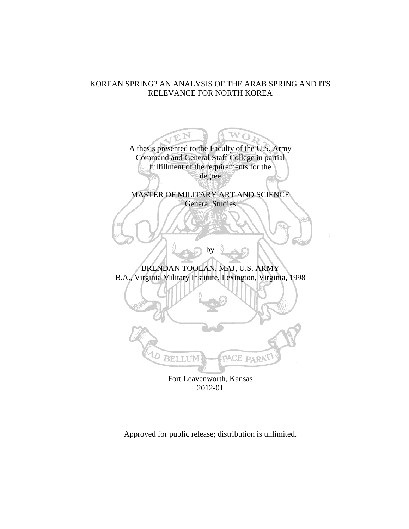# KOREAN SPRING? AN ANALYSIS OF THE ARAB SPRING AND ITS RELEVANCE FOR NORTH KOREA



2012-01

Approved for public release; distribution is unlimited.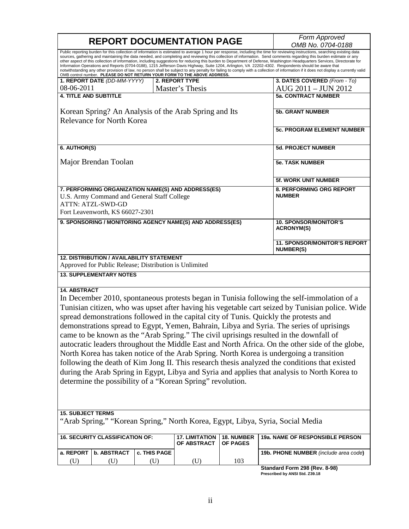|                                                                                                                                                                                                                                                                                                                                                                                                                                                                                                                                                                                                                                                                                                                                                                                                                                                                                                                                                                                                                                                                                | <b>REPORT DOCUMENTATION PAGE</b>                        | Form Approved |                                                                          |            |                                                                                                                                                                                                                                                                                                                                                                                                                                                                                                                                                                                                                                                                                                                                                                                                                                                                                                            |  |  |  |  |
|--------------------------------------------------------------------------------------------------------------------------------------------------------------------------------------------------------------------------------------------------------------------------------------------------------------------------------------------------------------------------------------------------------------------------------------------------------------------------------------------------------------------------------------------------------------------------------------------------------------------------------------------------------------------------------------------------------------------------------------------------------------------------------------------------------------------------------------------------------------------------------------------------------------------------------------------------------------------------------------------------------------------------------------------------------------------------------|---------------------------------------------------------|---------------|--------------------------------------------------------------------------|------------|------------------------------------------------------------------------------------------------------------------------------------------------------------------------------------------------------------------------------------------------------------------------------------------------------------------------------------------------------------------------------------------------------------------------------------------------------------------------------------------------------------------------------------------------------------------------------------------------------------------------------------------------------------------------------------------------------------------------------------------------------------------------------------------------------------------------------------------------------------------------------------------------------------|--|--|--|--|
|                                                                                                                                                                                                                                                                                                                                                                                                                                                                                                                                                                                                                                                                                                                                                                                                                                                                                                                                                                                                                                                                                |                                                         |               | OMB control number. PLEASE DO NOT RETURN YOUR FORM TO THE ABOVE ADDRESS. |            | OMB No. 0704-0188<br>Public reporting burden for this collection of information is estimated to average 1 hour per response, including the time for reviewing instructions, searching existing data<br>sources, gathering and maintaining the data needed, and completing and reviewing this collection of information. Send comments regarding this burden estimate or any<br>other aspect of this collection of information, including suggestions for reducing this burden to Department of Defense, Washington Headquarters Services, Directorate for<br>Information Operations and Reports (0704-0188), 1215 Jefferson Davis Highway, Suite 1204, Arlington, VA 22202-4302. Respondents should be aware that<br>notwithstanding any other provision of law, no person shall be subject to any penalty for failing to comply with a collection of information if it does not display a currently valid |  |  |  |  |
|                                                                                                                                                                                                                                                                                                                                                                                                                                                                                                                                                                                                                                                                                                                                                                                                                                                                                                                                                                                                                                                                                | 1. REPORT DATE (DD-MM-YYYY)                             |               | 2. REPORT TYPE                                                           |            | 3. DATES COVERED (From - To)                                                                                                                                                                                                                                                                                                                                                                                                                                                                                                                                                                                                                                                                                                                                                                                                                                                                               |  |  |  |  |
| 08-06-2011                                                                                                                                                                                                                                                                                                                                                                                                                                                                                                                                                                                                                                                                                                                                                                                                                                                                                                                                                                                                                                                                     |                                                         |               | Master's Thesis                                                          |            | AUG 2011 - JUN 2012                                                                                                                                                                                                                                                                                                                                                                                                                                                                                                                                                                                                                                                                                                                                                                                                                                                                                        |  |  |  |  |
| <b>4. TITLE AND SUBTITLE</b>                                                                                                                                                                                                                                                                                                                                                                                                                                                                                                                                                                                                                                                                                                                                                                                                                                                                                                                                                                                                                                                   |                                                         |               |                                                                          |            | <b>5a. CONTRACT NUMBER</b>                                                                                                                                                                                                                                                                                                                                                                                                                                                                                                                                                                                                                                                                                                                                                                                                                                                                                 |  |  |  |  |
|                                                                                                                                                                                                                                                                                                                                                                                                                                                                                                                                                                                                                                                                                                                                                                                                                                                                                                                                                                                                                                                                                | <b>Relevance for North Korea</b>                        |               | Korean Spring? An Analysis of the Arab Spring and Its                    |            | <b>5b. GRANT NUMBER</b>                                                                                                                                                                                                                                                                                                                                                                                                                                                                                                                                                                                                                                                                                                                                                                                                                                                                                    |  |  |  |  |
| <b>5c. PROGRAM ELEMENT NUMBER</b>                                                                                                                                                                                                                                                                                                                                                                                                                                                                                                                                                                                                                                                                                                                                                                                                                                                                                                                                                                                                                                              |                                                         |               |                                                                          |            |                                                                                                                                                                                                                                                                                                                                                                                                                                                                                                                                                                                                                                                                                                                                                                                                                                                                                                            |  |  |  |  |
| 6. AUTHOR(S)                                                                                                                                                                                                                                                                                                                                                                                                                                                                                                                                                                                                                                                                                                                                                                                                                                                                                                                                                                                                                                                                   |                                                         |               |                                                                          |            | <b>5d. PROJECT NUMBER</b>                                                                                                                                                                                                                                                                                                                                                                                                                                                                                                                                                                                                                                                                                                                                                                                                                                                                                  |  |  |  |  |
|                                                                                                                                                                                                                                                                                                                                                                                                                                                                                                                                                                                                                                                                                                                                                                                                                                                                                                                                                                                                                                                                                | Major Brendan Toolan                                    |               |                                                                          |            | <b>5e. TASK NUMBER</b>                                                                                                                                                                                                                                                                                                                                                                                                                                                                                                                                                                                                                                                                                                                                                                                                                                                                                     |  |  |  |  |
|                                                                                                                                                                                                                                                                                                                                                                                                                                                                                                                                                                                                                                                                                                                                                                                                                                                                                                                                                                                                                                                                                |                                                         |               |                                                                          |            | <b>5f. WORK UNIT NUMBER</b>                                                                                                                                                                                                                                                                                                                                                                                                                                                                                                                                                                                                                                                                                                                                                                                                                                                                                |  |  |  |  |
| 7. PERFORMING ORGANIZATION NAME(S) AND ADDRESS(ES)<br>8. PERFORMING ORG REPORT<br><b>NUMBER</b><br>U.S. Army Command and General Staff College<br>ATTN: ATZL-SWD-GD<br>Fort Leavenworth, KS 66027-2301                                                                                                                                                                                                                                                                                                                                                                                                                                                                                                                                                                                                                                                                                                                                                                                                                                                                         |                                                         |               |                                                                          |            |                                                                                                                                                                                                                                                                                                                                                                                                                                                                                                                                                                                                                                                                                                                                                                                                                                                                                                            |  |  |  |  |
| 9. SPONSORING / MONITORING AGENCY NAME(S) AND ADDRESS(ES)<br><b>10. SPONSOR/MONITOR'S</b><br><b>ACRONYM(S)</b>                                                                                                                                                                                                                                                                                                                                                                                                                                                                                                                                                                                                                                                                                                                                                                                                                                                                                                                                                                 |                                                         |               |                                                                          |            |                                                                                                                                                                                                                                                                                                                                                                                                                                                                                                                                                                                                                                                                                                                                                                                                                                                                                                            |  |  |  |  |
|                                                                                                                                                                                                                                                                                                                                                                                                                                                                                                                                                                                                                                                                                                                                                                                                                                                                                                                                                                                                                                                                                | <b>11. SPONSOR/MONITOR'S REPORT</b><br><b>NUMBER(S)</b> |               |                                                                          |            |                                                                                                                                                                                                                                                                                                                                                                                                                                                                                                                                                                                                                                                                                                                                                                                                                                                                                                            |  |  |  |  |
| <b>12. DISTRIBUTION / AVAILABILITY STATEMENT</b><br>Approved for Public Release; Distribution is Unlimited                                                                                                                                                                                                                                                                                                                                                                                                                                                                                                                                                                                                                                                                                                                                                                                                                                                                                                                                                                     |                                                         |               |                                                                          |            |                                                                                                                                                                                                                                                                                                                                                                                                                                                                                                                                                                                                                                                                                                                                                                                                                                                                                                            |  |  |  |  |
| <b>13. SUPPLEMENTARY NOTES</b>                                                                                                                                                                                                                                                                                                                                                                                                                                                                                                                                                                                                                                                                                                                                                                                                                                                                                                                                                                                                                                                 |                                                         |               |                                                                          |            |                                                                                                                                                                                                                                                                                                                                                                                                                                                                                                                                                                                                                                                                                                                                                                                                                                                                                                            |  |  |  |  |
| <b>14. ABSTRACT</b><br>In December 2010, spontaneous protests began in Tunisia following the self-immolation of a<br>Tunisian citizen, who was upset after having his vegetable cart seized by Tunisian police. Wide<br>spread demonstrations followed in the capital city of Tunis. Quickly the protests and<br>demonstrations spread to Egypt, Yemen, Bahrain, Libya and Syria. The series of uprisings<br>came to be known as the "Arab Spring." The civil uprisings resulted in the downfall of<br>autocratic leaders throughout the Middle East and North Africa. On the other side of the globe,<br>North Korea has taken notice of the Arab Spring. North Korea is undergoing a transition<br>following the death of Kim Jong II. This research thesis analyzed the conditions that existed<br>during the Arab Spring in Egypt, Libya and Syria and applies that analysis to North Korea to<br>determine the possibility of a "Korean Spring" revolution.<br><b>15. SUBJECT TERMS</b><br>"Arab Spring," "Korean Spring," North Korea, Egypt, Libya, Syria, Social Media |                                                         |               |                                                                          |            |                                                                                                                                                                                                                                                                                                                                                                                                                                                                                                                                                                                                                                                                                                                                                                                                                                                                                                            |  |  |  |  |
|                                                                                                                                                                                                                                                                                                                                                                                                                                                                                                                                                                                                                                                                                                                                                                                                                                                                                                                                                                                                                                                                                | <b>16. SECURITY CLASSIFICATION OF:</b>                  |               | <b>17. LIMITATION</b><br>OF ABSTRACT                                     | 18. NUMBER | 19a. NAME OF RESPONSIBLE PERSON                                                                                                                                                                                                                                                                                                                                                                                                                                                                                                                                                                                                                                                                                                                                                                                                                                                                            |  |  |  |  |
| a. REPORT                                                                                                                                                                                                                                                                                                                                                                                                                                                                                                                                                                                                                                                                                                                                                                                                                                                                                                                                                                                                                                                                      | <b>b. ABSTRACT</b><br>c. THIS PAGE                      |               |                                                                          | OF PAGES   | 19b. PHONE NUMBER (include area code)                                                                                                                                                                                                                                                                                                                                                                                                                                                                                                                                                                                                                                                                                                                                                                                                                                                                      |  |  |  |  |
| (U)                                                                                                                                                                                                                                                                                                                                                                                                                                                                                                                                                                                                                                                                                                                                                                                                                                                                                                                                                                                                                                                                            | (U)                                                     | (U)           | (U)                                                                      | 103        |                                                                                                                                                                                                                                                                                                                                                                                                                                                                                                                                                                                                                                                                                                                                                                                                                                                                                                            |  |  |  |  |

**Standard Form 298 (Rev. 8-98) Prescribed by ANSI Std. Z39.18**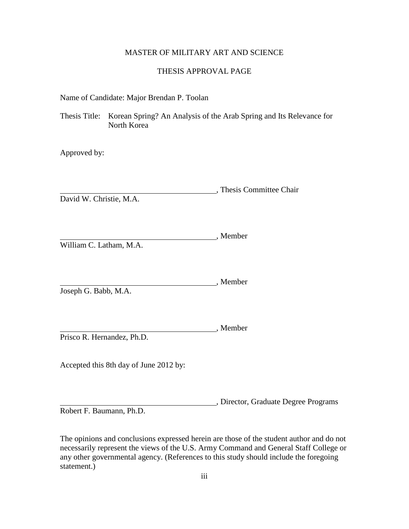# MASTER OF MILITARY ART AND SCIENCE

# THESIS APPROVAL PAGE

Name of Candidate: Major Brendan P. Toolan

Thesis Title: Korean Spring? An Analysis of the Arab Spring and Its Relevance for North Korea

Approved by:

|             |  |  |  |  |  |  |  |  |  |  |  | Thesis Committee Chair |  |  |
|-------------|--|--|--|--|--|--|--|--|--|--|--|------------------------|--|--|
| _ _ _ _ _ _ |  |  |  |  |  |  |  |  |  |  |  |                        |  |  |

David W. Christie, M.A.

|                         | Member |
|-------------------------|--------|
| William C. Latham, M.A. |        |

, Member

Joseph G. Babb, M.A.

, Member Prisco R. Hernandez, Ph.D.

Accepted this 8th day of June 2012 by:

, Director, Graduate Degree Programs

Robert F. Baumann, Ph.D.

The opinions and conclusions expressed herein are those of the student author and do not necessarily represent the views of the U.S. Army Command and General Staff College or any other governmental agency. (References to this study should include the foregoing statement.)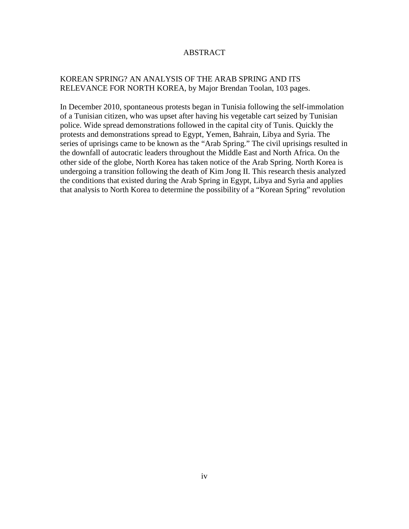# ABSTRACT

# KOREAN SPRING? AN ANALYSIS OF THE ARAB SPRING AND ITS RELEVANCE FOR NORTH KOREA, by Major Brendan Toolan, 103 pages.

In December 2010, spontaneous protests began in Tunisia following the self-immolation of a Tunisian citizen, who was upset after having his vegetable cart seized by Tunisian police. Wide spread demonstrations followed in the capital city of Tunis. Quickly the protests and demonstrations spread to Egypt, Yemen, Bahrain, Libya and Syria. The series of uprisings came to be known as the "Arab Spring." The civil uprisings resulted in the downfall of autocratic leaders throughout the Middle East and North Africa. On the other side of the globe, North Korea has taken notice of the Arab Spring. North Korea is undergoing a transition following the death of Kim Jong II. This research thesis analyzed the conditions that existed during the Arab Spring in Egypt, Libya and Syria and applies that analysis to North Korea to determine the possibility of a "Korean Spring" revolution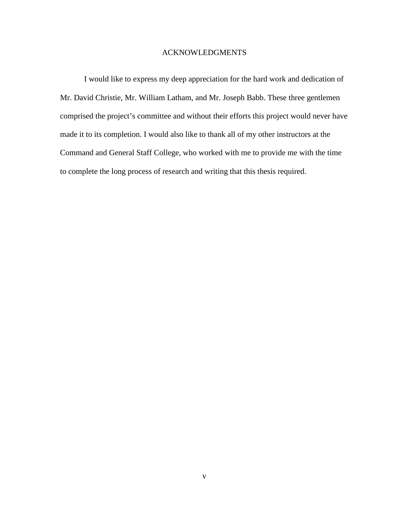# ACKNOWLEDGMENTS

I would like to express my deep appreciation for the hard work and dedication of Mr. David Christie, Mr. William Latham, and Mr. Joseph Babb. These three gentlemen comprised the project's committee and without their efforts this project would never have made it to its completion. I would also like to thank all of my other instructors at the Command and General Staff College, who worked with me to provide me with the time to complete the long process of research and writing that this thesis required.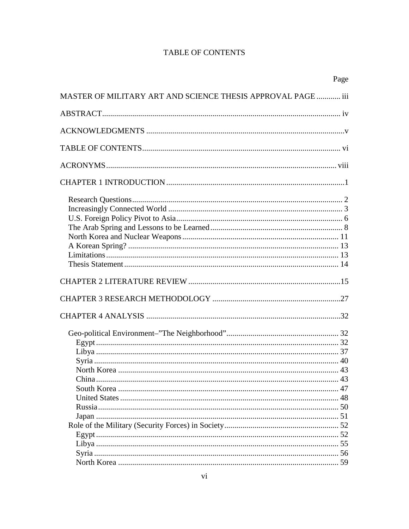# **TABLE OF CONTENTS**

|                                                              | Page |
|--------------------------------------------------------------|------|
| MASTER OF MILITARY ART AND SCIENCE THESIS APPROVAL PAGE  iii |      |
|                                                              |      |
|                                                              |      |
|                                                              |      |
|                                                              |      |
|                                                              |      |
|                                                              |      |
|                                                              |      |
|                                                              |      |
|                                                              |      |
|                                                              |      |
|                                                              |      |
|                                                              |      |
|                                                              |      |
|                                                              |      |
|                                                              |      |
|                                                              |      |
|                                                              |      |
|                                                              |      |
|                                                              |      |
|                                                              |      |
|                                                              |      |
|                                                              |      |
|                                                              |      |
|                                                              |      |
|                                                              |      |
|                                                              |      |
|                                                              |      |
|                                                              |      |
|                                                              |      |
|                                                              |      |
|                                                              |      |
|                                                              |      |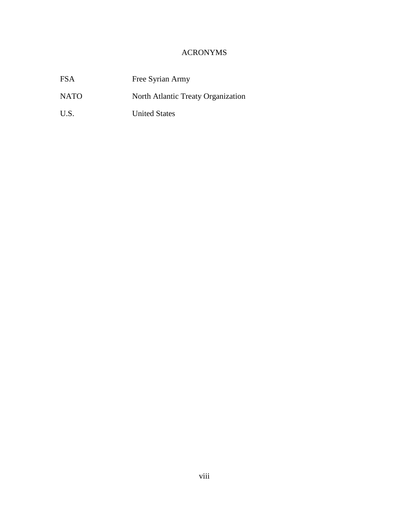# ACRONYMS

| <b>FSA</b>  | Free Syrian Army                   |
|-------------|------------------------------------|
| <b>NATO</b> | North Atlantic Treaty Organization |
| U.S.        | <b>United States</b>               |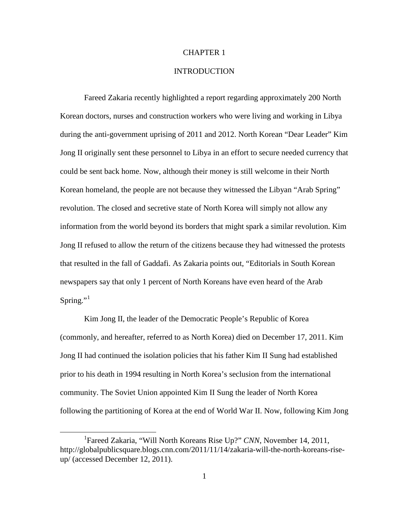# CHAPTER 1

# **INTRODUCTION**

Fareed Zakaria recently highlighted a report regarding approximately 200 North Korean doctors, nurses and construction workers who were living and working in Libya during the anti-government uprising of 2011 and 2012. North Korean "Dear Leader" Kim Jong II originally sent these personnel to Libya in an effort to secure needed currency that could be sent back home. Now, although their money is still welcome in their North Korean homeland, the people are not because they witnessed the Libyan "Arab Spring" revolution. The closed and secretive state of North Korea will simply not allow any information from the world beyond its borders that might spark a similar revolution. Kim Jong II refused to allow the return of the citizens because they had witnessed the protests that resulted in the fall of Gaddafi. As Zakaria points out, "Editorials in South Korean newspapers say that only 1 percent of North Koreans have even heard of the Arab Spring." $1$ 

Kim Jong II, the leader of the Democratic People's Republic of Korea (commonly, and hereafter, referred to as North Korea) died on December 17, 2011. Kim Jong II had continued the isolation policies that his father Kim II Sung had established prior to his death in 1994 resulting in North Korea's seclusion from the international community. The Soviet Union appointed Kim II Sung the leader of North Korea following the partitioning of Korea at the end of World War II. Now, following Kim Jong

<span id="page-8-0"></span><sup>&</sup>lt;u>1</u> Fareed Zakaria, "Will North Koreans Rise Up?" *CNN*, November 14, 2011, http://globalpublicsquare.blogs.cnn.com/2011/11/14/zakaria-will-the-north-koreans-riseup/ (accessed December 12, 2011).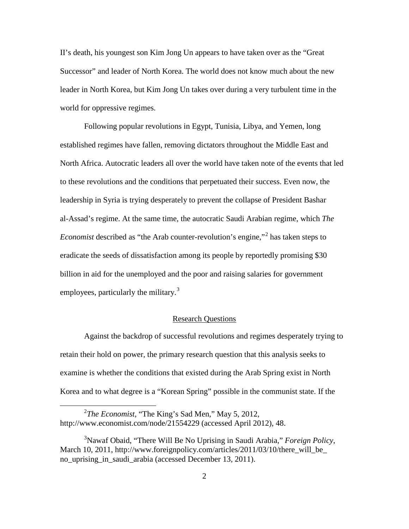II's death, his youngest son Kim Jong Un appears to have taken over as the "Great Successor" and leader of North Korea. The world does not know much about the new leader in North Korea, but Kim Jong Un takes over during a very turbulent time in the world for oppressive regimes.

Following popular revolutions in Egypt, Tunisia, Libya, and Yemen, long established regimes have fallen, removing dictators throughout the Middle East and North Africa. Autocratic leaders all over the world have taken note of the events that led to these revolutions and the conditions that perpetuated their success. Even now, the leadership in Syria is trying desperately to prevent the collapse of President Bashar al-Assad's regime. At the same time, the autocratic Saudi Arabian regime, which *The Economist* described as "the Arab counter-revolution's engine,"[2](#page-9-0) has taken steps to eradicate the seeds of dissatisfaction among its people by reportedly promising \$30 billion in aid for the unemployed and the poor and raising salaries for government employees, particularly the military.<sup>[3](#page-9-1)</sup>

### Research Questions

Against the backdrop of successful revolutions and regimes desperately trying to retain their hold on power, the primary research question that this analysis seeks to examine is whether the conditions that existed during the Arab Spring exist in North Korea and to what degree is a "Korean Spring" possible in the communist state. If the

<span id="page-9-0"></span> $\frac{1}{2}$ *The Economist*, "The King's Sad Men," May 5, 2012, http://www.economist.com/node/21554229 (accessed April 2012), 48.

<span id="page-9-1"></span><sup>3</sup> Nawaf Obaid, "There Will Be No Uprising in Saudi Arabia," *Foreign Policy*, March 10, 2011, http://www.foreignpolicy.com/articles/2011/03/10/there will be no\_uprising\_in\_saudi\_arabia (accessed December 13, 2011).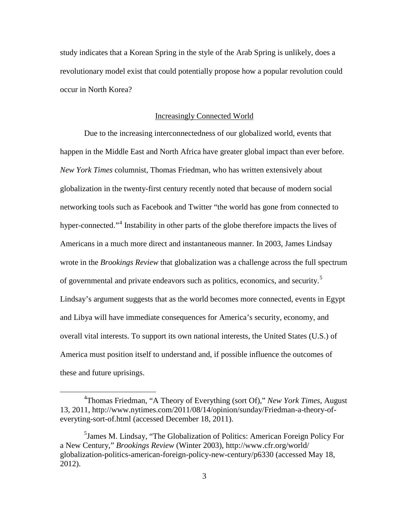study indicates that a Korean Spring in the style of the Arab Spring is unlikely, does a revolutionary model exist that could potentially propose how a popular revolution could occur in North Korea?

#### Increasingly Connected World

Due to the increasing interconnectedness of our globalized world, events that happen in the Middle East and North Africa have greater global impact than ever before. *New York Times* columnist, Thomas Friedman, who has written extensively about globalization in the twenty-first century recently noted that because of modern social networking tools such as Facebook and Twitter "the world has gone from connected to hyper-connected."<sup>[4](#page-10-0)</sup> Instability in other parts of the globe therefore impacts the lives of Americans in a much more direct and instantaneous manner. In 2003, James Lindsay wrote in the *Brookings Review* that globalization was a challenge across the full spectrum of governmental and private endeavors such as politics, economics, and security.<sup>[5](#page-10-1)</sup> Lindsay's argument suggests that as the world becomes more connected, events in Egypt and Libya will have immediate consequences for America's security, economy, and overall vital interests. To support its own national interests, the United States (U.S.) of America must position itself to understand and, if possible influence the outcomes of these and future uprisings.

<span id="page-10-0"></span> $\overline{4}$ Thomas Friedman, "A Theory of Everything (sort Of)," *New York Times*, August 13, 2011, http://www.nytimes.com/2011/08/14/opinion/sunday/Friedman-a-theory-ofeveryting-sort-of.html (accessed December 18, 2011).

<span id="page-10-1"></span><sup>&</sup>lt;sup>5</sup>James M. Lindsay, "The Globalization of Politics: American Foreign Policy For a New Century," *Brookings Review* (Winter 2003), http://www.cfr.org/world/ globalization-politics-american-foreign-policy-new-century/p6330 (accessed May 18, 2012).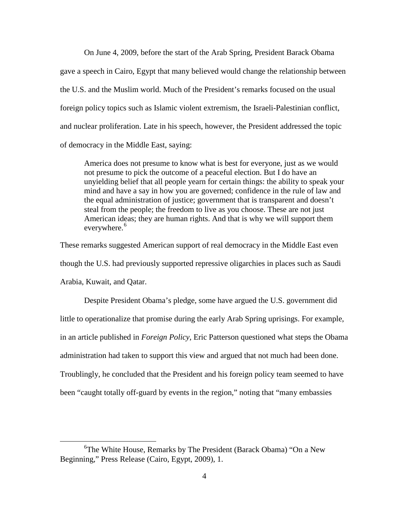On June 4, 2009, before the start of the Arab Spring, President Barack Obama gave a speech in Cairo, Egypt that many believed would change the relationship between the U.S. and the Muslim world. Much of the President's remarks focused on the usual foreign policy topics such as Islamic violent extremism, the Israeli-Palestinian conflict, and nuclear proliferation. Late in his speech, however, the President addressed the topic of democracy in the Middle East, saying:

America does not presume to know what is best for everyone, just as we would not presume to pick the outcome of a peaceful election. But I do have an unyielding belief that all people yearn for certain things: the ability to speak your mind and have a say in how you are governed; confidence in the rule of law and the equal administration of justice; government that is transparent and doesn't steal from the people; the freedom to live as you choose. These are not just American ideas; they are human rights. And that is why we will support them everywhere.<sup>[6](#page-11-0)</sup>

These remarks suggested American support of real democracy in the Middle East even though the U.S. had previously supported repressive oligarchies in places such as Saudi Arabia, Kuwait, and Qatar.

Despite President Obama's pledge, some have argued the U.S. government did little to operationalize that promise during the early Arab Spring uprisings. For example, in an article published in *Foreign Policy*, Eric Patterson questioned what steps the Obama administration had taken to support this view and argued that not much had been done. Troublingly, he concluded that the President and his foreign policy team seemed to have been "caught totally off-guard by events in the region," noting that "many embassies

<span id="page-11-0"></span> $\overline{6}$ The White House, Remarks by The President (Barack Obama) "On a New Beginning," Press Release (Cairo, Egypt, 2009), 1.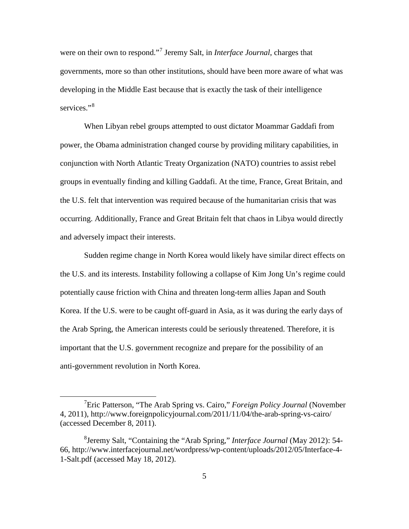were on their own to respond."[7](#page-12-0) Jeremy Salt, in *Interface Journal*, charges that governments, more so than other institutions, should have been more aware of what was developing in the Middle East because that is exactly the task of their intelligence services."<sup>[8](#page-12-1)</sup>

When Libyan rebel groups attempted to oust dictator Moammar Gaddafi from power, the Obama administration changed course by providing military capabilities, in conjunction with North Atlantic Treaty Organization (NATO) countries to assist rebel groups in eventually finding and killing Gaddafi. At the time, France, Great Britain, and the U.S. felt that intervention was required because of the humanitarian crisis that was occurring. Additionally, France and Great Britain felt that chaos in Libya would directly and adversely impact their interests.

Sudden regime change in North Korea would likely have similar direct effects on the U.S. and its interests. Instability following a collapse of Kim Jong Un's regime could potentially cause friction with China and threaten long-term allies Japan and South Korea. If the U.S. were to be caught off-guard in Asia, as it was during the early days of the Arab Spring, the American interests could be seriously threatened. Therefore, it is important that the U.S. government recognize and prepare for the possibility of an anti-government revolution in North Korea.

<span id="page-12-0"></span> $\frac{1}{7}$ Eric Patterson, "The Arab Spring vs. Cairo," *Foreign Policy Journal* (November 4, 2011), http://www.foreignpolicyjournal.com/2011/11/04/the-arab-spring-vs-cairo/ (accessed December 8, 2011).

<span id="page-12-1"></span><sup>8</sup> Jeremy Salt, "Containing the "Arab Spring," *Interface Journal* (May 2012): 54- 66, http://www.interfacejournal.net/wordpress/wp-content/uploads/2012/05/Interface-4- 1-Salt.pdf (accessed May 18, 2012).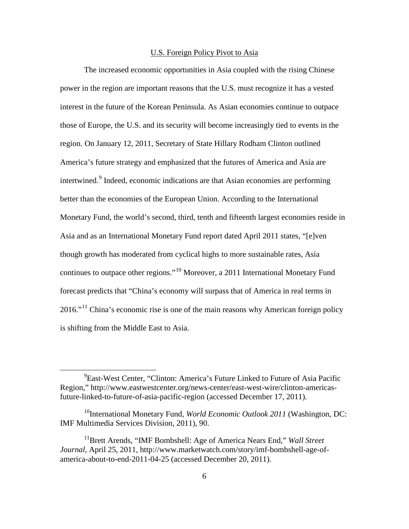### U.S. Foreign Policy Pivot to Asia

The increased economic opportunities in Asia coupled with the rising Chinese power in the region are important reasons that the U.S. must recognize it has a vested interest in the future of the Korean Peninsula. As Asian economies continue to outpace those of Europe, the U.S. and its security will become increasingly tied to events in the region. On January 12, 2011, Secretary of State Hillary Rodham Clinton outlined America's future strategy and emphasized that the futures of America and Asia are intertwined.<sup>[9](#page-13-0)</sup> Indeed, economic indications are that Asian economies are performing better than the economies of the European Union. According to the International Monetary Fund, the world's second, third, tenth and fifteenth largest economies reside in Asia and as an International Monetary Fund report dated April 2011 states, "[e]ven though growth has moderated from cyclical highs to more sustainable rates, Asia continues to outpace other regions."[10](#page-13-1) Moreover, a 2011 International Monetary Fund forecast predicts that "China's economy will surpass that of America in real terms in  $2016$ ."<sup>[11](#page-13-2)</sup> China's economic rise is one of the main reasons why American foreign policy is shifting from the Middle East to Asia.

<span id="page-13-0"></span> <sup>9</sup> <sup>9</sup>East-West Center, "Clinton: America's Future Linked to Future of Asia Pacific Region," http://www.eastwestcenter.org/news-center/east-west-wire/clinton-americasfuture-linked-to-future-of-asia-pacific-region (accessed December 17, 2011).

<span id="page-13-1"></span><sup>&</sup>lt;sup>10</sup>International Monetary Fund, *World Economic Outlook* 2011 (Washington, DC: IMF Multimedia Services Division, 2011), 90.

<span id="page-13-2"></span><sup>&</sup>lt;sup>11</sup>Brett Arends, "IMF Bombshell: Age of America Nears End," *Wall Street Journal,* April 25, 2011, http://www.marketwatch.com/story/imf-bombshell-age-ofamerica-about-to-end-2011-04-25 (accessed December 20, 2011).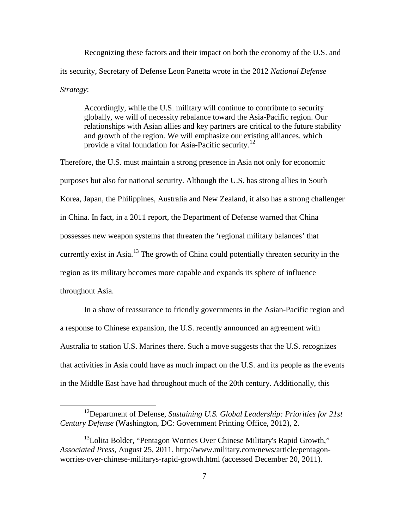Recognizing these factors and their impact on both the economy of the U.S. and its security, Secretary of Defense Leon Panetta wrote in the 2012 *National Defense Strategy*:

Accordingly, while the U.S. military will continue to contribute to security globally, we will of necessity rebalance toward the Asia-Pacific region. Our relationships with Asian allies and key partners are critical to the future stability and growth of the region. We will emphasize our existing alliances, which provide a vital foundation for Asia-Pacific security.<sup>[12](#page-14-0)</sup>

Therefore, the U.S. must maintain a strong presence in Asia not only for economic purposes but also for national security. Although the U.S. has strong allies in South Korea, Japan, the Philippines, Australia and New Zealand, it also has a strong challenger in China. In fact, in a 2011 report, the Department of Defense warned that China possesses new weapon systems that threaten the 'regional military balances' that currently exist in Asia.<sup>[13](#page-14-1)</sup> The growth of China could potentially threaten security in the region as its military becomes more capable and expands its sphere of influence throughout Asia.

In a show of reassurance to friendly governments in the Asian-Pacific region and a response to Chinese expansion, the U.S. recently announced an agreement with Australia to station U.S. Marines there. Such a move suggests that the U.S. recognizes that activities in Asia could have as much impact on the U.S. and its people as the events in the Middle East have had throughout much of the 20th century. Additionally, this

<span id="page-14-0"></span> <sup>12</sup>Department of Defense, *Sustaining U.S. Global Leadership: Priorities for 21st Century Defense* (Washington, DC: Government Printing Office, 2012), 2.

<span id="page-14-1"></span><sup>&</sup>lt;sup>13</sup>Lolita Bolder, "Pentagon Worries Over Chinese Military's Rapid Growth," *Associated Press*, August 25, 2011, http://www.military.com/news/article/pentagonworries-over-chinese-militarys-rapid-growth.html (accessed December 20, 2011).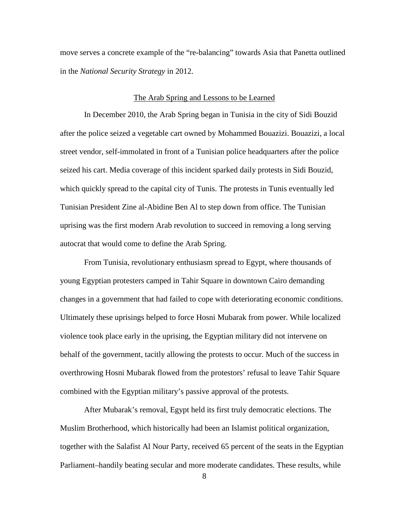move serves a concrete example of the "re-balancing" towards Asia that Panetta outlined in the *National Security Strategy* in 2012.

#### The Arab Spring and Lessons to be Learned

In December 2010, the Arab Spring began in Tunisia in the city of Sidi Bouzid after the police seized a vegetable cart owned by Mohammed Bouazizi. Bouazizi, a local street vendor, self-immolated in front of a Tunisian police headquarters after the police seized his cart. Media coverage of this incident sparked daily protests in Sidi Bouzid, which quickly spread to the capital city of Tunis. The protests in Tunis eventually led Tunisian President Zine al-Abidine Ben Al to step down from office. The Tunisian uprising was the first modern Arab revolution to succeed in removing a long serving autocrat that would come to define the Arab Spring.

From Tunisia, revolutionary enthusiasm spread to Egypt, where thousands of young Egyptian protesters camped in Tahir Square in downtown Cairo demanding changes in a government that had failed to cope with deteriorating economic conditions. Ultimately these uprisings helped to force Hosni Mubarak from power. While localized violence took place early in the uprising, the Egyptian military did not intervene on behalf of the government, tacitly allowing the protests to occur. Much of the success in overthrowing Hosni Mubarak flowed from the protestors' refusal to leave Tahir Square combined with the Egyptian military's passive approval of the protests.

After Mubarak's removal, Egypt held its first truly democratic elections. The Muslim Brotherhood, which historically had been an Islamist political organization, together with the Salafist Al Nour Party, received 65 percent of the seats in the Egyptian Parliament–handily beating secular and more moderate candidates. These results, while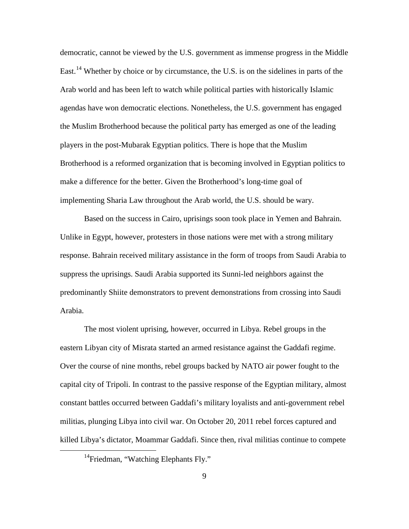democratic, cannot be viewed by the U.S. government as immense progress in the Middle East.<sup>[14](#page-16-0)</sup> Whether by choice or by circumstance, the U.S. is on the sidelines in parts of the Arab world and has been left to watch while political parties with historically Islamic agendas have won democratic elections. Nonetheless, the U.S. government has engaged the Muslim Brotherhood because the political party has emerged as one of the leading players in the post-Mubarak Egyptian politics. There is hope that the Muslim Brotherhood is a reformed organization that is becoming involved in Egyptian politics to make a difference for the better. Given the Brotherhood's long-time goal of implementing Sharia Law throughout the Arab world, the U.S. should be wary.

Based on the success in Cairo, uprisings soon took place in Yemen and Bahrain. Unlike in Egypt, however, protesters in those nations were met with a strong military response. Bahrain received military assistance in the form of troops from Saudi Arabia to suppress the uprisings. Saudi Arabia supported its Sunni-led neighbors against the predominantly Shiite demonstrators to prevent demonstrations from crossing into Saudi Arabia.

The most violent uprising, however, occurred in Libya. Rebel groups in the eastern Libyan city of Misrata started an armed resistance against the Gaddafi regime. Over the course of nine months, rebel groups backed by NATO air power fought to the capital city of Tripoli. In contrast to the passive response of the Egyptian military, almost constant battles occurred between Gaddafi's military loyalists and anti-government rebel militias, plunging Libya into civil war. On October 20, 2011 rebel forces captured and killed Libya's dictator, Moammar Gaddafi. Since then, rival militias continue to compete

<span id="page-16-0"></span><sup>&</sup>lt;sup>14</sup>Friedman, "Watching Elephants Fly."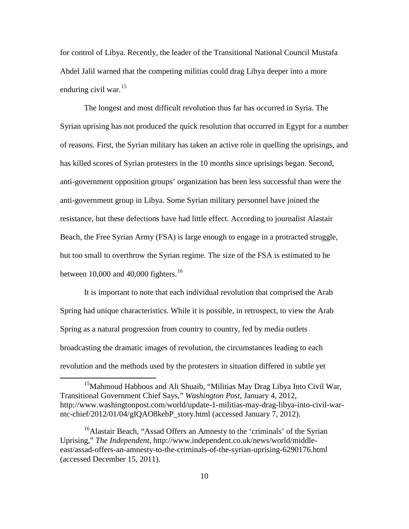for control of Libya. Recently, the leader of the Transitional National Council Mustafa Abdel Jalil warned that the competing militias could drag Libya deeper into a more enduring civil war. $15$ 

The longest and most difficult revolution thus far has occurred in Syria. The Syrian uprising has not produced the quick resolution that occurred in Egypt for a number of reasons. First, the Syrian military has taken an active role in quelling the uprisings, and has killed scores of Syrian protesters in the 10 months since uprisings began. Second, anti-government opposition groups' organization has been less successful than were the anti-government group in Libya. Some Syrian military personnel have joined the resistance, but these defections have had little effect. According to journalist Alastair Beach, the Free Syrian Army (FSA) is large enough to engage in a protracted struggle, but too small to overthrow the Syrian regime. The size of the FSA is estimated to be between 10,000 and 40,000 fighters.<sup>[16](#page-17-1)</sup>

It is important to note that each individual revolution that comprised the Arab Spring had unique characteristics. While it is possible, in retrospect, to view the Arab Spring as a natural progression from country to country, fed by media outlets broadcasting the dramatic images of revolution, the circumstances leading to each revolution and the methods used by the protesters in situation differed in subtle yet

<span id="page-17-0"></span><sup>&</sup>lt;sup>15</sup>Mahmoud Habbous and Ali Shuaib, "Militias May Drag Libya Into Civil War, Transitional Government Chief Says," *Washington Post*, January 4, 2012, http://www.washingtonpost.com/world/update-1-militias-may-drag-libya-into-civil-warntc-chief/2012/01/04/gIQAO8kebP\_story.html (accessed January 7, 2012).

<span id="page-17-1"></span><sup>&</sup>lt;sup>16</sup>Alastair Beach, "Assad Offers an Amnesty to the 'criminals' of the Syrian Uprising," *The Independent*, http://www.independent.co.uk/news/world/middleeast/assad-offers-an-amnesty-to-the-criminals-of-the-syrian-uprising-6290176.html (accessed December 15, 2011).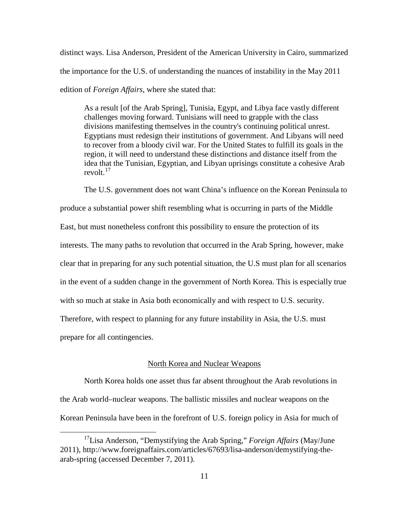distinct ways. Lisa Anderson, President of the American University in Cairo, summarized the importance for the U.S. of understanding the nuances of instability in the May 2011 edition of *Foreign Affairs*, where she stated that:

As a result [of the Arab Spring], Tunisia, Egypt, and Libya face vastly different challenges moving forward. Tunisians will need to grapple with the class divisions manifesting themselves in the country's continuing political unrest. Egyptians must redesign their institutions of government. And Libyans will need to recover from a bloody civil war. For the United States to fulfill its goals in the region, it will need to understand these distinctions and distance itself from the idea that the Tunisian, Egyptian, and Libyan uprisings constitute a cohesive Arab revolt. $17$ 

The U.S. government does not want China's influence on the Korean Peninsula to produce a substantial power shift resembling what is occurring in parts of the Middle East, but must nonetheless confront this possibility to ensure the protection of its interests. The many paths to revolution that occurred in the Arab Spring, however, make clear that in preparing for any such potential situation, the U.S must plan for all scenarios in the event of a sudden change in the government of North Korea. This is especially true with so much at stake in Asia both economically and with respect to U.S. security. Therefore, with respect to planning for any future instability in Asia, the U.S. must

prepare for all contingencies.

## North Korea and Nuclear Weapons

North Korea holds one asset thus far absent throughout the Arab revolutions in the Arab world–nuclear weapons. The ballistic missiles and nuclear weapons on the Korean Peninsula have been in the forefront of U.S. foreign policy in Asia for much of

<span id="page-18-0"></span> <sup>17</sup>Lisa Anderson, "Demystifying the Arab Spring," *Foreign Affairs* (May/June 2011), http://www.foreignaffairs.com/articles/67693/lisa-anderson/demystifying-thearab-spring (accessed December 7, 2011).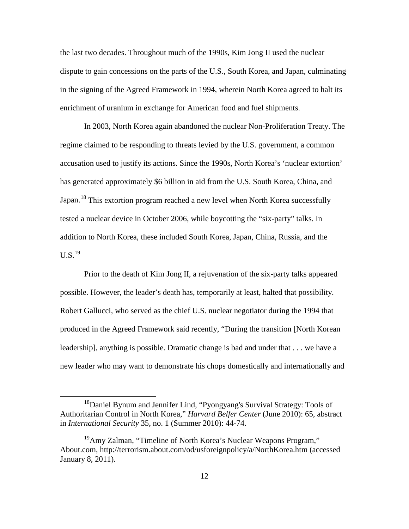the last two decades. Throughout much of the 1990s, Kim Jong II used the nuclear dispute to gain concessions on the parts of the U.S., South Korea, and Japan, culminating in the signing of the Agreed Framework in 1994, wherein North Korea agreed to halt its enrichment of uranium in exchange for American food and fuel shipments.

In 2003, North Korea again abandoned the nuclear Non-Proliferation Treaty. The regime claimed to be responding to threats levied by the U.S. government, a common accusation used to justify its actions. Since the 1990s, North Korea's 'nuclear extortion' has generated approximately \$6 billion in aid from the U.S. South Korea, China, and Japan.<sup>[18](#page-19-0)</sup> This extortion program reached a new level when North Korea successfully tested a nuclear device in October 2006, while boycotting the "six-party" talks. In addition to North Korea, these included South Korea, Japan, China, Russia, and the  $U.S.<sup>19</sup>$  $U.S.<sup>19</sup>$  $U.S.<sup>19</sup>$ 

Prior to the death of Kim Jong II, a rejuvenation of the six-party talks appeared possible. However, the leader's death has, temporarily at least, halted that possibility. Robert Gallucci, who served as the chief U.S. nuclear negotiator during the 1994 that produced in the Agreed Framework said recently, "During the transition [North Korean leadership], anything is possible. Dramatic change is bad and under that . . . we have a new leader who may want to demonstrate his chops domestically and internationally and

<span id="page-19-0"></span><sup>&</sup>lt;sup>18</sup>Daniel Bynum and Jennifer Lind, "Pyongyang's Survival Strategy: Tools of Authoritarian Control in North Korea," *Harvard Belfer Center* (June 2010): 65, abstract in *International Security* 35, no. 1 (Summer 2010): 44-74.

<span id="page-19-1"></span> $19$ Amy Zalman, "Timeline of North Korea's Nuclear Weapons Program," About.com, http://terrorism.about.com/od/usforeignpolicy/a/NorthKorea.htm (accessed January 8, 2011).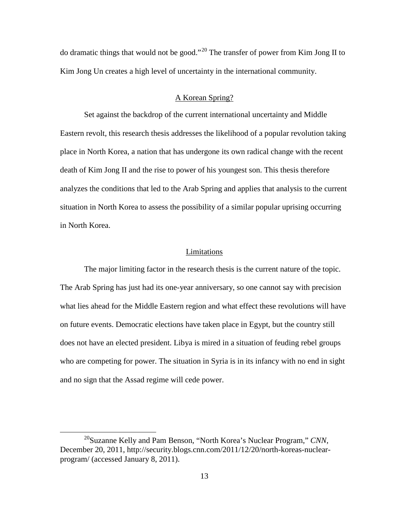do dramatic things that would not be good."<sup>[20](#page-20-0)</sup> The transfer of power from Kim Jong II to Kim Jong Un creates a high level of uncertainty in the international community.

# A Korean Spring?

Set against the backdrop of the current international uncertainty and Middle Eastern revolt, this research thesis addresses the likelihood of a popular revolution taking place in North Korea, a nation that has undergone its own radical change with the recent death of Kim Jong II and the rise to power of his youngest son. This thesis therefore analyzes the conditions that led to the Arab Spring and applies that analysis to the current situation in North Korea to assess the possibility of a similar popular uprising occurring in North Korea.

#### Limitations

The major limiting factor in the research thesis is the current nature of the topic. The Arab Spring has just had its one-year anniversary, so one cannot say with precision what lies ahead for the Middle Eastern region and what effect these revolutions will have on future events. Democratic elections have taken place in Egypt, but the country still does not have an elected president. Libya is mired in a situation of feuding rebel groups who are competing for power. The situation in Syria is in its infancy with no end in sight and no sign that the Assad regime will cede power.

<span id="page-20-0"></span> <sup>20</sup>Suzanne Kelly and Pam Benson, "North Korea's Nuclear Program," *CNN*, December 20, 2011, http://security.blogs.cnn.com/2011/12/20/north-koreas-nuclearprogram/ (accessed January 8, 2011).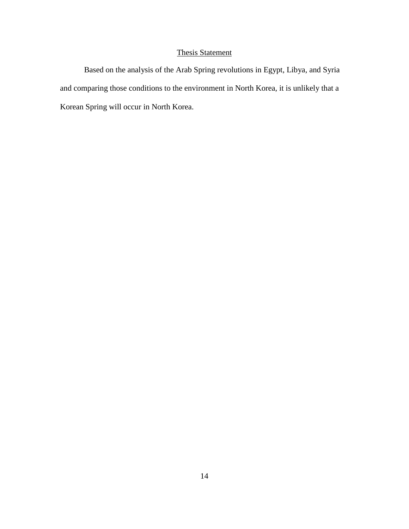# Thesis Statement

Based on the analysis of the Arab Spring revolutions in Egypt, Libya, and Syria and comparing those conditions to the environment in North Korea, it is unlikely that a Korean Spring will occur in North Korea.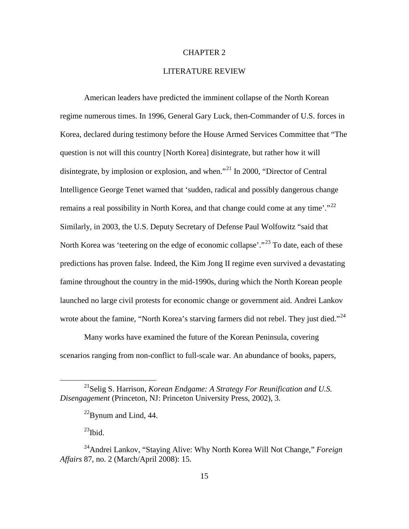# CHAPTER 2

# LITERATURE REVIEW

American leaders have predicted the imminent collapse of the North Korean regime numerous times. In 1996, General Gary Luck, then-Commander of U.S. forces in Korea, declared during testimony before the House Armed Services Committee that "The question is not will this country [North Korea] disintegrate, but rather how it will disintegrate, by implosion or explosion, and when."<sup>[21](#page-22-0)</sup> In 2000, "Director of Central Intelligence George Tenet warned that 'sudden, radical and possibly dangerous change remains a real possibility in North Korea, and that change could come at any time'. $2^{2}$ Similarly, in 2003, the U.S. Deputy Secretary of Defense Paul Wolfowitz "said that North Korea was 'teetering on the edge of economic collapse'."<sup>[23](#page-22-2)</sup> To date, each of these predictions has proven false. Indeed, the Kim Jong II regime even survived a devastating famine throughout the country in the mid-1990s, during which the North Korean people launched no large civil protests for economic change or government aid. Andrei Lankov wrote about the famine, "North Korea's starving farmers did not rebel. They just died."<sup>[24](#page-22-3)</sup>

Many works have examined the future of the Korean Peninsula, covering scenarios ranging from non-conflict to full-scale war. An abundance of books, papers,

 $^{23}$ Ibid.

<span id="page-22-1"></span><span id="page-22-0"></span> <sup>21</sup>Selig S. Harrison, *Korean Endgame: <sup>A</sup> Strategy For Reunification and U.S. Disengagement* (Princeton, NJ: Princeton University Press, 2002), 3.

 $^{22}$ Bynum and Lind, 44.

<span id="page-22-3"></span><span id="page-22-2"></span><sup>24</sup>Andrei Lankov, "Staying Alive: Why North Korea Will Not Change," *Foreign Affairs* 87, no. 2 (March/April 2008): 15.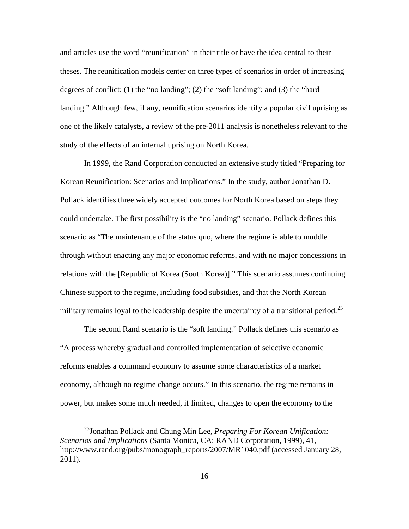and articles use the word "reunification" in their title or have the idea central to their theses. The reunification models center on three types of scenarios in order of increasing degrees of conflict: (1) the "no landing"; (2) the "soft landing"; and (3) the "hard landing." Although few, if any, reunification scenarios identify a popular civil uprising as one of the likely catalysts, a review of the pre-2011 analysis is nonetheless relevant to the study of the effects of an internal uprising on North Korea.

In 1999, the Rand Corporation conducted an extensive study titled "Preparing for Korean Reunification: Scenarios and Implications." In the study, author Jonathan D. Pollack identifies three widely accepted outcomes for North Korea based on steps they could undertake. The first possibility is the "no landing" scenario. Pollack defines this scenario as "The maintenance of the status quo, where the regime is able to muddle through without enacting any major economic reforms, and with no major concessions in relations with the [Republic of Korea (South Korea)]." This scenario assumes continuing Chinese support to the regime, including food subsidies, and that the North Korean military remains loyal to the leadership despite the uncertainty of a transitional period.<sup>[25](#page-23-0)</sup>

The second Rand scenario is the "soft landing." Pollack defines this scenario as "A process whereby gradual and controlled implementation of selective economic reforms enables a command economy to assume some characteristics of a market economy, although no regime change occurs." In this scenario, the regime remains in power, but makes some much needed, if limited, changes to open the economy to the

<span id="page-23-0"></span> <sup>25</sup>Jonathan Pollack and Chung Min Lee, *Preparing For Korean Unification: Scenarios and Implications* (Santa Monica, CA: RAND Corporation, 1999), 41, http://www.rand.org/pubs/monograph\_reports/2007/MR1040.pdf (accessed January 28, 2011).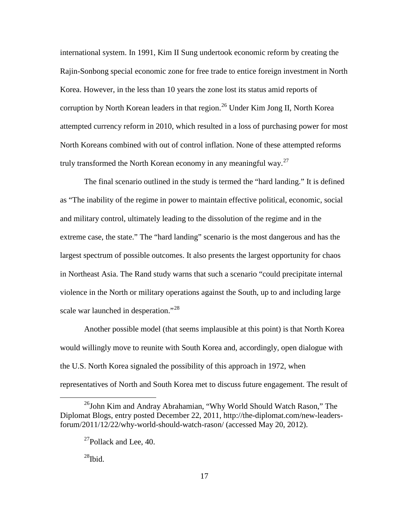international system. In 1991, Kim II Sung undertook economic reform by creating the Rajin-Sonbong special economic zone for free trade to entice foreign investment in North Korea. However, in the less than 10 years the zone lost its status amid reports of corruption by North Korean leaders in that region.<sup>[26](#page-24-0)</sup> Under Kim Jong II, North Korea attempted currency reform in 2010, which resulted in a loss of purchasing power for most North Koreans combined with out of control inflation. None of these attempted reforms truly transformed the North Korean economy in any meaningful way.<sup>[27](#page-24-1)</sup>

The final scenario outlined in the study is termed the "hard landing." It is defined as "The inability of the regime in power to maintain effective political, economic, social and military control, ultimately leading to the dissolution of the regime and in the extreme case, the state." The "hard landing" scenario is the most dangerous and has the largest spectrum of possible outcomes. It also presents the largest opportunity for chaos in Northeast Asia. The Rand study warns that such a scenario "could precipitate internal violence in the North or military operations against the South, up to and including large scale war launched in desperation."<sup>[28](#page-24-2)</sup>

Another possible model (that seems implausible at this point) is that North Korea would willingly move to reunite with South Korea and, accordingly, open dialogue with the U.S. North Korea signaled the possibility of this approach in 1972, when representatives of North and South Korea met to discuss future engagement. The result of

 $^{28}$ Ibid.

<span id="page-24-2"></span><span id="page-24-1"></span><span id="page-24-0"></span> $^{26}$ John Kim and Andray Abrahamian, "Why World Should Watch Rason," The Diplomat Blogs, entry posted December 22, 2011, http://the-diplomat.com/new-leadersforum/2011/12/22/why-world-should-watch-rason/ (accessed May 20, 2012).

 $^{27}$ Pollack and Lee, 40.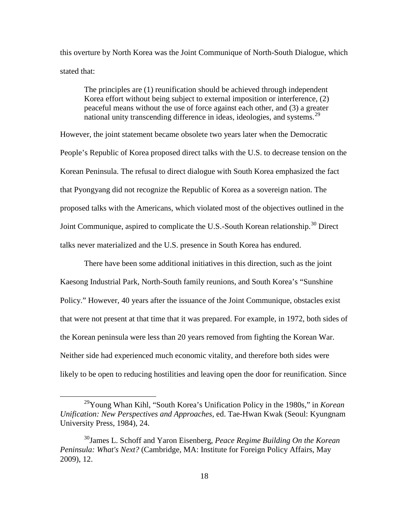this overture by North Korea was the Joint Communique of North-South Dialogue, which stated that:

The principles are (1) reunification should be achieved through independent Korea effort without being subject to external imposition or interference, (2) peaceful means without the use of force against each other, and (3) a greater national unity transcending difference in ideas, ideologies, and systems.<sup>[29](#page-25-0)</sup>

However, the joint statement became obsolete two years later when the Democratic People's Republic of Korea proposed direct talks with the U.S. to decrease tension on the Korean Peninsula. The refusal to direct dialogue with South Korea emphasized the fact that Pyongyang did not recognize the Republic of Korea as a sovereign nation. The proposed talks with the Americans, which violated most of the objectives outlined in the Joint Communique, aspired to complicate the U.S.-South Korean relationship.<sup>[30](#page-25-1)</sup> Direct talks never materialized and the U.S. presence in South Korea has endured.

There have been some additional initiatives in this direction, such as the joint Kaesong Industrial Park, North-South family reunions, and South Korea's "Sunshine Policy." However, 40 years after the issuance of the Joint Communique, obstacles exist that were not present at that time that it was prepared. For example, in 1972, both sides of the Korean peninsula were less than 20 years removed from fighting the Korean War. Neither side had experienced much economic vitality, and therefore both sides were likely to be open to reducing hostilities and leaving open the door for reunification. Since

<span id="page-25-0"></span> <sup>29</sup>Young Whan Kihl, "South Korea's Unification Policy in the 1980s," in *Korean Unification: New Perspectives and Approaches*, ed. Tae-Hwan Kwak (Seoul: Kyungnam University Press, 1984), 24.

<span id="page-25-1"></span><sup>30</sup>James L. Schoff and Yaron Eisenberg, *Peace Regime Building On the Korean Peninsula: What's Next?* (Cambridge, MA: Institute for Foreign Policy Affairs, May 2009), 12.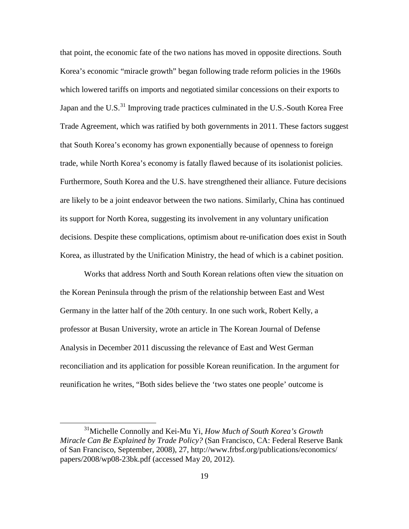that point, the economic fate of the two nations has moved in opposite directions. South Korea's economic "miracle growth" began following trade reform policies in the 1960s which lowered tariffs on imports and negotiated similar concessions on their exports to Japan and the U.S. $^{31}$  $^{31}$  $^{31}$  Improving trade practices culminated in the U.S.-South Korea Free Trade Agreement, which was ratified by both governments in 2011. These factors suggest that South Korea's economy has grown exponentially because of openness to foreign trade, while North Korea's economy is fatally flawed because of its isolationist policies. Furthermore, South Korea and the U.S. have strengthened their alliance. Future decisions are likely to be a joint endeavor between the two nations. Similarly, China has continued its support for North Korea, suggesting its involvement in any voluntary unification decisions. Despite these complications, optimism about re-unification does exist in South Korea, as illustrated by the Unification Ministry, the head of which is a cabinet position.

Works that address North and South Korean relations often view the situation on the Korean Peninsula through the prism of the relationship between East and West Germany in the latter half of the 20th century. In one such work, Robert Kelly, a professor at Busan University, wrote an article in The Korean Journal of Defense Analysis in December 2011 discussing the relevance of East and West German reconciliation and its application for possible Korean reunification. In the argument for reunification he writes, "Both sides believe the 'two states one people' outcome is

<span id="page-26-0"></span> <sup>31</sup>Michelle Connolly and Kei-Mu Yi, *How Much of South Korea's Growth Miracle Can Be Explained by Trade Policy?* (San Francisco, CA: Federal Reserve Bank of San Francisco, September, 2008), 27, http://www.frbsf.org/publications/economics/ papers/2008/wp08-23bk.pdf (accessed May 20, 2012).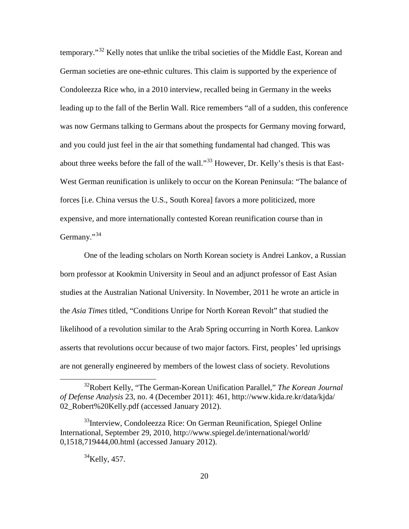temporary."[32](#page-27-0) Kelly notes that unlike the tribal societies of the Middle East, Korean and German societies are one-ethnic cultures. This claim is supported by the experience of Condoleezza Rice who, in a 2010 interview, recalled being in Germany in the weeks leading up to the fall of the Berlin Wall. Rice remembers "all of a sudden, this conference was now Germans talking to Germans about the prospects for Germany moving forward, and you could just feel in the air that something fundamental had changed. This was about three weeks before the fall of the wall."<sup>[33](#page-27-1)</sup> However, Dr. Kelly's thesis is that East-West German reunification is unlikely to occur on the Korean Peninsula: "The balance of forces [i.e. China versus the U.S., South Korea] favors a more politicized, more expensive, and more internationally contested Korean reunification course than in Germany."<sup>[34](#page-27-2)</sup>

One of the leading scholars on North Korean society is Andrei Lankov, a Russian born professor at Kookmin University in Seoul and an adjunct professor of East Asian studies at the Australian National University. In November, 2011 he wrote an article in the *Asia Times* titled, "Conditions Unripe for North Korean Revolt" that studied the likelihood of a revolution similar to the Arab Spring occurring in North Korea. Lankov asserts that revolutions occur because of two major factors. First, peoples' led uprisings are not generally engineered by members of the lowest class of society. Revolutions

 $34$ Kelly, 457.

<span id="page-27-0"></span> <sup>32</sup>Robert Kelly, "The German-Korean Unification Parallel," *The Korean Journal of Defense Analysis* 23, no. 4 (December 2011): 461, http://www.kida.re.kr/data/kjda/ 02\_Robert%20Kelly.pdf (accessed January 2012).

<span id="page-27-2"></span><span id="page-27-1"></span><sup>&</sup>lt;sup>33</sup>Interview, Condoleezza Rice: On German Reunification, Spiegel Online International, September 29, 2010, http://www.spiegel.de/international/world/ 0,1518,719444,00.html (accessed January 2012).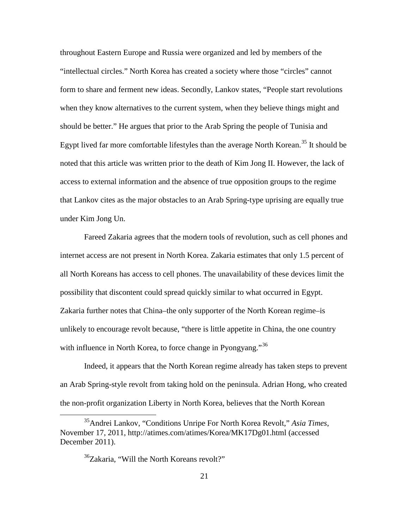throughout Eastern Europe and Russia were organized and led by members of the "intellectual circles." North Korea has created a society where those "circles" cannot form to share and ferment new ideas. Secondly, Lankov states, "People start revolutions when they know alternatives to the current system, when they believe things might and should be better." He argues that prior to the Arab Spring the people of Tunisia and Egypt lived far more comfortable lifestyles than the average North Korean.<sup>[35](#page-28-0)</sup> It should be noted that this article was written prior to the death of Kim Jong II. However, the lack of access to external information and the absence of true opposition groups to the regime that Lankov cites as the major obstacles to an Arab Spring-type uprising are equally true under Kim Jong Un.

Fareed Zakaria agrees that the modern tools of revolution, such as cell phones and internet access are not present in North Korea. Zakaria estimates that only 1.5 percent of all North Koreans has access to cell phones. The unavailability of these devices limit the possibility that discontent could spread quickly similar to what occurred in Egypt. Zakaria further notes that China–the only supporter of the North Korean regime–is unlikely to encourage revolt because, "there is little appetite in China, the one country with influence in North Korea, to force change in Pyongyang."<sup>[36](#page-28-1)</sup>

Indeed, it appears that the North Korean regime already has taken steps to prevent an Arab Spring-style revolt from taking hold on the peninsula. Adrian Hong, who created the non-profit organization Liberty in North Korea, believes that the North Korean

<span id="page-28-1"></span><span id="page-28-0"></span> <sup>35</sup>Andrei Lankov, "Conditions Unripe For North Korea Revolt," *Asia Times*, November 17, 2011, http://atimes.com/atimes/Korea/MK17Dg01.html (accessed December 2011).

<sup>&</sup>lt;sup>36</sup>Zakaria, "Will the North Koreans revolt?"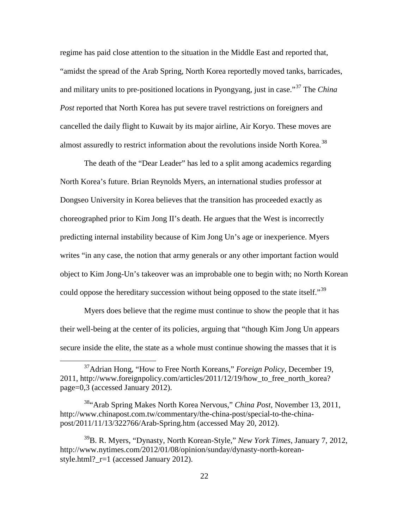regime has paid close attention to the situation in the Middle East and reported that, "amidst the spread of the Arab Spring, North Korea reportedly moved tanks, barricades, and military units to pre-positioned locations in Pyongyang, just in case."[37](#page-29-0) The *China Post* reported that North Korea has put severe travel restrictions on foreigners and cancelled the daily flight to Kuwait by its major airline, Air Koryo. These moves are almost assuredly to restrict information about the revolutions inside North Korea.<sup>[38](#page-29-1)</sup>

The death of the "Dear Leader" has led to a split among academics regarding North Korea's future. Brian Reynolds Myers, an international studies professor at Dongseo University in Korea believes that the transition has proceeded exactly as choreographed prior to Kim Jong II's death. He argues that the West is incorrectly predicting internal instability because of Kim Jong Un's age or inexperience. Myers writes "in any case, the notion that army generals or any other important faction would object to Kim Jong-Un's takeover was an improbable one to begin with; no North Korean could oppose the hereditary succession without being opposed to the state itself.<sup>[39](#page-29-2)</sup>

Myers does believe that the regime must continue to show the people that it has their well-being at the center of its policies, arguing that "though Kim Jong Un appears secure inside the elite, the state as a whole must continue showing the masses that it is

<span id="page-29-0"></span> <sup>37</sup>Adrian Hong, "How to Free North Koreans," *Foreign Policy*, December 19, 2011, http://www.foreignpolicy.com/articles/2011/12/19/how\_to\_free\_north\_korea? page=0,3 (accessed January 2012).

<span id="page-29-1"></span><sup>38&</sup>quot;Arab Spring Makes North Korea Nervous," *China Post*, November 13, 2011, http://www.chinapost.com.tw/commentary/the-china-post/special-to-the-chinapost/2011/11/13/322766/Arab-Spring.htm (accessed May 20, 2012).

<span id="page-29-2"></span><sup>39</sup>B. R. Myers, "Dynasty, North Korean-Style," *New York Times*, January 7, 2012, http://www.nytimes.com/2012/01/08/opinion/sunday/dynasty-north-koreanstyle.html?\_r=1 (accessed January 2012).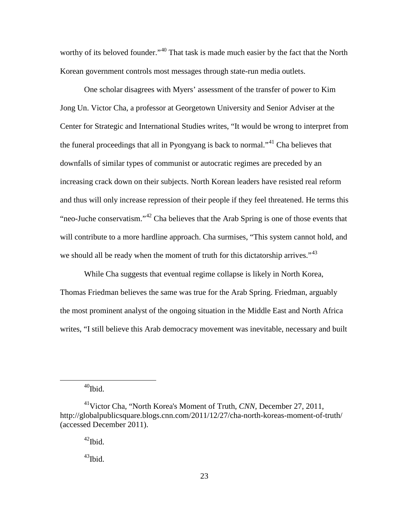worthy of its beloved founder."<sup>[40](#page-30-0)</sup> That task is made much easier by the fact that the North Korean government controls most messages through state-run media outlets.

One scholar disagrees with Myers' assessment of the transfer of power to Kim Jong Un. Victor Cha, a professor at Georgetown University and Senior Adviser at the Center for Strategic and International Studies writes, "It would be wrong to interpret from the funeral proceedings that all in Pyongyang is back to normal."[41](#page-30-1) Cha believes that downfalls of similar types of communist or autocratic regimes are preceded by an increasing crack down on their subjects. North Korean leaders have resisted real reform and thus will only increase repression of their people if they feel threatened. He terms this "neo-Juche conservatism."[42](#page-30-2) Cha believes that the Arab Spring is one of those events that will contribute to a more hardline approach. Cha surmises, "This system cannot hold, and we should all be ready when the moment of truth for this dictatorship arrives."<sup>[43](#page-30-3)</sup>

While Cha suggests that eventual regime collapse is likely in North Korea, Thomas Friedman believes the same was true for the Arab Spring. Friedman, arguably the most prominent analyst of the ongoing situation in the Middle East and North Africa writes, "I still believe this Arab democracy movement was inevitable, necessary and built

 $40$ Ibid.

 $^{43}$ Ibid.

<span id="page-30-3"></span><span id="page-30-2"></span><span id="page-30-1"></span><span id="page-30-0"></span><sup>41</sup>Victor Cha, "North Korea's Moment of Truth, *CNN*, December 27, 2011, http://globalpublicsquare.blogs.cnn.com/2011/12/27/cha-north-koreas-moment-of-truth/ (accessed December 2011).

 $42$ Ibid.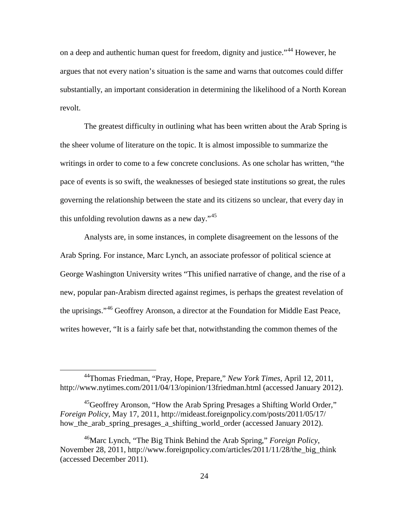on a deep and authentic human quest for freedom, dignity and justice."<sup>[44](#page-31-0)</sup> However, he argues that not every nation's situation is the same and warns that outcomes could differ substantially, an important consideration in determining the likelihood of a North Korean revolt.

The greatest difficulty in outlining what has been written about the Arab Spring is the sheer volume of literature on the topic. It is almost impossible to summarize the writings in order to come to a few concrete conclusions. As one scholar has written, "the pace of events is so swift, the weaknesses of besieged state institutions so great, the rules governing the relationship between the state and its citizens so unclear, that every day in this unfolding revolution dawns as a new day." $45$ 

Analysts are, in some instances, in complete disagreement on the lessons of the Arab Spring. For instance, Marc Lynch, an associate professor of political science at George Washington University writes "This unified narrative of change, and the rise of a new, popular pan-Arabism directed against regimes, is perhaps the greatest revelation of the uprisings."[46](#page-31-2) Geoffrey Aronson, a director at the Foundation for Middle East Peace, writes however, "It is a fairly safe bet that, notwithstanding the common themes of the

<span id="page-31-0"></span> <sup>44</sup>Thomas Friedman, "Pray, Hope, Prepare," *New York Times*, April 12, 2011, http://www.nytimes.com/2011/04/13/opinion/13friedman.html (accessed January 2012).

<span id="page-31-1"></span><sup>&</sup>lt;sup>45</sup>Geoffrey Aronson, "How the Arab Spring Presages a Shifting World Order," *Foreign Policy*, May 17, 2011, http://mideast.foreignpolicy.com/posts/2011/05/17/ how the arab spring presages a shifting world order (accessed January 2012).

<span id="page-31-2"></span><sup>46</sup>Marc Lynch, "The Big Think Behind the Arab Spring," *Foreign Policy*, November 28, 2011, http://www.foreignpolicy.com/articles/2011/11/28/the big think (accessed December 2011).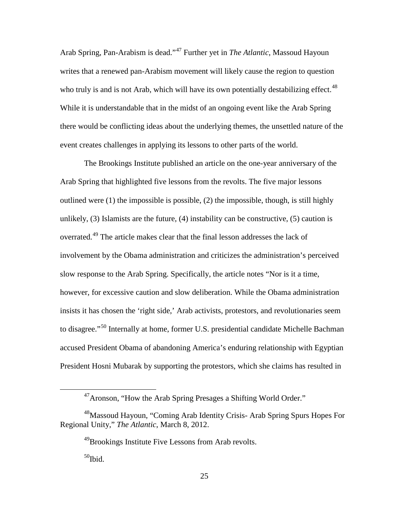Arab Spring, Pan-Arabism is dead."[47](#page-32-0) Further yet in *The Atlantic*, Massoud Hayoun writes that a renewed pan-Arabism movement will likely cause the region to question who truly is and is not Arab, which will have its own potentially destabilizing effect.<sup>[48](#page-32-1)</sup> While it is understandable that in the midst of an ongoing event like the Arab Spring there would be conflicting ideas about the underlying themes, the unsettled nature of the event creates challenges in applying its lessons to other parts of the world.

The Brookings Institute published an article on the one-year anniversary of the Arab Spring that highlighted five lessons from the revolts. The five major lessons outlined were  $(1)$  the impossible is possible,  $(2)$  the impossible, though, is still highly unlikely, (3) Islamists are the future, (4) instability can be constructive, (5) caution is overrated.[49](#page-32-2) The article makes clear that the final lesson addresses the lack of involvement by the Obama administration and criticizes the administration's perceived slow response to the Arab Spring. Specifically, the article notes "Nor is it a time, however, for excessive caution and slow deliberation. While the Obama administration insists it has chosen the 'right side,' Arab activists, protestors, and revolutionaries seem to disagree."[50](#page-32-3) Internally at home, former U.S. presidential candidate Michelle Bachman accused President Obama of abandoning America's enduring relationship with Egyptian President Hosni Mubarak by supporting the protestors, which she claims has resulted in

 <sup>47</sup>Aronson, "How the Arab Spring Presages a Shifting World Order."

<span id="page-32-3"></span><span id="page-32-2"></span><span id="page-32-1"></span><span id="page-32-0"></span><sup>&</sup>lt;sup>48</sup>Massoud Hayoun, "Coming Arab Identity Crisis- Arab Spring Spurs Hopes For Regional Unity," *The Atlantic*, March 8, 2012.

<sup>49</sup>Brookings Institute Five Lessons from Arab revolts.

 $50$ Ibid.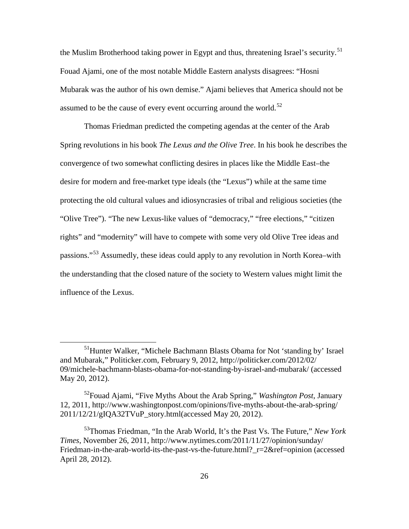the Muslim Brotherhood taking power in Egypt and thus, threatening Israel's security.<sup>[51](#page-33-0)</sup> Fouad Ajami, one of the most notable Middle Eastern analysts disagrees: "Hosni Mubarak was the author of his own demise." Ajami believes that America should not be assumed to be the cause of every event occurring around the world.<sup>[52](#page-33-1)</sup>

Thomas Friedman predicted the competing agendas at the center of the Arab Spring revolutions in his book *The Lexus and the Olive Tree*. In his book he describes the convergence of two somewhat conflicting desires in places like the Middle East–the desire for modern and free-market type ideals (the "Lexus") while at the same time protecting the old cultural values and idiosyncrasies of tribal and religious societies (the "Olive Tree"). "The new Lexus-like values of "democracy," "free elections," "citizen rights" and "modernity" will have to compete with some very old Olive Tree ideas and passions."[53](#page-33-2) Assumedly, these ideas could apply to any revolution in North Korea–with the understanding that the closed nature of the society to Western values might limit the influence of the Lexus.

<span id="page-33-0"></span><sup>&</sup>lt;sup>51</sup>Hunter Walker, "Michele Bachmann Blasts Obama for Not 'standing by' Israel and Mubarak," Politicker.com, February 9, 2012, http://politicker.com/2012/02/ 09/michele-bachmann-blasts-obama-for-not-standing-by-israel-and-mubarak/ (accessed May 20, 2012).

<span id="page-33-1"></span><sup>52</sup>Fouad Ajami, "Five Myths About the Arab Spring," *Washington Post*, January 12, 2011, http://www.washingtonpost.com/opinions/five-myths-about-the-arab-spring/ 2011/12/21/gIQA32TVuP\_story.html(accessed May 20, 2012).

<span id="page-33-2"></span><sup>53</sup>Thomas Friedman, "In the Arab World, It's the Past Vs. The Future," *New York Times*, November 26, 2011, http://www.nytimes.com/2011/11/27/opinion/sunday/ Friedman-in-the-arab-world-its-the-past-vs-the-future.html? r=2&ref=opinion (accessed April 28, 2012).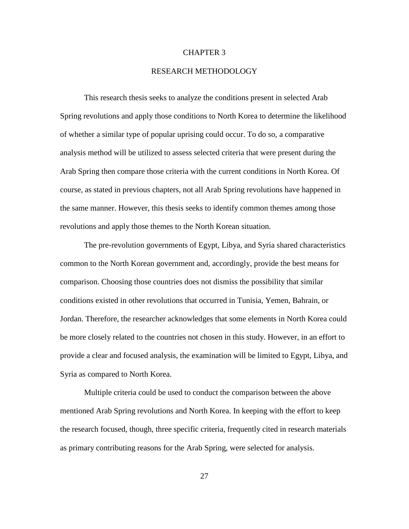### CHAPTER 3

# RESEARCH METHODOLOGY

This research thesis seeks to analyze the conditions present in selected Arab Spring revolutions and apply those conditions to North Korea to determine the likelihood of whether a similar type of popular uprising could occur. To do so, a comparative analysis method will be utilized to assess selected criteria that were present during the Arab Spring then compare those criteria with the current conditions in North Korea. Of course, as stated in previous chapters, not all Arab Spring revolutions have happened in the same manner. However, this thesis seeks to identify common themes among those revolutions and apply those themes to the North Korean situation.

The pre-revolution governments of Egypt, Libya, and Syria shared characteristics common to the North Korean government and, accordingly, provide the best means for comparison. Choosing those countries does not dismiss the possibility that similar conditions existed in other revolutions that occurred in Tunisia, Yemen, Bahrain, or Jordan. Therefore, the researcher acknowledges that some elements in North Korea could be more closely related to the countries not chosen in this study. However, in an effort to provide a clear and focused analysis, the examination will be limited to Egypt, Libya, and Syria as compared to North Korea.

Multiple criteria could be used to conduct the comparison between the above mentioned Arab Spring revolutions and North Korea. In keeping with the effort to keep the research focused, though, three specific criteria, frequently cited in research materials as primary contributing reasons for the Arab Spring, were selected for analysis.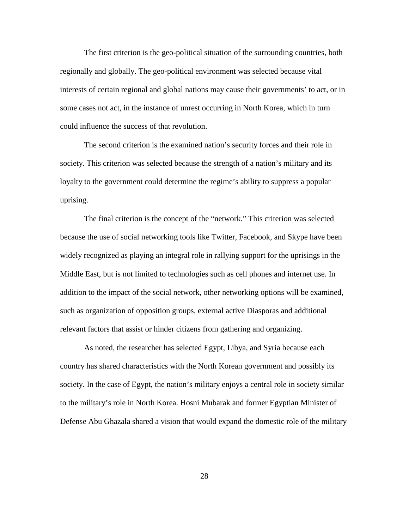The first criterion is the geo-political situation of the surrounding countries, both regionally and globally. The geo-political environment was selected because vital interests of certain regional and global nations may cause their governments' to act, or in some cases not act, in the instance of unrest occurring in North Korea, which in turn could influence the success of that revolution.

The second criterion is the examined nation's security forces and their role in society. This criterion was selected because the strength of a nation's military and its loyalty to the government could determine the regime's ability to suppress a popular uprising.

The final criterion is the concept of the "network." This criterion was selected because the use of social networking tools like Twitter, Facebook, and Skype have been widely recognized as playing an integral role in rallying support for the uprisings in the Middle East, but is not limited to technologies such as cell phones and internet use. In addition to the impact of the social network, other networking options will be examined, such as organization of opposition groups, external active Diasporas and additional relevant factors that assist or hinder citizens from gathering and organizing.

As noted, the researcher has selected Egypt, Libya, and Syria because each country has shared characteristics with the North Korean government and possibly its society. In the case of Egypt, the nation's military enjoys a central role in society similar to the military's role in North Korea. Hosni Mubarak and former Egyptian Minister of Defense Abu Ghazala shared a vision that would expand the domestic role of the military

28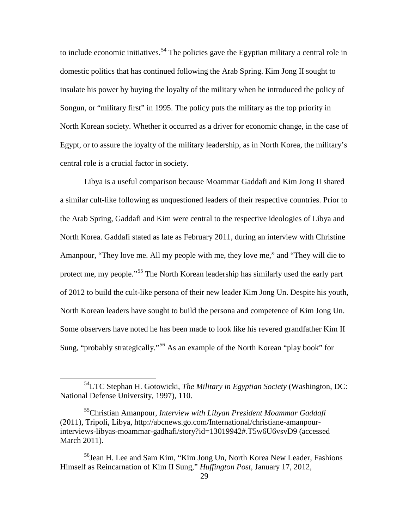to include economic initiatives.<sup>[54](#page-36-0)</sup> The policies gave the Egyptian military a central role in domestic politics that has continued following the Arab Spring. Kim Jong II sought to insulate his power by buying the loyalty of the military when he introduced the policy of Songun, or "military first" in 1995. The policy puts the military as the top priority in North Korean society. Whether it occurred as a driver for economic change, in the case of Egypt, or to assure the loyalty of the military leadership, as in North Korea, the military's central role is a crucial factor in society.

Libya is a useful comparison because Moammar Gaddafi and Kim Jong II shared a similar cult-like following as unquestioned leaders of their respective countries. Prior to the Arab Spring, Gaddafi and Kim were central to the respective ideologies of Libya and North Korea. Gaddafi stated as late as February 2011, during an interview with Christine Amanpour, "They love me. All my people with me, they love me," and "They will die to protect me, my people."<sup>[55](#page-36-1)</sup> The North Korean leadership has similarly used the early part of 2012 to build the cult-like persona of their new leader Kim Jong Un. Despite his youth, North Korean leaders have sought to build the persona and competence of Kim Jong Un. Some observers have noted he has been made to look like his revered grandfather Kim II Sung, "probably strategically."<sup>[56](#page-36-2)</sup> As an example of the North Korean "play book" for

<span id="page-36-0"></span> <sup>54</sup>LTC Stephan H. Gotowicki, *The Military in Egyptian Society* (Washington, DC: National Defense University, 1997), 110.

<span id="page-36-1"></span><sup>55</sup>Christian Amanpour, *Interview with Libyan President Moammar Gaddafi* (2011), Tripoli, Libya, http://abcnews.go.com/International/christiane-amanpourinterviews-libyas-moammar-gadhafi/story?id=13019942#.T5w6U6vsvD9 (accessed March 2011).

<span id="page-36-2"></span><sup>&</sup>lt;sup>56</sup>Jean H. Lee and Sam Kim, "Kim Jong Un, North Korea New Leader, Fashions Himself as Reincarnation of Kim II Sung," *Huffington Post*, January 17, 2012,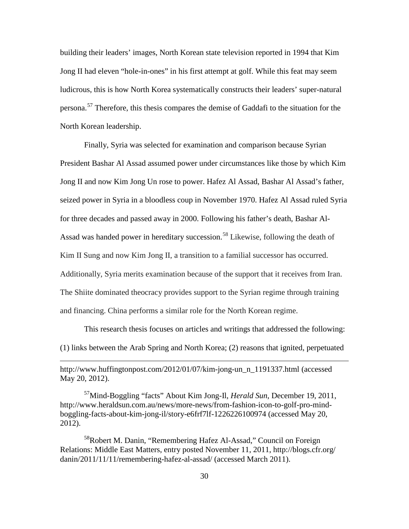building their leaders' images, North Korean state television reported in 1994 that Kim Jong II had eleven "hole-in-ones" in his first attempt at golf. While this feat may seem ludicrous, this is how North Korea systematically constructs their leaders' super-natural persona.[57](#page-37-0) Therefore, this thesis compares the demise of Gaddafi to the situation for the North Korean leadership.

Finally, Syria was selected for examination and comparison because Syrian President Bashar Al Assad assumed power under circumstances like those by which Kim Jong II and now Kim Jong Un rose to power. Hafez Al Assad, Bashar Al Assad's father, seized power in Syria in a bloodless coup in November 1970. Hafez Al Assad ruled Syria for three decades and passed away in 2000. Following his father's death, Bashar Al-Assad was handed power in hereditary succession.<sup>[58](#page-37-1)</sup> Likewise, following the death of Kim II Sung and now Kim Jong II, a transition to a familial successor has occurred. Additionally, Syria merits examination because of the support that it receives from Iran. The Shiite dominated theocracy provides support to the Syrian regime through training and financing. China performs a similar role for the North Korean regime.

This research thesis focuses on articles and writings that addressed the following: (1) links between the Arab Spring and North Korea; (2) reasons that ignited, perpetuated

http://www.huffingtonpost.com/2012/01/07/kim-jong-un\_n\_1191337.html (accessed May 20, 2012).

 $\overline{a}$ 

<span id="page-37-0"></span>57Mind-Boggling "facts" About Kim Jong-Il, *Herald Sun*, December 19, 2011, http://www.heraldsun.com.au/news/more-news/from-fashion-icon-to-golf-pro-mindboggling-facts-about-kim-jong-il/story-e6frf7lf-1226226100974 (accessed May 20, 2012).

<span id="page-37-1"></span><sup>58</sup>Robert M. Danin, "Remembering Hafez Al-Assad," Council on Foreign Relations: Middle East Matters, entry posted November 11, 2011, http://blogs.cfr.org/ danin/2011/11/11/remembering-hafez-al-assad/ (accessed March 2011).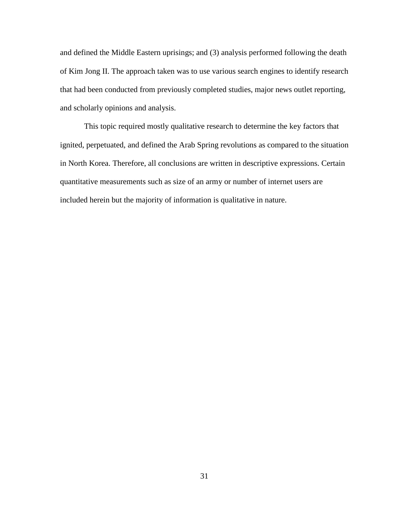and defined the Middle Eastern uprisings; and (3) analysis performed following the death of Kim Jong II. The approach taken was to use various search engines to identify research that had been conducted from previously completed studies, major news outlet reporting, and scholarly opinions and analysis.

This topic required mostly qualitative research to determine the key factors that ignited, perpetuated, and defined the Arab Spring revolutions as compared to the situation in North Korea. Therefore, all conclusions are written in descriptive expressions. Certain quantitative measurements such as size of an army or number of internet users are included herein but the majority of information is qualitative in nature.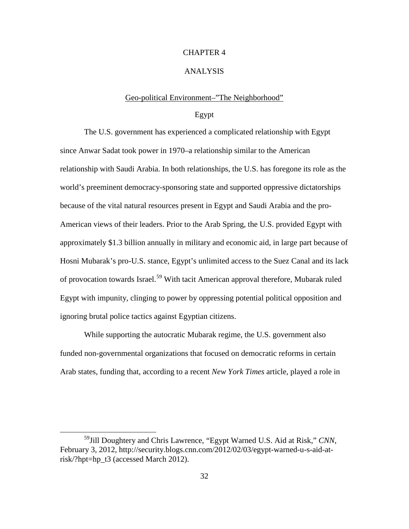# CHAPTER 4

## ANALYSIS

#### Geo-political Environment–"The Neighborhood"

# Egypt

The U.S. government has experienced a complicated relationship with Egypt since Anwar Sadat took power in 1970–a relationship similar to the American relationship with Saudi Arabia. In both relationships, the U.S. has foregone its role as the world's preeminent democracy-sponsoring state and supported oppressive dictatorships because of the vital natural resources present in Egypt and Saudi Arabia and the pro-American views of their leaders. Prior to the Arab Spring, the U.S. provided Egypt with approximately \$1.3 billion annually in military and economic aid, in large part because of Hosni Mubarak's pro-U.S. stance, Egypt's unlimited access to the Suez Canal and its lack of provocation towards Israel.<sup>[59](#page-39-0)</sup> With tacit American approval therefore, Mubarak ruled Egypt with impunity, clinging to power by oppressing potential political opposition and ignoring brutal police tactics against Egyptian citizens.

While supporting the autocratic Mubarak regime, the U.S. government also funded non-governmental organizations that focused on democratic reforms in certain Arab states, funding that, according to a recent *New York Times* article, played a role in

<span id="page-39-0"></span> <sup>59</sup>Jill Doughtery and Chris Lawrence, "Egypt Warned U.S. Aid at Risk," *CNN*, February 3, 2012, http://security.blogs.cnn.com/2012/02/03/egypt-warned-u-s-aid-atrisk/?hpt=hp\_t3 (accessed March 2012).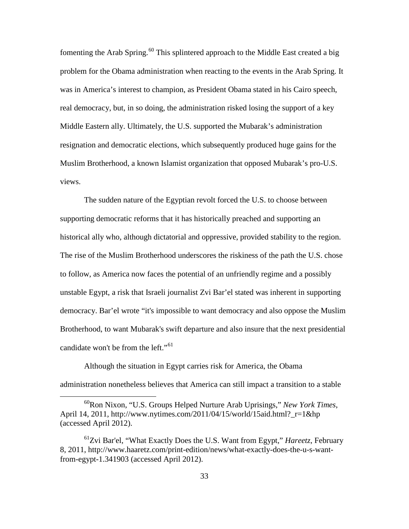fomenting the Arab Spring.<sup>[60](#page-40-0)</sup> This splintered approach to the Middle East created a big problem for the Obama administration when reacting to the events in the Arab Spring. It was in America's interest to champion, as President Obama stated in his Cairo speech, real democracy, but, in so doing, the administration risked losing the support of a key Middle Eastern ally. Ultimately, the U.S. supported the Mubarak's administration resignation and democratic elections, which subsequently produced huge gains for the Muslim Brotherhood, a known Islamist organization that opposed Mubarak's pro-U.S. views.

The sudden nature of the Egyptian revolt forced the U.S. to choose between supporting democratic reforms that it has historically preached and supporting an historical ally who, although dictatorial and oppressive, provided stability to the region. The rise of the Muslim Brotherhood underscores the riskiness of the path the U.S. chose to follow, as America now faces the potential of an unfriendly regime and a possibly unstable Egypt, a risk that Israeli journalist Zvi Bar'el stated was inherent in supporting democracy. Bar'el wrote "it's impossible to want democracy and also oppose the Muslim Brotherhood, to want Mubarak's swift departure and also insure that the next presidential candidate won't be from the left."<sup>[61](#page-40-1)</sup>

Although the situation in Egypt carries risk for America, the Obama administration nonetheless believes that America can still impact a transition to a stable

<span id="page-40-0"></span> <sup>60</sup>Ron Nixon, "U.S. Groups Helped Nurture Arab Uprisings," *New York Times*, April 14, 2011, http://www.nytimes.com/2011/04/15/world/15aid.html?\_r=1&hp (accessed April 2012).

<span id="page-40-1"></span><sup>61</sup>Zvi Bar'el, "What Exactly Does the U.S. Want from Egypt," *Hareetz*, February 8, 2011, http://www.haaretz.com/print-edition/news/what-exactly-does-the-u-s-wantfrom-egypt-1.341903 (accessed April 2012).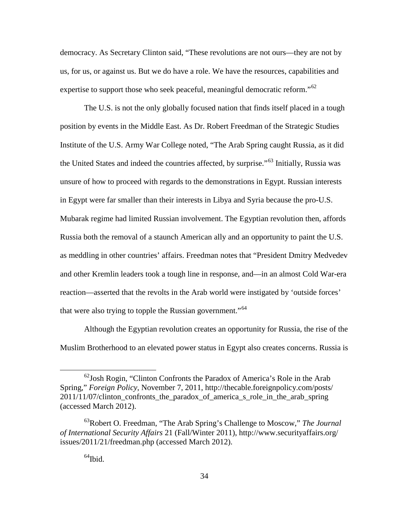democracy. As Secretary Clinton said, "These revolutions are not ours—they are not by us, for us, or against us. But we do have a role. We have the resources, capabilities and expertise to support those who seek peaceful, meaningful democratic reform.<sup> $62$ </sup>

The U.S. is not the only globally focused nation that finds itself placed in a tough position by events in the Middle East. As Dr. Robert Freedman of the Strategic Studies Institute of the U.S. Army War College noted, "The Arab Spring caught Russia, as it did the United States and indeed the countries affected, by surprise."[63](#page-41-1) Initially, Russia was unsure of how to proceed with regards to the demonstrations in Egypt. Russian interests in Egypt were far smaller than their interests in Libya and Syria because the pro-U.S. Mubarak regime had limited Russian involvement. The Egyptian revolution then, affords Russia both the removal of a staunch American ally and an opportunity to paint the U.S. as meddling in other countries' affairs. Freedman notes that "President Dmitry Medvedev and other Kremlin leaders took a tough line in response, and—in an almost Cold War-era reaction—asserted that the revolts in the Arab world were instigated by 'outside forces' that were also trying to topple the Russian government."<sup>[64](#page-41-2)</sup>

Although the Egyptian revolution creates an opportunity for Russia, the rise of the Muslim Brotherhood to an elevated power status in Egypt also creates concerns. Russia is

<span id="page-41-0"></span> $62$  Josh Rogin, "Clinton Confronts the Paradox of America's Role in the Arab Spring," *Foreign Policy*, November 7, 2011, http://thecable.foreignpolicy.com/posts/ 2011/11/07/clinton\_confronts\_the\_paradox\_of\_america\_s\_role\_in\_the\_arab\_spring (accessed March 2012).

<span id="page-41-2"></span><span id="page-41-1"></span><sup>63</sup>Robert O. Freedman, "The Arab Spring's Challenge to Moscow," *The Journal of International Security Affairs* 21 (Fall/Winter 2011), http://www.securityaffairs.org/ issues/2011/21/freedman.php (accessed March 2012).

 $<sup>64</sup>$ Ibid.</sup>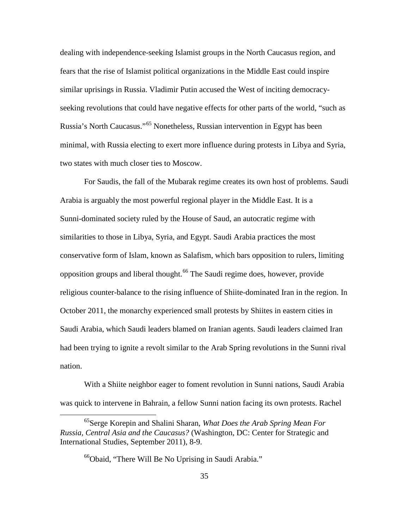dealing with independence-seeking Islamist groups in the North Caucasus region, and fears that the rise of Islamist political organizations in the Middle East could inspire similar uprisings in Russia. Vladimir Putin accused the West of inciting democracyseeking revolutions that could have negative effects for other parts of the world, "such as Russia's North Caucasus."[65](#page-42-0) Nonetheless, Russian intervention in Egypt has been minimal, with Russia electing to exert more influence during protests in Libya and Syria, two states with much closer ties to Moscow.

For Saudis, the fall of the Mubarak regime creates its own host of problems. Saudi Arabia is arguably the most powerful regional player in the Middle East. It is a Sunni-dominated society ruled by the House of Saud, an autocratic regime with similarities to those in Libya, Syria, and Egypt. Saudi Arabia practices the most conservative form of Islam, known as Salafism, which bars opposition to rulers, limiting opposition groups and liberal thought.[66](#page-42-1) The Saudi regime does, however, provide religious counter-balance to the rising influence of Shiite-dominated Iran in the region. In October 2011, the monarchy experienced small protests by Shiites in eastern cities in Saudi Arabia, which Saudi leaders blamed on Iranian agents. Saudi leaders claimed Iran had been trying to ignite a revolt similar to the Arab Spring revolutions in the Sunni rival nation.

With a Shiite neighbor eager to foment revolution in Sunni nations, Saudi Arabia was quick to intervene in Bahrain, a fellow Sunni nation facing its own protests. Rachel

<span id="page-42-1"></span><span id="page-42-0"></span> <sup>65</sup>Serge Korepin and Shalini Sharan, *What Does the Arab Spring Mean For Russia, Central Asia and the Caucasus?* (Washington, DC: Center for Strategic and International Studies, September 2011), 8-9.

<sup>&</sup>lt;sup>66</sup>Obaid, "There Will Be No Uprising in Saudi Arabia."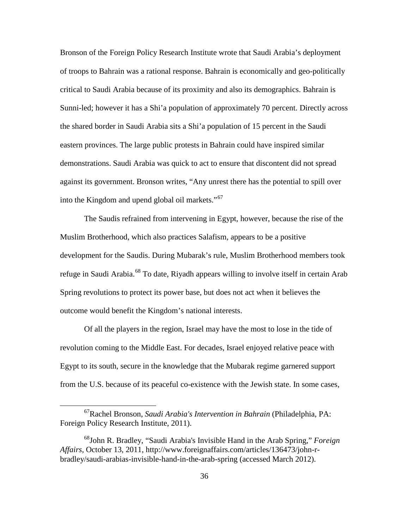Bronson of the Foreign Policy Research Institute wrote that Saudi Arabia's deployment of troops to Bahrain was a rational response. Bahrain is economically and geo-politically critical to Saudi Arabia because of its proximity and also its demographics. Bahrain is Sunni-led; however it has a Shi'a population of approximately 70 percent. Directly across the shared border in Saudi Arabia sits a Shi'a population of 15 percent in the Saudi eastern provinces. The large public protests in Bahrain could have inspired similar demonstrations. Saudi Arabia was quick to act to ensure that discontent did not spread against its government. Bronson writes, "Any unrest there has the potential to spill over into the Kingdom and upend global oil markets."<sup>[67](#page-43-0)</sup>

The Saudis refrained from intervening in Egypt, however, because the rise of the Muslim Brotherhood, which also practices Salafism, appears to be a positive development for the Saudis. During Mubarak's rule, Muslim Brotherhood members took refuge in Saudi Arabia.<sup>[68](#page-43-1)</sup> To date, Riyadh appears willing to involve itself in certain Arab Spring revolutions to protect its power base, but does not act when it believes the outcome would benefit the Kingdom's national interests.

Of all the players in the region, Israel may have the most to lose in the tide of revolution coming to the Middle East. For decades, Israel enjoyed relative peace with Egypt to its south, secure in the knowledge that the Mubarak regime garnered support from the U.S. because of its peaceful co-existence with the Jewish state. In some cases,

<span id="page-43-0"></span> <sup>67</sup>Rachel Bronson, *Saudi Arabia's Intervention in Bahrain* (Philadelphia, PA: Foreign Policy Research Institute, 2011).

<span id="page-43-1"></span><sup>68</sup>John R. Bradley, "Saudi Arabia's Invisible Hand in the Arab Spring," *Foreign Affairs*, October 13, 2011, http://www.foreignaffairs.com/articles/136473/john-rbradley/saudi-arabias-invisible-hand-in-the-arab-spring (accessed March 2012).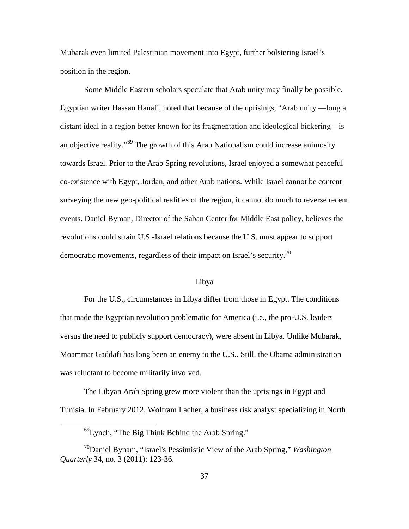Mubarak even limited Palestinian movement into Egypt, further bolstering Israel's position in the region.

Some Middle Eastern scholars speculate that Arab unity may finally be possible. Egyptian writer Hassan Hanafi, noted that because of the uprisings, "Arab unity —long a distant ideal in a region better known for its fragmentation and ideological bickering—is an objective reality."[69](#page-44-0) The growth of this Arab Nationalism could increase animosity towards Israel. Prior to the Arab Spring revolutions, Israel enjoyed a somewhat peaceful co-existence with Egypt, Jordan, and other Arab nations. While Israel cannot be content surveying the new geo-political realities of the region, it cannot do much to reverse recent events. Daniel Byman, Director of the Saban Center for Middle East policy, believes the revolutions could strain U.S.-Israel relations because the U.S. must appear to support democratic movements, regardless of their impact on Israel's security.<sup>[70](#page-44-1)</sup>

#### Libya

For the U.S., circumstances in Libya differ from those in Egypt. The conditions that made the Egyptian revolution problematic for America (i.e., the pro-U.S. leaders versus the need to publicly support democracy), were absent in Libya. Unlike Mubarak, Moammar Gaddafi has long been an enemy to the U.S.. Still, the Obama administration was reluctant to become militarily involved.

The Libyan Arab Spring grew more violent than the uprisings in Egypt and Tunisia. In February 2012, Wolfram Lacher, a business risk analyst specializing in North

 <sup>69</sup>Lynch, "The Big Think Behind the Arab Spring."

<span id="page-44-1"></span><span id="page-44-0"></span><sup>70</sup>Daniel Bynam, "Israel's Pessimistic View of the Arab Spring," *Washington Quarterly* 34, no. 3 (2011): 123-36.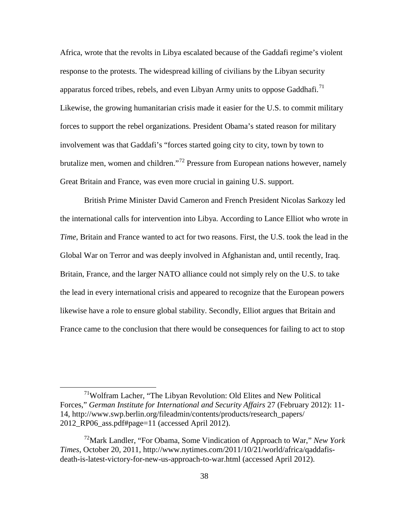Africa, wrote that the revolts in Libya escalated because of the Gaddafi regime's violent response to the protests. The widespread killing of civilians by the Libyan security apparatus forced tribes, rebels, and even Libyan Army units to oppose Gaddhafi.<sup>[71](#page-45-0)</sup> Likewise, the growing humanitarian crisis made it easier for the U.S. to commit military forces to support the rebel organizations. President Obama's stated reason for military involvement was that Gaddafi's "forces started going city to city, town by town to brutalize men, women and children."[72](#page-45-1) Pressure from European nations however, namely Great Britain and France, was even more crucial in gaining U.S. support.

British Prime Minister David Cameron and French President Nicolas Sarkozy led the international calls for intervention into Libya. According to Lance Elliot who wrote in *Time*, Britain and France wanted to act for two reasons. First, the U.S. took the lead in the Global War on Terror and was deeply involved in Afghanistan and, until recently, Iraq. Britain, France, and the larger NATO alliance could not simply rely on the U.S. to take the lead in every international crisis and appeared to recognize that the European powers likewise have a role to ensure global stability. Secondly, Elliot argues that Britain and France came to the conclusion that there would be consequences for failing to act to stop

<span id="page-45-0"></span> <sup>71</sup>Wolfram Lacher, "The Libyan Revolution: Old Elites and New Political Forces," *German Institute for International and Security Affairs* 27 (February 2012): 11- 14, http://www.swp.berlin.org/fileadmin/contents/products/research\_papers/ 2012\_RP06\_ass.pdf#page=11 (accessed April 2012).

<span id="page-45-1"></span><sup>72</sup>Mark Landler, "For Obama, Some Vindication of Approach to War," *New York Times*, October 20, 2011, http://www.nytimes.com/2011/10/21/world/africa/qaddafisdeath-is-latest-victory-for-new-us-approach-to-war.html (accessed April 2012).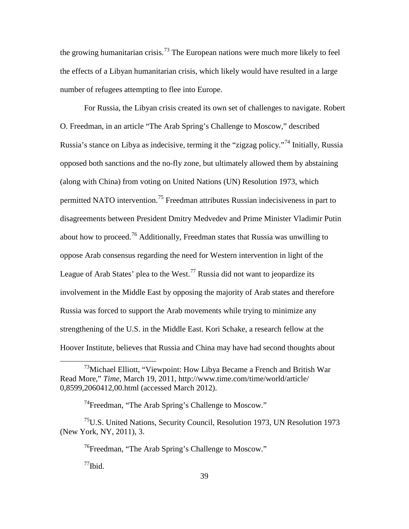the growing humanitarian crisis.<sup>[73](#page-46-0)</sup> The European nations were much more likely to feel the effects of a Libyan humanitarian crisis, which likely would have resulted in a large number of refugees attempting to flee into Europe.

For Russia, the Libyan crisis created its own set of challenges to navigate. Robert O. Freedman, in an article "The Arab Spring's Challenge to Moscow*,*" described Russia's stance on Libya as indecisive, terming it the "zigzag policy."[74](#page-46-1) Initially, Russia opposed both sanctions and the no-fly zone, but ultimately allowed them by abstaining (along with China) from voting on United Nations (UN) Resolution 1973, which permitted NATO intervention.<sup>[75](#page-46-2)</sup> Freedman attributes Russian indecisiveness in part to disagreements between President Dmitry Medvedev and Prime Minister Vladimir Putin about how to proceed.<sup>[76](#page-46-3)</sup> Additionally, Freedman states that Russia was unwilling to oppose Arab consensus regarding the need for Western intervention in light of the League of Arab States' plea to the West.<sup>[77](#page-46-4)</sup> Russia did not want to jeopardize its involvement in the Middle East by opposing the majority of Arab states and therefore Russia was forced to support the Arab movements while trying to minimize any strengthening of the U.S. in the Middle East. Kori Schake, a research fellow at the Hoover Institute, believes that Russia and China may have had second thoughts about

 $^{77}$ Ibid.

<span id="page-46-0"></span> $^{73}$ Michael Elliott, "Viewpoint: How Libya Became a French and British War Read More," *Time*, March 19, 2011, http://www.time.com/time/world/article/ 0,8599,2060412,00.html (accessed March 2012).

<sup>74</sup>Freedman, "The Arab Spring's Challenge to Moscow."

<span id="page-46-4"></span><span id="page-46-3"></span><span id="page-46-2"></span><span id="page-46-1"></span><sup>75</sup>U.S. United Nations, Security Council, Resolution 1973, UN Resolution 1973 (New York, NY, 2011), 3.

 $^{76}$ Freedman, "The Arab Spring's Challenge to Moscow."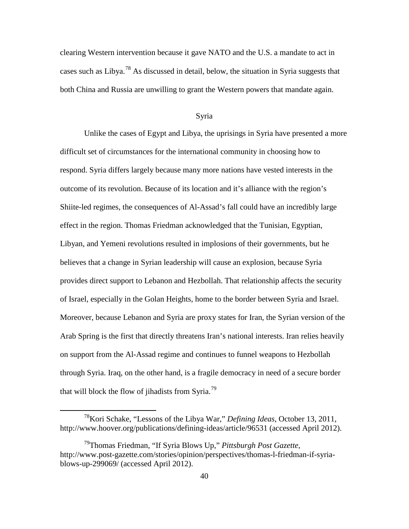clearing Western intervention because it gave NATO and the U.S. a mandate to act in cases such as Libya.<sup>[78](#page-47-0)</sup> As discussed in detail, below, the situation in Syria suggests that both China and Russia are unwilling to grant the Western powers that mandate again.

#### Syria

Unlike the cases of Egypt and Libya, the uprisings in Syria have presented a more difficult set of circumstances for the international community in choosing how to respond. Syria differs largely because many more nations have vested interests in the outcome of its revolution. Because of its location and it's alliance with the region's Shiite-led regimes, the consequences of Al-Assad's fall could have an incredibly large effect in the region. Thomas Friedman acknowledged that the Tunisian, Egyptian, Libyan, and Yemeni revolutions resulted in implosions of their governments, but he believes that a change in Syrian leadership will cause an explosion, because Syria provides direct support to Lebanon and Hezbollah. That relationship affects the security of Israel, especially in the Golan Heights, home to the border between Syria and Israel. Moreover, because Lebanon and Syria are proxy states for Iran, the Syrian version of the Arab Spring is the first that directly threatens Iran's national interests. Iran relies heavily on support from the Al-Assad regime and continues to funnel weapons to Hezbollah through Syria. Iraq, on the other hand, is a fragile democracy in need of a secure border that will block the flow of jihadists from Syria.<sup>[79](#page-47-1)</sup>

<span id="page-47-0"></span> <sup>78</sup>Kori Schake, "Lessons of the Libya War," *Defining Ideas*, October 13, 2011, http://www.hoover.org/publications/defining-ideas/article/96531 (accessed April 2012).

<span id="page-47-1"></span><sup>79</sup>Thomas Friedman, "If Syria Blows Up," *Pittsburgh Post Gazette*, http://www.post-gazette.com/stories/opinion/perspectives/thomas-l-friedman-if-syriablows-up-299069/ (accessed April 2012).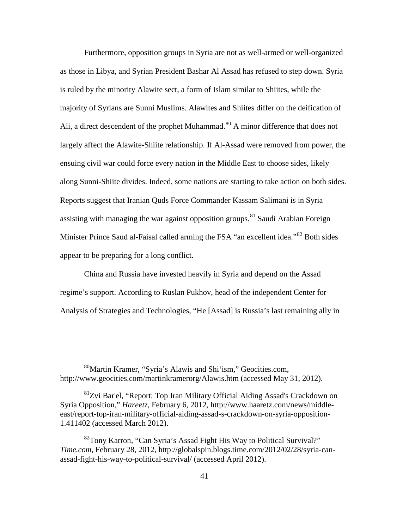Furthermore, opposition groups in Syria are not as well-armed or well-organized as those in Libya, and Syrian President Bashar Al Assad has refused to step down. Syria is ruled by the minority Alawite sect, a form of Islam similar to Shiites, while the majority of Syrians are Sunni Muslims. Alawites and Shiites differ on the deification of Ali, a direct descendent of the prophet Muhammad.<sup>[80](#page-48-0)</sup> A minor difference that does not largely affect the Alawite-Shiite relationship. If Al-Assad were removed from power, the ensuing civil war could force every nation in the Middle East to choose sides, likely along Sunni-Shiite divides. Indeed, some nations are starting to take action on both sides. Reports suggest that Iranian Quds Force Commander Kassam Salimani is in Syria assisting with managing the war against opposition groups.<sup>[81](#page-48-1)</sup> Saudi Arabian Foreign Minister Prince Saud al-Faisal called arming the FSA "an excellent idea."<sup>[82](#page-48-2)</sup> Both sides appear to be preparing for a long conflict.

China and Russia have invested heavily in Syria and depend on the Assad regime's support. According to Ruslan Pukhov, head of the independent Center for Analysis of Strategies and Technologies, "He [Assad] is Russia's last remaining ally in

<span id="page-48-0"></span> <sup>80</sup>Martin Kramer, "Syria's Alawis and Shi'ism," Geocities.com, http://www.geocities.com/martinkramerorg/Alawis.htm (accessed May 31, 2012).

<span id="page-48-1"></span><sup>&</sup>lt;sup>81</sup>Zvi Bar'el, "Report: Top Iran Military Official Aiding Assad's Crackdown on Syria Opposition," *Hareetz*, February 6, 2012, http://www.haaretz.com/news/middleeast/report-top-iran-military-official-aiding-assad-s-crackdown-on-syria-opposition-1.411402 (accessed March 2012).

<span id="page-48-2"></span> $82^{\circ}$ Tony Karron, "Can Syria's Assad Fight His Way to Political Survival?" *Time.com*, February 28, 2012, http://globalspin.blogs.time.com/2012/02/28/syria-canassad-fight-his-way-to-political-survival/ (accessed April 2012).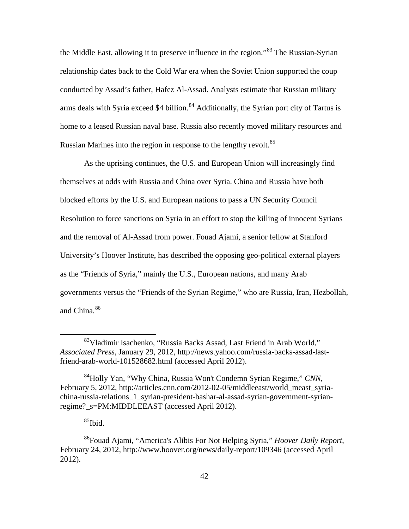the Middle East, allowing it to preserve influence in the region.<sup>[83](#page-49-0)</sup> The Russian-Syrian relationship dates back to the Cold War era when the Soviet Union supported the coup conducted by Assad's father, Hafez Al-Assad. Analysts estimate that Russian military arms deals with Syria exceed \$4 billion.<sup>[84](#page-49-1)</sup> Additionally, the Syrian port city of Tartus is home to a leased Russian naval base. Russia also recently moved military resources and Russian Marines into the region in response to the lengthy revolt.<sup>[85](#page-49-2)</sup>

As the uprising continues, the U.S. and European Union will increasingly find themselves at odds with Russia and China over Syria. China and Russia have both blocked efforts by the U.S. and European nations to pass a UN Security Council Resolution to force sanctions on Syria in an effort to stop the killing of innocent Syrians and the removal of Al-Assad from power. Fouad Ajami, a senior fellow at Stanford University's Hoover Institute, has described the opposing geo-political external players as the "Friends of Syria," mainly the U.S., European nations, and many Arab governments versus the "Friends of the Syrian Regime," who are Russia, Iran, Hezbollah, and China.<sup>[86](#page-49-3)</sup>

<span id="page-49-0"></span> <sup>83</sup>Vladimir Isachenko, "Russia Backs Assad, Last Friend in Arab World," *Associated Press*, January 29, 2012, http://news.yahoo.com/russia-backs-assad-lastfriend-arab-world-101528682.html (accessed April 2012).

<span id="page-49-1"></span><sup>84</sup>Holly Yan, "Why China, Russia Won't Condemn Syrian Regime," *CNN*, February 5, 2012, http://articles.cnn.com/2012-02-05/middleeast/world\_meast\_syriachina-russia-relations\_1\_syrian-president-bashar-al-assad-syrian-government-syrianregime?\_s=PM:MIDDLEEAST (accessed April 2012).

 $85$ Ibid.

<span id="page-49-3"></span><span id="page-49-2"></span><sup>86</sup>Fouad Ajami, "America's Alibis For Not Helping Syria," *Hoover Daily Report*, February 24, 2012, http://www.hoover.org/news/daily-report/109346 (accessed April 2012).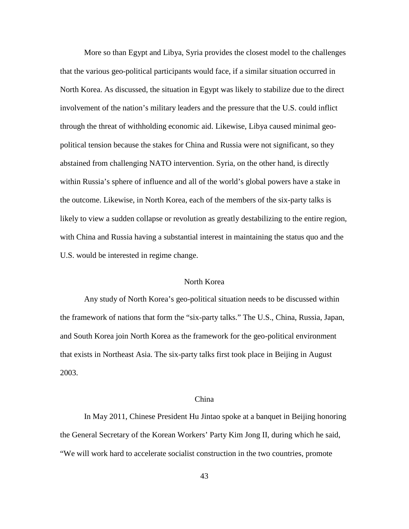More so than Egypt and Libya, Syria provides the closest model to the challenges that the various geo-political participants would face, if a similar situation occurred in North Korea. As discussed, the situation in Egypt was likely to stabilize due to the direct involvement of the nation's military leaders and the pressure that the U.S. could inflict through the threat of withholding economic aid. Likewise, Libya caused minimal geopolitical tension because the stakes for China and Russia were not significant, so they abstained from challenging NATO intervention. Syria, on the other hand, is directly within Russia's sphere of influence and all of the world's global powers have a stake in the outcome. Likewise, in North Korea, each of the members of the six-party talks is likely to view a sudden collapse or revolution as greatly destabilizing to the entire region, with China and Russia having a substantial interest in maintaining the status quo and the U.S. would be interested in regime change.

## North Korea

Any study of North Korea's geo-political situation needs to be discussed within the framework of nations that form the "six-party talks." The U.S., China, Russia, Japan, and South Korea join North Korea as the framework for the geo-political environment that exists in Northeast Asia. The six-party talks first took place in Beijing in August 2003.

#### China

In May 2011, Chinese President Hu Jintao spoke at a banquet in Beijing honoring the General Secretary of the Korean Workers' Party Kim Jong II, during which he said, "We will work hard to accelerate socialist construction in the two countries, promote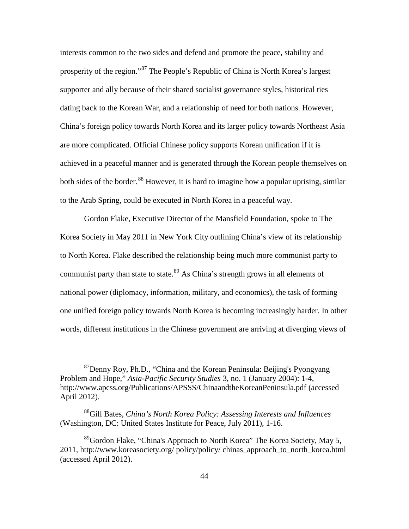interests common to the two sides and defend and promote the peace, stability and prosperity of the region."[87](#page-51-0) The People's Republic of China is North Korea's largest supporter and ally because of their shared socialist governance styles, historical ties dating back to the Korean War, and a relationship of need for both nations. However, China's foreign policy towards North Korea and its larger policy towards Northeast Asia are more complicated. Official Chinese policy supports Korean unification if it is achieved in a peaceful manner and is generated through the Korean people themselves on both sides of the border.<sup>[88](#page-51-1)</sup> However, it is hard to imagine how a popular uprising, similar to the Arab Spring, could be executed in North Korea in a peaceful way.

Gordon Flake, Executive Director of the Mansfield Foundation, spoke to The Korea Society in May 2011 in New York City outlining China's view of its relationship to North Korea. Flake described the relationship being much more communist party to communist party than state to state.<sup>[89](#page-51-2)</sup> As China's strength grows in all elements of national power (diplomacy, information, military, and economics), the task of forming one unified foreign policy towards North Korea is becoming increasingly harder. In other words, different institutions in the Chinese government are arriving at diverging views of

<span id="page-51-0"></span> $87$ Denny Roy, Ph.D., "China and the Korean Peninsula: Beijing's Pyongyang Problem and Hope," *Asia-Pacific Security Studies* 3, no. 1 (January 2004): 1-4, http://www.apcss.org/Publications/APSSS/ChinaandtheKoreanPeninsula.pdf (accessed April 2012).

<span id="page-51-1"></span><sup>88</sup>Gill Bates, *China's North Korea Policy: Assessing Interests and Influences* (Washington, DC: United States Institute for Peace, July 2011), 1-16.

<span id="page-51-2"></span><sup>&</sup>lt;sup>89</sup>Gordon Flake, "China's Approach to North Korea" The Korea Society, May 5, 2011, http://www.koreasociety.org/ policy/policy/ chinas\_approach\_to\_north\_korea.html (accessed April 2012).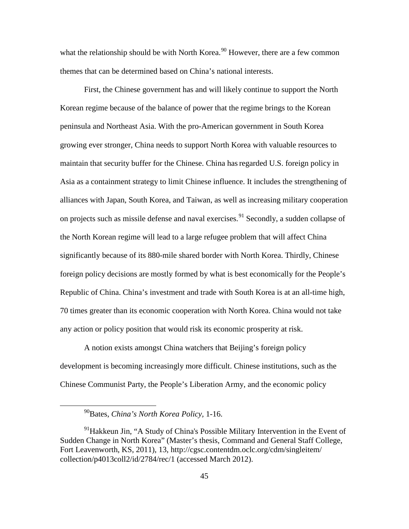what the relationship should be with North Korea.<sup>[90](#page-52-0)</sup> However, there are a few common themes that can be determined based on China's national interests.

First, the Chinese government has and will likely continue to support the North Korean regime because of the balance of power that the regime brings to the Korean peninsula and Northeast Asia. With the pro-American government in South Korea growing ever stronger, China needs to support North Korea with valuable resources to maintain that security buffer for the Chinese. China hasregarded U.S. foreign policy in Asia as a containment strategy to limit Chinese influence. It includes the strengthening of alliances with Japan, South Korea, and Taiwan, as well as increasing military cooperation on projects such as missile defense and naval exercises.<sup>[91](#page-52-1)</sup> Secondly, a sudden collapse of the North Korean regime will lead to a large refugee problem that will affect China significantly because of its 880-mile shared border with North Korea. Thirdly, Chinese foreign policy decisions are mostly formed by what is best economically for the People's Republic of China. China's investment and trade with South Korea is at an all-time high, 70 times greater than its economic cooperation with North Korea. China would not take any action or policy position that would risk its economic prosperity at risk.

A notion exists amongst China watchers that Beijing's foreign policy development is becoming increasingly more difficult. Chinese institutions, such as the Chinese Communist Party, the People's Liberation Army, and the economic policy

 <sup>90</sup>Bates, *China's North Korea Policy,* 1-16.

<span id="page-52-1"></span><span id="page-52-0"></span> $^{91}$ Hakkeun Jin, "A Study of China's Possible Military Intervention in the Event of Sudden Change in North Korea" (Master's thesis, Command and General Staff College, Fort Leavenworth, KS, 2011), 13, http://cgsc.contentdm.oclc.org/cdm/singleitem/ collection/p4013coll2/id/2784/rec/1 (accessed March 2012).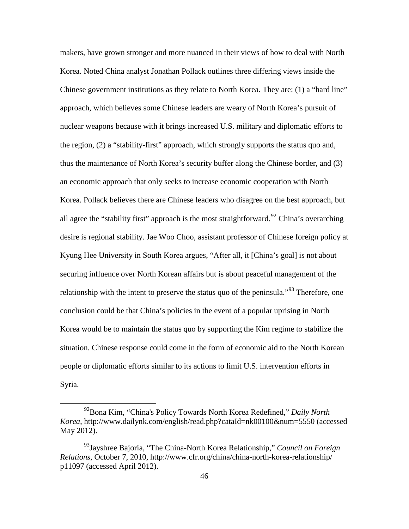makers, have grown stronger and more nuanced in their views of how to deal with North Korea. Noted China analyst Jonathan Pollack outlines three differing views inside the Chinese government institutions as they relate to North Korea. They are: (1) a "hard line" approach, which believes some Chinese leaders are weary of North Korea's pursuit of nuclear weapons because with it brings increased U.S. military and diplomatic efforts to the region, (2) a "stability-first" approach, which strongly supports the status quo and, thus the maintenance of North Korea's security buffer along the Chinese border, and (3) an economic approach that only seeks to increase economic cooperation with North Korea. Pollack believes there are Chinese leaders who disagree on the best approach, but all agree the "stability first" approach is the most straightforward.<sup>[92](#page-53-0)</sup> China's overarching desire is regional stability. Jae Woo Choo, assistant professor of Chinese foreign policy at Kyung Hee University in South Korea argues, "After all, it [China's goal] is not about securing influence over North Korean affairs but is about peaceful management of the relationship with the intent to preserve the status quo of the peninsula."<sup>[93](#page-53-1)</sup> Therefore, one conclusion could be that China's policies in the event of a popular uprising in North Korea would be to maintain the status quo by supporting the Kim regime to stabilize the situation. Chinese response could come in the form of economic aid to the North Korean people or diplomatic efforts similar to its actions to limit U.S. intervention efforts in Syria.

<span id="page-53-0"></span> <sup>92</sup>Bona Kim, "China's Policy Towards North Korea Redefined," *Daily North Korea*, http://www.dailynk.com/english/read.php?cataId=nk00100&num=5550 (accessed May 2012).

<span id="page-53-1"></span><sup>93</sup>Jayshree Bajoria, "The China-North Korea Relationship," *Council on Foreign Relations*, October 7, 2010, http://www.cfr.org/china/china-north-korea-relationship/ p11097 (accessed April 2012).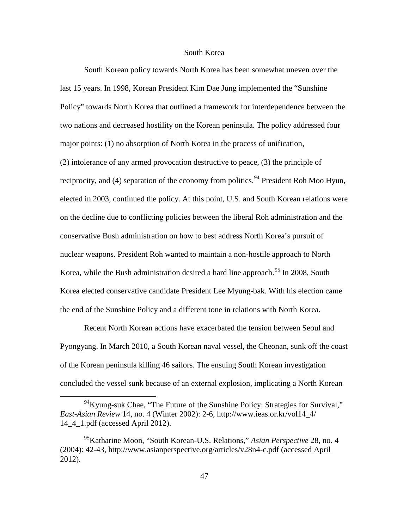# South Korea

South Korean policy towards North Korea has been somewhat uneven over the last 15 years. In 1998, Korean President Kim Dae Jung implemented the "Sunshine Policy" towards North Korea that outlined a framework for interdependence between the two nations and decreased hostility on the Korean peninsula. The policy addressed four major points: (1) no absorption of North Korea in the process of unification, (2) intolerance of any armed provocation destructive to peace, (3) the principle of reciprocity, and (4) separation of the economy from politics.<sup>[94](#page-54-0)</sup> President Roh Moo Hyun, elected in 2003, continued the policy. At this point, U.S. and South Korean relations were on the decline due to conflicting policies between the liberal Roh administration and the conservative Bush administration on how to best address North Korea's pursuit of nuclear weapons. President Roh wanted to maintain a non-hostile approach to North Korea, while the Bush administration desired a hard line approach.<sup>[95](#page-54-1)</sup> In 2008, South Korea elected conservative candidate President Lee Myung-bak. With his election came the end of the Sunshine Policy and a different tone in relations with North Korea.

Recent North Korean actions have exacerbated the tension between Seoul and Pyongyang. In March 2010, a South Korean naval vessel, the Cheonan, sunk off the coast of the Korean peninsula killing 46 sailors. The ensuing South Korean investigation concluded the vessel sunk because of an external explosion, implicating a North Korean

<span id="page-54-0"></span> $^{94}$ Kyung-suk Chae, "The Future of the Sunshine Policy: Strategies for Survival," *East-Asian Review* 14, no. 4 (Winter 2002): 2-6, http://www.ieas.or.kr/vol14\_4/ 14\_4\_1.pdf (accessed April 2012).

<span id="page-54-1"></span><sup>95</sup>Katharine Moon, "South Korean-U.S. Relations," *Asian Perspective* 28, no. 4 (2004): 42-43, http://www.asianperspective.org/articles/v28n4-c.pdf (accessed April 2012).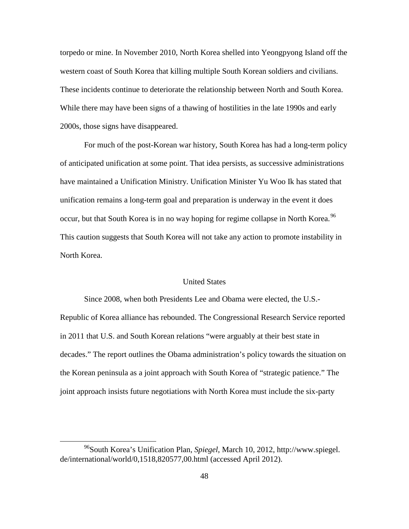torpedo or mine. In November 2010, North Korea shelled into Yeongpyong Island off the western coast of South Korea that killing multiple South Korean soldiers and civilians. These incidents continue to deteriorate the relationship between North and South Korea. While there may have been signs of a thawing of hostilities in the late 1990s and early 2000s, those signs have disappeared.

For much of the post-Korean war history, South Korea has had a long-term policy of anticipated unification at some point. That idea persists, as successive administrations have maintained a Unification Ministry. Unification Minister Yu Woo Ik has stated that unification remains a long-term goal and preparation is underway in the event it does occur, but that South Korea is in no way hoping for regime collapse in North Korea.<sup>[96](#page-55-0)</sup> This caution suggests that South Korea will not take any action to promote instability in North Korea.

## United States

Since 2008, when both Presidents Lee and Obama were elected, the U.S.- Republic of Korea alliance has rebounded. The Congressional Research Service reported in 2011 that U.S. and South Korean relations "were arguably at their best state in decades." The report outlines the Obama administration's policy towards the situation on the Korean peninsula as a joint approach with South Korea of "strategic patience." The joint approach insists future negotiations with North Korea must include the six-party

<span id="page-55-0"></span> <sup>96</sup>South Korea's Unification Plan, *Spiegel*, March 10, 2012, http://www.spiegel. de/international/world/0,1518,820577,00.html (accessed April 2012).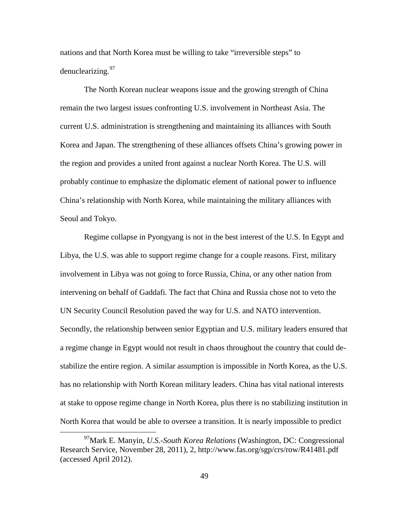nations and that North Korea must be willing to take "irreversible steps" to denuclearizing.<sup>[97](#page-56-0)</sup>

The North Korean nuclear weapons issue and the growing strength of China remain the two largest issues confronting U.S. involvement in Northeast Asia. The current U.S. administration is strengthening and maintaining its alliances with South Korea and Japan. The strengthening of these alliances offsets China's growing power in the region and provides a united front against a nuclear North Korea. The U.S. will probably continue to emphasize the diplomatic element of national power to influence China's relationship with North Korea, while maintaining the military alliances with Seoul and Tokyo.

Regime collapse in Pyongyang is not in the best interest of the U.S. In Egypt and Libya, the U.S. was able to support regime change for a couple reasons. First, military involvement in Libya was not going to force Russia, China, or any other nation from intervening on behalf of Gaddafi. The fact that China and Russia chose not to veto the UN Security Council Resolution paved the way for U.S. and NATO intervention. Secondly, the relationship between senior Egyptian and U.S. military leaders ensured that a regime change in Egypt would not result in chaos throughout the country that could destabilize the entire region. A similar assumption is impossible in North Korea, as the U.S. has no relationship with North Korean military leaders. China has vital national interests at stake to oppose regime change in North Korea, plus there is no stabilizing institution in North Korea that would be able to oversee a transition. It is nearly impossible to predict

<span id="page-56-0"></span> <sup>97</sup>Mark E. Manyin, *U.S.-South Korea Relations* (Washington, DC: Congressional Research Service, November 28, 2011), 2, http://www.fas.org/sgp/crs/row/R41481.pdf (accessed April 2012).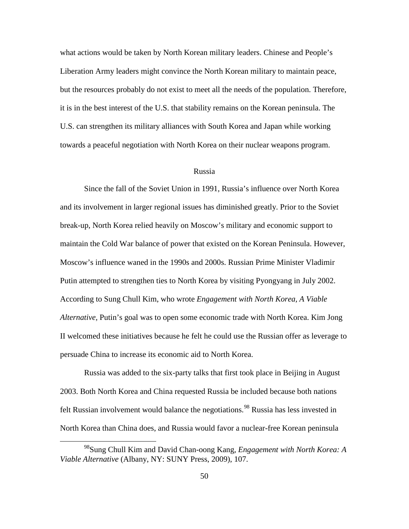what actions would be taken by North Korean military leaders. Chinese and People's Liberation Army leaders might convince the North Korean military to maintain peace, but the resources probably do not exist to meet all the needs of the population. Therefore, it is in the best interest of the U.S. that stability remains on the Korean peninsula. The U.S. can strengthen its military alliances with South Korea and Japan while working towards a peaceful negotiation with North Korea on their nuclear weapons program.

#### Russia

Since the fall of the Soviet Union in 1991, Russia's influence over North Korea and its involvement in larger regional issues has diminished greatly. Prior to the Soviet break-up, North Korea relied heavily on Moscow's military and economic support to maintain the Cold War balance of power that existed on the Korean Peninsula. However, Moscow's influence waned in the 1990s and 2000s. Russian Prime Minister Vladimir Putin attempted to strengthen ties to North Korea by visiting Pyongyang in July 2002. According to Sung Chull Kim, who wrote *Engagement with North Korea, A Viable Alternative,* Putin's goal was to open some economic trade with North Korea. Kim Jong II welcomed these initiatives because he felt he could use the Russian offer as leverage to persuade China to increase its economic aid to North Korea.

Russia was added to the six-party talks that first took place in Beijing in August 2003. Both North Korea and China requested Russia be included because both nations felt Russian involvement would balance the negotiations.<sup>[98](#page-57-0)</sup> Russia has less invested in North Korea than China does, and Russia would favor a nuclear-free Korean peninsula

<span id="page-57-0"></span> <sup>98</sup>Sung Chull Kim and David Chan-oong Kang, *Engagement with North Korea: <sup>A</sup> Viable Alternative* (Albany, NY: SUNY Press, 2009), 107.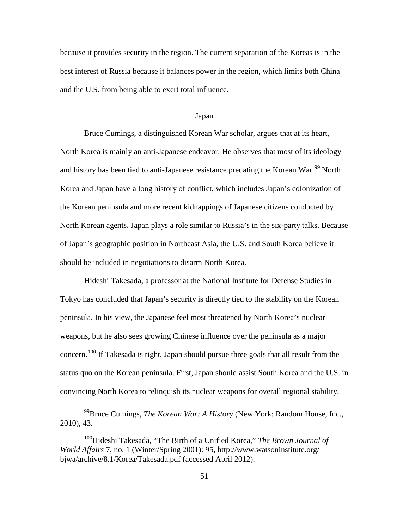because it provides security in the region. The current separation of the Koreas is in the best interest of Russia because it balances power in the region, which limits both China and the U.S. from being able to exert total influence.

#### Japan

Bruce Cumings, a distinguished Korean War scholar, argues that at its heart, North Korea is mainly an anti-Japanese endeavor. He observes that most of its ideology and history has been tied to anti-Japanese resistance predating the Korean War.<sup>[99](#page-58-0)</sup> North Korea and Japan have a long history of conflict, which includes Japan's colonization of the Korean peninsula and more recent kidnappings of Japanese citizens conducted by North Korean agents. Japan plays a role similar to Russia's in the six-party talks. Because of Japan's geographic position in Northeast Asia, the U.S. and South Korea believe it should be included in negotiations to disarm North Korea.

Hideshi Takesada, a professor at the National Institute for Defense Studies in Tokyo has concluded that Japan's security is directly tied to the stability on the Korean peninsula. In his view, the Japanese feel most threatened by North Korea's nuclear weapons, but he also sees growing Chinese influence over the peninsula as a major concern.<sup>[100](#page-58-1)</sup> If Takesada is right, Japan should pursue three goals that all result from the status quo on the Korean peninsula. First, Japan should assist South Korea and the U.S. in convincing North Korea to relinquish its nuclear weapons for overall regional stability.

<span id="page-58-0"></span> <sup>99</sup>Bruce Cumings, *The Korean War: <sup>A</sup> History* (New York: Random House, Inc., 2010), 43.

<span id="page-58-1"></span><sup>100</sup>Hideshi Takesada, "The Birth of a Unified Korea," *The Brown Journal of World Affairs* 7, no. 1 (Winter/Spring 2001): 95, http://www.watsoninstitute.org/ bjwa/archive/8.1/Korea/Takesada.pdf (accessed April 2012).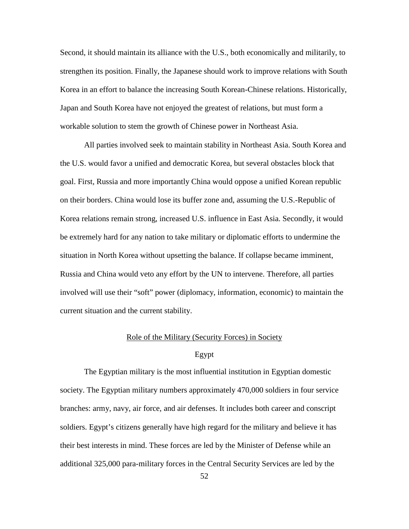Second, it should maintain its alliance with the U.S., both economically and militarily, to strengthen its position. Finally, the Japanese should work to improve relations with South Korea in an effort to balance the increasing South Korean-Chinese relations. Historically, Japan and South Korea have not enjoyed the greatest of relations, but must form a workable solution to stem the growth of Chinese power in Northeast Asia.

All parties involved seek to maintain stability in Northeast Asia. South Korea and the U.S. would favor a unified and democratic Korea, but several obstacles block that goal. First, Russia and more importantly China would oppose a unified Korean republic on their borders. China would lose its buffer zone and, assuming the U.S.-Republic of Korea relations remain strong, increased U.S. influence in East Asia. Secondly, it would be extremely hard for any nation to take military or diplomatic efforts to undermine the situation in North Korea without upsetting the balance. If collapse became imminent, Russia and China would veto any effort by the UN to intervene. Therefore, all parties involved will use their "soft" power (diplomacy, information, economic) to maintain the current situation and the current stability.

# Role of the Military (Security Forces) in Society

## Egypt

The Egyptian military is the most influential institution in Egyptian domestic society. The Egyptian military numbers approximately 470,000 soldiers in four service branches: army, navy, air force, and air defenses. It includes both career and conscript soldiers. Egypt's citizens generally have high regard for the military and believe it has their best interests in mind. These forces are led by the Minister of Defense while an additional 325,000 para-military forces in the Central Security Services are led by the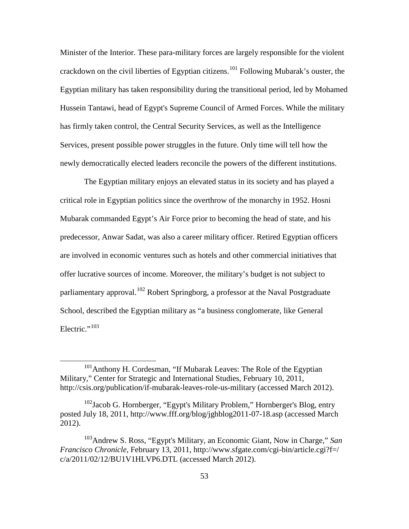Minister of the Interior. These para-military forces are largely responsible for the violent crackdown on the civil liberties of Egyptian citizens.<sup>[101](#page-60-0)</sup> Following Mubarak's ouster, the Egyptian military has taken responsibility during the transitional period, led by Mohamed Hussein Tantawi, head of Egypt's Supreme Council of Armed Forces. While the military has firmly taken control, the Central Security Services, as well as the Intelligence Services, present possible power struggles in the future. Only time will tell how the newly democratically elected leaders reconcile the powers of the different institutions.

The Egyptian military enjoys an elevated status in its society and has played a critical role in Egyptian politics since the overthrow of the monarchy in 1952. Hosni Mubarak commanded Egypt's Air Force prior to becoming the head of state, and his predecessor, Anwar Sadat, was also a career military officer. Retired Egyptian officers are involved in economic ventures such as hotels and other commercial initiatives that offer lucrative sources of income. Moreover, the military's budget is not subject to parliamentary approval.<sup>[102](#page-60-1)</sup> Robert Springborg, a professor at the Naval Postgraduate School, described the Egyptian military as "a business conglomerate, like General Electric."<sup>[103](#page-60-2)</sup>

<span id="page-60-0"></span><sup>&</sup>lt;sup>101</sup>Anthony H. Cordesman, "If Mubarak Leaves: The Role of the Egyptian Military," Center for Strategic and International Studies, February 10, 2011, http://csis.org/publication/if-mubarak-leaves-role-us-military (accessed March 2012).

<span id="page-60-1"></span><sup>&</sup>lt;sup>102</sup>Jacob G. Hornberger, "Egypt's Military Problem," Hornberger's Blog, entry posted July 18, 2011, http://www.fff.org/blog/jghblog2011-07-18.asp (accessed March 2012).

<span id="page-60-2"></span><sup>103</sup>Andrew S. Ross, "Egypt's Military, an Economic Giant, Now in Charge," *San Francisco Chronicle*, February 13, 2011, http://www.sfgate.com/cgi-bin/article.cgi?f=/ c/a/2011/02/12/BU1V1HLVP6.DTL (accessed March 2012).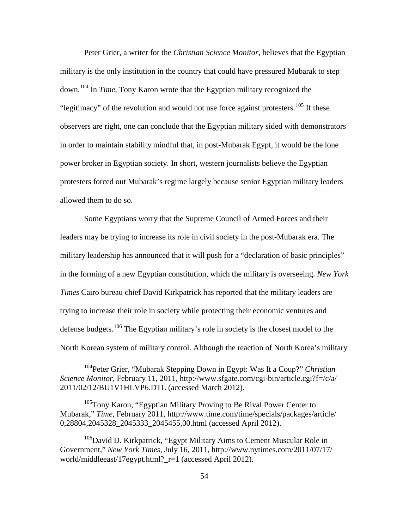Peter Grier, a writer for the *Christian Science Monitor*, believes that the Egyptian military is the only institution in the country that could have pressured Mubarak to step down.[104](#page-61-0) In *Time*, Tony Karon wrote that the Egyptian military recognized the "legitimacy" of the revolution and would not use force against protesters.<sup>[105](#page-61-1)</sup> If these observers are right, one can conclude that the Egyptian military sided with demonstrators in order to maintain stability mindful that, in post-Mubarak Egypt, it would be the lone power broker in Egyptian society. In short, western journalists believe the Egyptian protesters forced out Mubarak's regime largely because senior Egyptian military leaders allowed them to do so.

Some Egyptians worry that the Supreme Council of Armed Forces and their leaders may be trying to increase its role in civil society in the post-Mubarak era. The military leadership has announced that it will push for a "declaration of basic principles" in the forming of a new Egyptian constitution, which the military is overseeing. *New York Times* Cairo bureau chief David Kirkpatrick has reported that the military leaders are trying to increase their role in society while protecting their economic ventures and defense budgets.<sup>[106](#page-61-2)</sup> The Egyptian military's role in society is the closest model to the North Korean system of military control. Although the reaction of North Korea's military

<span id="page-61-0"></span> <sup>104</sup>Peter Grier, "Mubarak Stepping Down in Egypt: Was It <sup>a</sup> Coup?" *Christian Science Monitor*, February 11, 2011, http://www.sfgate.com/cgi-bin/article.cgi?f=/c/a/ 2011/02/12/BU1V1HLVP6.DTL (accessed March 2012).

<span id="page-61-1"></span><sup>&</sup>lt;sup>105</sup>Tony Karon, "Egyptian Military Proving to Be Rival Power Center to Mubarak," *Time*, February 2011, http://www.time.com/time/specials/packages/article/ 0,28804,2045328\_2045333\_2045455,00.html (accessed April 2012).

<span id="page-61-2"></span> $106$ David D. Kirkpatrick, "Egypt Military Aims to Cement Muscular Role in Government," *New York Times*, July 16, 2011, http://www.nytimes.com/2011/07/17/ world/middleeast/17egypt.html?\_r=1 (accessed April 2012).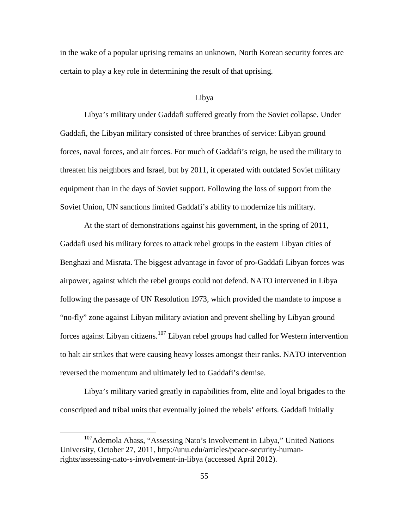in the wake of a popular uprising remains an unknown, North Korean security forces are certain to play a key role in determining the result of that uprising.

### Libya

Libya's military under Gaddafi suffered greatly from the Soviet collapse. Under Gaddafi, the Libyan military consisted of three branches of service: Libyan ground forces, naval forces, and air forces. For much of Gaddafi's reign, he used the military to threaten his neighbors and Israel, but by 2011, it operated with outdated Soviet military equipment than in the days of Soviet support. Following the loss of support from the Soviet Union, UN sanctions limited Gaddafi's ability to modernize his military.

At the start of demonstrations against his government, in the spring of 2011, Gaddafi used his military forces to attack rebel groups in the eastern Libyan cities of Benghazi and Misrata. The biggest advantage in favor of pro-Gaddafi Libyan forces was airpower, against which the rebel groups could not defend. NATO intervened in Libya following the passage of UN Resolution 1973, which provided the mandate to impose a "no-fly" zone against Libyan military aviation and prevent shelling by Libyan ground forces against Libyan citizens.<sup>[107](#page-62-0)</sup> Libyan rebel groups had called for Western intervention to halt air strikes that were causing heavy losses amongst their ranks. NATO intervention reversed the momentum and ultimately led to Gaddafi's demise.

Libya's military varied greatly in capabilities from, elite and loyal brigades to the conscripted and tribal units that eventually joined the rebels' efforts. Gaddafi initially

<span id="page-62-0"></span><sup>&</sup>lt;sup>107</sup>Ademola Abass, "Assessing Nato's Involvement in Libya," United Nations University, October 27, 2011, http://unu.edu/articles/peace-security-humanrights/assessing-nato-s-involvement-in-libya (accessed April 2012).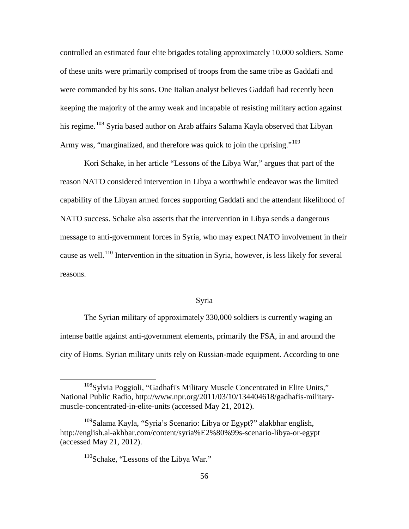controlled an estimated four elite brigades totaling approximately 10,000 soldiers. Some of these units were primarily comprised of troops from the same tribe as Gaddafi and were commanded by his sons. One Italian analyst believes Gaddafi had recently been keeping the majority of the army weak and incapable of resisting military action against his regime.<sup>[108](#page-63-0)</sup> Syria based author on Arab affairs Salama Kayla observed that Libyan Army was, "marginalized, and therefore was quick to join the uprising."<sup>[109](#page-63-1)</sup>

Kori Schake, in her article "Lessons of the Libya War," argues that part of the reason NATO considered intervention in Libya a worthwhile endeavor was the limited capability of the Libyan armed forces supporting Gaddafi and the attendant likelihood of NATO success. Schake also asserts that the intervention in Libya sends a dangerous message to anti-government forces in Syria, who may expect NATO involvement in their cause as well.<sup>[110](#page-63-2)</sup> Intervention in the situation in Syria, however, is less likely for several reasons.

#### Syria

The Syrian military of approximately 330,000 soldiers is currently waging an intense battle against anti-government elements, primarily the FSA, in and around the city of Homs. Syrian military units rely on Russian-made equipment. According to one

<span id="page-63-0"></span> <sup>108</sup>Sylvia Poggioli, "Gadhafi's Military Muscle Concentrated in Elite Units," National Public Radio, http://www.npr.org/2011/03/10/134404618/gadhafis-militarymuscle-concentrated-in-elite-units (accessed May 21, 2012).

<span id="page-63-2"></span><span id="page-63-1"></span> $109$ Salama Kayla, "Syria's Scenario: Libya or Egypt?" alakbhar english, http://english.al-akhbar.com/content/syria%E2%80%99s-scenario-libya-or-egypt (accessed May 21, 2012).

<sup>&</sup>lt;sup>110</sup>Schake, "Lessons of the Libya War."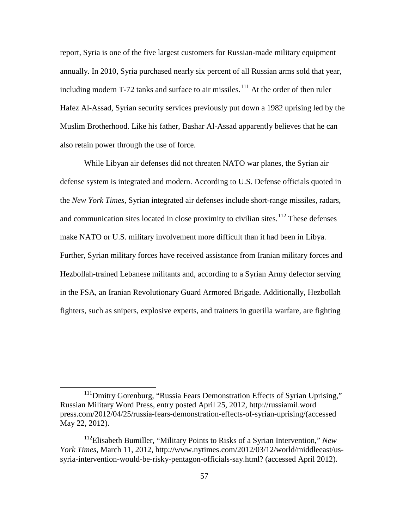report, Syria is one of the five largest customers for Russian-made military equipment annually. In 2010, Syria purchased nearly six percent of all Russian arms sold that year, including modern T-72 tanks and surface to air missiles.<sup>[111](#page-64-0)</sup> At the order of then ruler Hafez Al-Assad, Syrian security services previously put down a 1982 uprising led by the Muslim Brotherhood. Like his father, Bashar Al-Assad apparently believes that he can also retain power through the use of force.

While Libyan air defenses did not threaten NATO war planes, the Syrian air defense system is integrated and modern. According to U.S. Defense officials quoted in the *New York Times*, Syrian integrated air defenses include short-range missiles, radars, and communication sites located in close proximity to civilian sites.<sup>[112](#page-64-1)</sup> These defenses make NATO or U.S. military involvement more difficult than it had been in Libya. Further, Syrian military forces have received assistance from Iranian military forces and Hezbollah-trained Lebanese militants and, according to a Syrian Army defector serving in the FSA, an Iranian Revolutionary Guard Armored Brigade. Additionally, Hezbollah fighters, such as snipers, explosive experts, and trainers in guerilla warfare, are fighting

<span id="page-64-0"></span><sup>&</sup>lt;sup>111</sup>Dmitry Gorenburg, "Russia Fears Demonstration Effects of Syrian Uprising," Russian Military Word Press, entry posted April 25, 2012, http://russiamil.word press.com/2012/04/25/russia-fears-demonstration-effects-of-syrian-uprising/(accessed May 22, 2012).

<span id="page-64-1"></span><sup>112</sup>Elisabeth Bumiller, "Military Points to Risks of a Syrian Intervention," *New York Times*, March 11, 2012, http://www.nytimes.com/2012/03/12/world/middleeast/ussyria-intervention-would-be-risky-pentagon-officials-say.html? (accessed April 2012).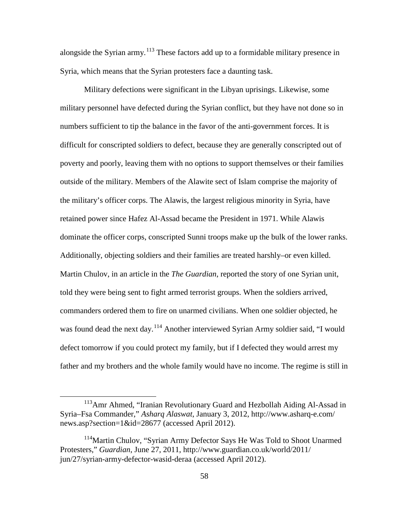alongside the Syrian army.<sup>[113](#page-65-0)</sup> These factors add up to a formidable military presence in Syria, which means that the Syrian protesters face a daunting task.

Military defections were significant in the Libyan uprisings. Likewise, some military personnel have defected during the Syrian conflict, but they have not done so in numbers sufficient to tip the balance in the favor of the anti-government forces. It is difficult for conscripted soldiers to defect, because they are generally conscripted out of poverty and poorly, leaving them with no options to support themselves or their families outside of the military. Members of the Alawite sect of Islam comprise the majority of the military's officer corps. The Alawis, the largest religious minority in Syria, have retained power since Hafez Al-Assad became the President in 1971. While Alawis dominate the officer corps, conscripted Sunni troops make up the bulk of the lower ranks. Additionally, objecting soldiers and their families are treated harshly–or even killed. Martin Chulov, in an article in the *The Guardian*, reported the story of one Syrian unit, told they were being sent to fight armed terrorist groups. When the soldiers arrived, commanders ordered them to fire on unarmed civilians. When one soldier objected, he was found dead the next day.<sup>[114](#page-65-1)</sup> Another interviewed Syrian Army soldier said, "I would defect tomorrow if you could protect my family, but if I defected they would arrest my father and my brothers and the whole family would have no income. The regime is still in

<span id="page-65-0"></span><sup>&</sup>lt;sup>113</sup>Amr Ahmed, "Iranian Revolutionary Guard and Hezbollah Aiding Al-Assad in Syria–Fsa Commander," *Asharq Alaswat*, January 3, 2012, http://www.asharq-e.com/ news.asp?section=1&id=28677 (accessed April 2012).

<span id="page-65-1"></span><sup>&</sup>lt;sup>114</sup>Martin Chulov, "Syrian Army Defector Says He Was Told to Shoot Unarmed Protesters," *Guardian*, June 27, 2011, http://www.guardian.co.uk/world/2011/ jun/27/syrian-army-defector-wasid-deraa (accessed April 2012).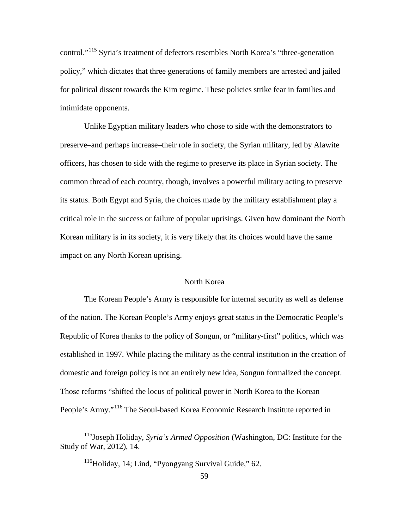control."[115](#page-66-0) Syria's treatment of defectors resembles North Korea's "three-generation policy," which dictates that three generations of family members are arrested and jailed for political dissent towards the Kim regime. These policies strike fear in families and intimidate opponents.

Unlike Egyptian military leaders who chose to side with the demonstrators to preserve–and perhaps increase–their role in society, the Syrian military, led by Alawite officers, has chosen to side with the regime to preserve its place in Syrian society. The common thread of each country, though, involves a powerful military acting to preserve its status. Both Egypt and Syria, the choices made by the military establishment play a critical role in the success or failure of popular uprisings. Given how dominant the North Korean military is in its society, it is very likely that its choices would have the same impact on any North Korean uprising.

## North Korea

The Korean People's Army is responsible for internal security as well as defense of the nation. The Korean People's Army enjoys great status in the Democratic People's Republic of Korea thanks to the policy of Songun, or "military-first" politics, which was established in 1997. While placing the military as the central institution in the creation of domestic and foreign policy is not an entirely new idea, Songun formalized the concept. Those reforms "shifted the locus of political power in North Korea to the Korean People's Army."[116](#page-66-1) The Seoul-based Korea Economic Research Institute reported in

<span id="page-66-1"></span><span id="page-66-0"></span> <sup>115</sup>Joseph Holiday, *Syria's Armed Opposition* (Washington, DC: Institute for the Study of War, 2012), 14.

 $116$ Holiday, 14; Lind, "Pyongyang Survival Guide," 62.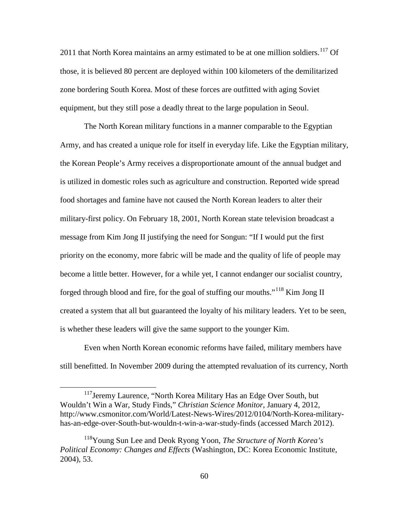2011 that North Korea maintains an army estimated to be at one million soldiers.<sup>[117](#page-67-0)</sup> Of those, it is believed 80 percent are deployed within 100 kilometers of the demilitarized zone bordering South Korea. Most of these forces are outfitted with aging Soviet equipment, but they still pose a deadly threat to the large population in Seoul.

The North Korean military functions in a manner comparable to the Egyptian Army, and has created a unique role for itself in everyday life. Like the Egyptian military, the Korean People's Army receives a disproportionate amount of the annual budget and is utilized in domestic roles such as agriculture and construction. Reported wide spread food shortages and famine have not caused the North Korean leaders to alter their military-first policy. On February 18, 2001, North Korean state television broadcast a message from Kim Jong II justifying the need for Songun: "If I would put the first priority on the economy, more fabric will be made and the quality of life of people may become a little better. However, for a while yet, I cannot endanger our socialist country, forged through blood and fire, for the goal of stuffing our mouths."<sup>[118](#page-67-1)</sup> Kim Jong II created a system that all but guaranteed the loyalty of his military leaders. Yet to be seen, is whether these leaders will give the same support to the younger Kim.

Even when North Korean economic reforms have failed, military members have still benefitted. In November 2009 during the attempted revaluation of its currency, North

<span id="page-67-0"></span><sup>&</sup>lt;sup>117</sup>Jeremy Laurence, "North Korea Military Has an Edge Over South, but Wouldn't Win a War, Study Finds," *Christian Science Monitor*, January 4, 2012, http://www.csmonitor.com/World/Latest-News-Wires/2012/0104/North-Korea-militaryhas-an-edge-over-South-but-wouldn-t-win-a-war-study-finds (accessed March 2012).

<span id="page-67-1"></span><sup>118</sup>Young Sun Lee and Deok Ryong Yoon, *The Structure of North Korea's Political Economy: Changes and Effects* (Washington, DC: Korea Economic Institute, 2004), 53.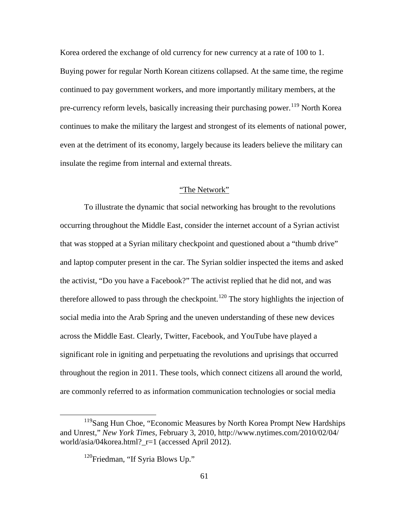Korea ordered the exchange of old currency for new currency at a rate of 100 to 1. Buying power for regular North Korean citizens collapsed. At the same time, the regime continued to pay government workers, and more importantly military members, at the pre-currency reform levels, basically increasing their purchasing power.<sup>[119](#page-68-0)</sup> North Korea continues to make the military the largest and strongest of its elements of national power, even at the detriment of its economy, largely because its leaders believe the military can insulate the regime from internal and external threats.

# "The Network"

To illustrate the dynamic that social networking has brought to the revolutions occurring throughout the Middle East, consider the internet account of a Syrian activist that was stopped at a Syrian military checkpoint and questioned about a "thumb drive" and laptop computer present in the car. The Syrian soldier inspected the items and asked the activist, "Do you have a Facebook?" The activist replied that he did not, and was therefore allowed to pass through the checkpoint.<sup>[120](#page-68-1)</sup> The story highlights the injection of social media into the Arab Spring and the uneven understanding of these new devices across the Middle East. Clearly, Twitter, Facebook, and YouTube have played a significant role in igniting and perpetuating the revolutions and uprisings that occurred throughout the region in 2011. These tools, which connect citizens all around the world, are commonly referred to as information communication technologies or social media

<span id="page-68-1"></span><span id="page-68-0"></span><sup>&</sup>lt;sup>119</sup>Sang Hun Choe, "Economic Measures by North Korea Prompt New Hardships and Unrest," *New York Times*, February 3, 2010, http://www.nytimes.com/2010/02/04/ world/asia/04korea.html? $r=1$  (accessed April 2012).

<sup>&</sup>lt;sup>120</sup>Friedman, "If Syria Blows Up."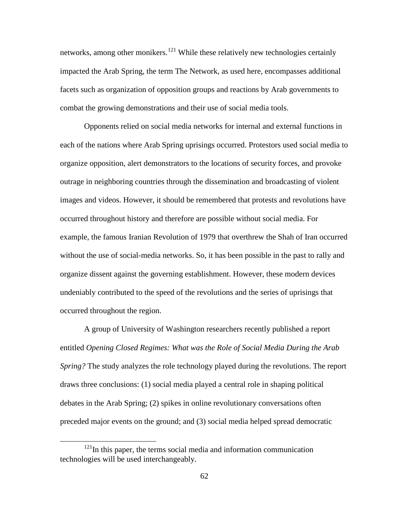networks, among other monikers.<sup>[121](#page-69-0)</sup> While these relatively new technologies certainly impacted the Arab Spring, the term The Network, as used here, encompasses additional facets such as organization of opposition groups and reactions by Arab governments to combat the growing demonstrations and their use of social media tools.

Opponents relied on social media networks for internal and external functions in each of the nations where Arab Spring uprisings occurred. Protestors used social media to organize opposition, alert demonstrators to the locations of security forces, and provoke outrage in neighboring countries through the dissemination and broadcasting of violent images and videos. However, it should be remembered that protests and revolutions have occurred throughout history and therefore are possible without social media. For example, the famous Iranian Revolution of 1979 that overthrew the Shah of Iran occurred without the use of social-media networks. So, it has been possible in the past to rally and organize dissent against the governing establishment. However, these modern devices undeniably contributed to the speed of the revolutions and the series of uprisings that occurred throughout the region.

A group of University of Washington researchers recently published a report entitled *Opening Closed Regimes: What was the Role of Social Media During the Arab Spring?* The study analyzes the role technology played during the revolutions. The report draws three conclusions: (1) social media played a central role in shaping political debates in the Arab Spring; (2) spikes in online revolutionary conversations often preceded major events on the ground; and (3) social media helped spread democratic

<span id="page-69-0"></span> $121$ In this paper, the terms social media and information communication technologies will be used interchangeably.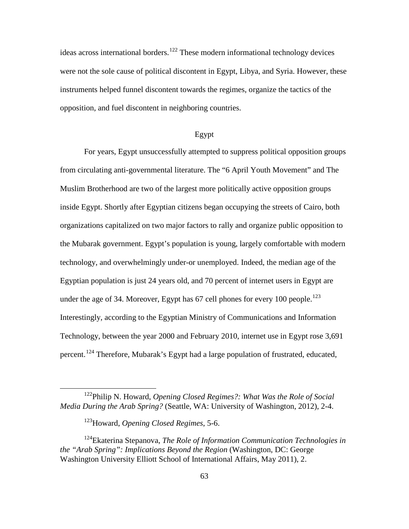ideas across international borders.<sup>[122](#page-70-0)</sup> These modern informational technology devices were not the sole cause of political discontent in Egypt, Libya, and Syria. However, these instruments helped funnel discontent towards the regimes, organize the tactics of the opposition, and fuel discontent in neighboring countries.

# Egypt

For years, Egypt unsuccessfully attempted to suppress political opposition groups from circulating anti-governmental literature. The "6 April Youth Movement" and The Muslim Brotherhood are two of the largest more politically active opposition groups inside Egypt. Shortly after Egyptian citizens began occupying the streets of Cairo, both organizations capitalized on two major factors to rally and organize public opposition to the Mubarak government. Egypt's population is young, largely comfortable with modern technology, and overwhelmingly under-or unemployed. Indeed, the median age of the Egyptian population is just 24 years old, and 70 percent of internet users in Egypt are under the age of 34. Moreover, Egypt has  $67$  cell phones for every 100 people.<sup>[123](#page-70-1)</sup> Interestingly, according to the Egyptian Ministry of Communications and Information Technology, between the year 2000 and February 2010, internet use in Egypt rose 3,691 percent.[124](#page-70-2) Therefore, Mubarak's Egypt had a large population of frustrated, educated,

<span id="page-70-0"></span> <sup>122</sup>Philip N. Howard, *Opening Closed Regimes?: What Was the Role of Social Media During the Arab Spring?* (Seattle, WA: University of Washington, 2012), 2-4.

<sup>123</sup>Howard, *Opening Closed Regimes*, 5-6.

<span id="page-70-2"></span><span id="page-70-1"></span><sup>124</sup>Ekaterina Stepanova, *The Role of Information Communication Technologies in the "Arab Spring": Implications Beyond the Region* (Washington, DC: George Washington University Elliott School of International Affairs, May 2011), 2.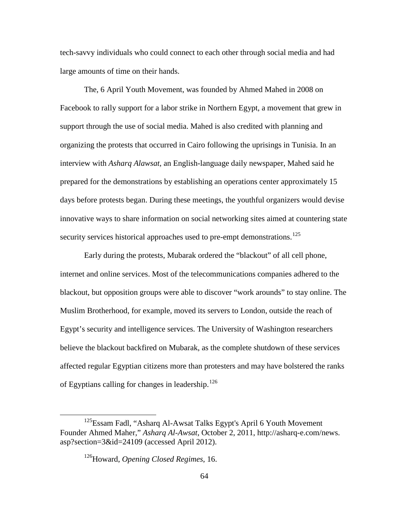tech-savvy individuals who could connect to each other through social media and had large amounts of time on their hands.

The, 6 April Youth Movement, was founded by Ahmed Mahed in 2008 on Facebook to rally support for a labor strike in Northern Egypt, a movement that grew in support through the use of social media. Mahed is also credited with planning and organizing the protests that occurred in Cairo following the uprisings in Tunisia. In an interview with *Asharq Alawsat*, an English-language daily newspaper, Mahed said he prepared for the demonstrations by establishing an operations center approximately 15 days before protests began. During these meetings, the youthful organizers would devise innovative ways to share information on social networking sites aimed at countering state security services historical approaches used to pre-empt demonstrations.<sup>[125](#page-71-0)</sup>

Early during the protests, Mubarak ordered the "blackout" of all cell phone, internet and online services. Most of the telecommunications companies adhered to the blackout, but opposition groups were able to discover "work arounds" to stay online. The Muslim Brotherhood, for example, moved its servers to London, outside the reach of Egypt's security and intelligence services. The University of Washington researchers believe the blackout backfired on Mubarak, as the complete shutdown of these services affected regular Egyptian citizens more than protesters and may have bolstered the ranks of Egyptians calling for changes in leadership.<sup>[126](#page-71-1)</sup>

<span id="page-71-1"></span><span id="page-71-0"></span><sup>&</sup>lt;sup>125</sup>Essam Fadl, "Asharq Al-Awsat Talks Egypt's April 6 Youth Movement Founder Ahmed Maher," *Asharq Al-Awsat*, October 2, 2011, http://asharq-e.com/news. asp?section=3&id=24109 (accessed April 2012).

<sup>126</sup>Howard, *Opening Closed Regimes*, 16.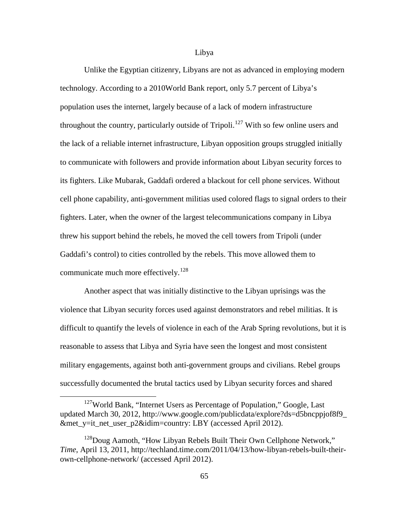#### Libya

Unlike the Egyptian citizenry, Libyans are not as advanced in employing modern technology. According to a 2010World Bank report, only 5.7 percent of Libya's population uses the internet, largely because of a lack of modern infrastructure throughout the country, particularly outside of Tripoli.<sup>[127](#page-72-0)</sup> With so few online users and the lack of a reliable internet infrastructure, Libyan opposition groups struggled initially to communicate with followers and provide information about Libyan security forces to its fighters. Like Mubarak, Gaddafi ordered a blackout for cell phone services. Without cell phone capability, anti-government militias used colored flags to signal orders to their fighters. Later, when the owner of the largest telecommunications company in Libya threw his support behind the rebels, he moved the cell towers from Tripoli (under Gaddafi's control) to cities controlled by the rebels. This move allowed them to communicate much more effectively.<sup>[128](#page-72-1)</sup>

Another aspect that was initially distinctive to the Libyan uprisings was the violence that Libyan security forces used against demonstrators and rebel militias. It is difficult to quantify the levels of violence in each of the Arab Spring revolutions, but it is reasonable to assess that Libya and Syria have seen the longest and most consistent military engagements, against both anti-government groups and civilians. Rebel groups successfully documented the brutal tactics used by Libyan security forces and shared

<span id="page-72-0"></span><sup>&</sup>lt;sup>127</sup>World Bank, "Internet Users as Percentage of Population," Google, Last updated March 30, 2012, http://www.google.com/publicdata/explore?ds=d5bncppjof8f9\_ &met\_y=it\_net\_user\_p2&idim=country: LBY (accessed April 2012).

<span id="page-72-1"></span><sup>&</sup>lt;sup>128</sup>Doug Aamoth, "How Libyan Rebels Built Their Own Cellphone Network," *Time*, April 13, 2011, http://techland.time.com/2011/04/13/how-libyan-rebels-built-theirown-cellphone-network/ (accessed April 2012).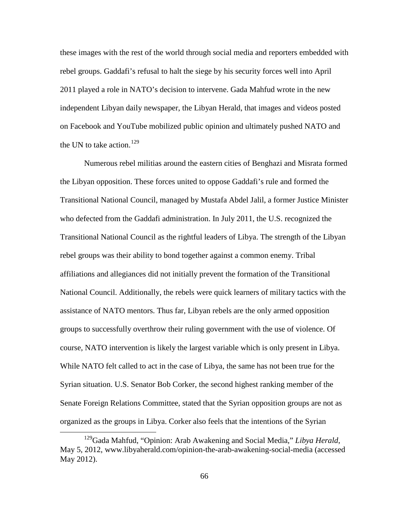these images with the rest of the world through social media and reporters embedded with rebel groups. Gaddafi's refusal to halt the siege by his security forces well into April 2011 played a role in NATO's decision to intervene. Gada Mahfud wrote in the new independent Libyan daily newspaper, the Libyan Herald, that images and videos posted on Facebook and YouTube mobilized public opinion and ultimately pushed NATO and the UN to take action.<sup>[129](#page-73-0)</sup>

Numerous rebel militias around the eastern cities of Benghazi and Misrata formed the Libyan opposition. These forces united to oppose Gaddafi's rule and formed the Transitional National Council, managed by Mustafa Abdel Jalil, a former Justice Minister who defected from the Gaddafi administration. In July 2011, the U.S. recognized the Transitional National Council as the rightful leaders of Libya. The strength of the Libyan rebel groups was their ability to bond together against a common enemy. Tribal affiliations and allegiances did not initially prevent the formation of the Transitional National Council. Additionally, the rebels were quick learners of military tactics with the assistance of NATO mentors. Thus far, Libyan rebels are the only armed opposition groups to successfully overthrow their ruling government with the use of violence. Of course, NATO intervention is likely the largest variable which is only present in Libya. While NATO felt called to act in the case of Libya, the same has not been true for the Syrian situation. U.S. Senator Bob Corker, the second highest ranking member of the Senate Foreign Relations Committee, stated that the Syrian opposition groups are not as organized as the groups in Libya. Corker also feels that the intentions of the Syrian

<span id="page-73-0"></span> <sup>129</sup>Gada Mahfud, "Opinion: Arab Awakening and Social Media," *Libya Herald*, May 5, 2012, www.libyaherald.com/opinion-the-arab-awakening-social-media (accessed May 2012).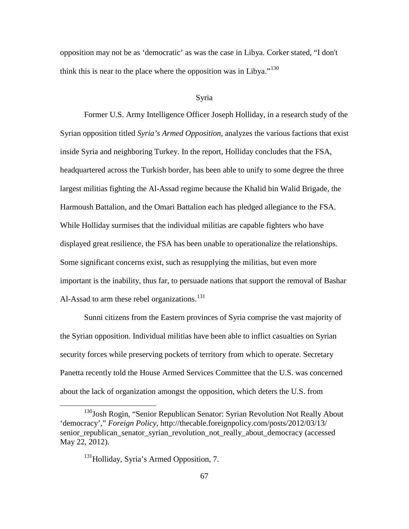opposition may not be as 'democratic' as was the case in Libya. Corker stated, "I don't think this is near to the place where the opposition was in Libya."<sup>[130](#page-74-0)</sup>

### Syria

Former U.S. Army Intelligence Officer Joseph Holliday, in a research study of the Syrian opposition titled *Syria's Armed Opposition*, analyzes the various factions that exist inside Syria and neighboring Turkey. In the report, Holliday concludes that the FSA, headquartered across the Turkish border, has been able to unify to some degree the three largest militias fighting the Al-Assad regime because the Khalid bin Walid Brigade, the Harmoush Battalion, and the Omari Battalion each has pledged allegiance to the FSA. While Holliday surmises that the individual militias are capable fighters who have displayed great resilience, the FSA has been unable to operationalize the relationships. Some significant concerns exist, such as resupplying the militias, but even more important is the inability, thus far, to persuade nations that support the removal of Bashar Al-Assad to arm these rebel organizations.<sup>[131](#page-74-1)</sup>

Sunni citizens from the Eastern provinces of Syria comprise the vast majority of the Syrian opposition. Individual militias have been able to inflict casualties on Syrian security forces while preserving pockets of territory from which to operate. Secretary Panetta recently told the House Armed Services Committee that the U.S. was concerned about the lack of organization amongst the opposition, which deters the U.S. from

<span id="page-74-1"></span><span id="page-74-0"></span><sup>&</sup>lt;sup>130</sup>Josh Rogin, "Senior Republican Senator: Syrian Revolution Not Really About 'democracy'," *Foreign Policy*, http://thecable.foreignpolicy.com/posts/2012/03/13/ senior\_republican\_senator\_syrian\_revolution\_not\_really\_about\_democracy (accessed May 22, 2012).

<sup>&</sup>lt;sup>131</sup>Holliday, Syria's Armed Opposition, 7.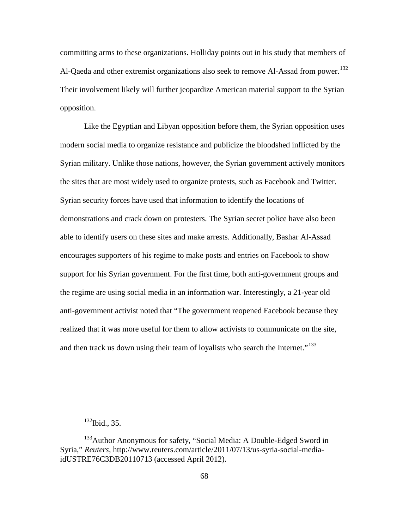committing arms to these organizations. Holliday points out in his study that members of Al-Qaeda and other extremist organizations also seek to remove Al-Assad from power.<sup>[132](#page-75-0)</sup> Their involvement likely will further jeopardize American material support to the Syrian opposition.

Like the Egyptian and Libyan opposition before them, the Syrian opposition uses modern social media to organize resistance and publicize the bloodshed inflicted by the Syrian military. Unlike those nations, however, the Syrian government actively monitors the sites that are most widely used to organize protests, such as Facebook and Twitter. Syrian security forces have used that information to identify the locations of demonstrations and crack down on protesters. The Syrian secret police have also been able to identify users on these sites and make arrests. Additionally, Bashar Al-Assad encourages supporters of his regime to make posts and entries on Facebook to show support for his Syrian government. For the first time, both anti-government groups and the regime are using social media in an information war. Interestingly, a 21-year old anti-government activist noted that "The government reopened Facebook because they realized that it was more useful for them to allow activists to communicate on the site, and then track us down using their team of loyalists who search the Internet."<sup>[133](#page-75-1)</sup>

 $132$  Ibid., 35.

<span id="page-75-1"></span><span id="page-75-0"></span><sup>&</sup>lt;sup>133</sup>Author Anonymous for safety, "Social Media: A Double-Edged Sword in Syria," *Reuters*, http://www.reuters.com/article/2011/07/13/us-syria-social-mediaidUSTRE76C3DB20110713 (accessed April 2012).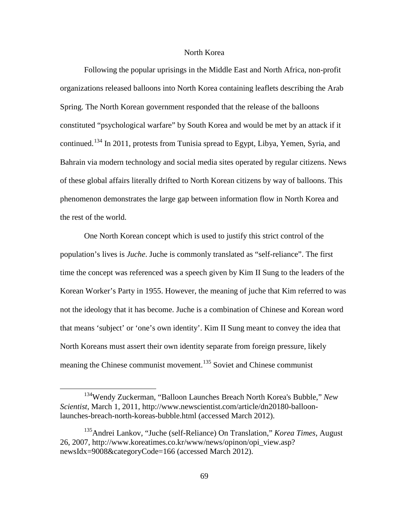# North Korea

Following the popular uprisings in the Middle East and North Africa, non-profit organizations released balloons into North Korea containing leaflets describing the Arab Spring. The North Korean government responded that the release of the balloons constituted "psychological warfare" by South Korea and would be met by an attack if it continued.<sup>[134](#page-76-0)</sup> In 2011, protests from Tunisia spread to Egypt, Libya, Yemen, Syria, and Bahrain via modern technology and social media sites operated by regular citizens. News of these global affairs literally drifted to North Korean citizens by way of balloons. This phenomenon demonstrates the large gap between information flow in North Korea and the rest of the world.

One North Korean concept which is used to justify this strict control of the population's lives is *Juche*. Juche is commonly translated as "self-reliance". The first time the concept was referenced was a speech given by Kim II Sung to the leaders of the Korean Worker's Party in 1955. However, the meaning of juche that Kim referred to was not the ideology that it has become. Juche is a combination of Chinese and Korean word that means 'subject' or 'one's own identity'. Kim II Sung meant to convey the idea that North Koreans must assert their own identity separate from foreign pressure, likely meaning the Chinese communist movement.<sup>[135](#page-76-1)</sup> Soviet and Chinese communist

<span id="page-76-0"></span> <sup>134</sup>Wendy Zuckerman, "Balloon Launches Breach North Korea's Bubble," *New Scientist*, March 1, 2011, http://www.newscientist.com/article/dn20180-balloonlaunches-breach-north-koreas-bubble.html (accessed March 2012).

<span id="page-76-1"></span><sup>135</sup>Andrei Lankov, "Juche (self-Reliance) On Translation," *Korea Times*, August 26, 2007, http://www.koreatimes.co.kr/www/news/opinon/opi\_view.asp? newsIdx=9008&categoryCode=166 (accessed March 2012).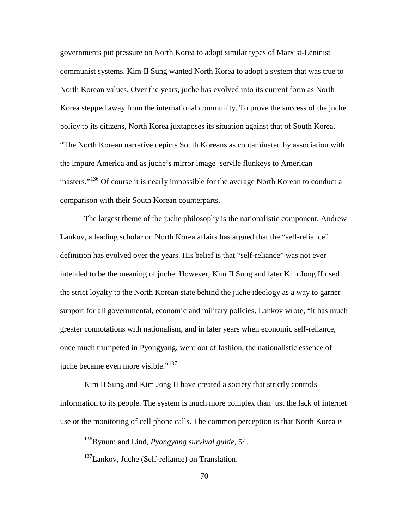governments put pressure on North Korea to adopt similar types of Marxist-Leninist communist systems. Kim II Sung wanted North Korea to adopt a system that was true to North Korean values. Over the years, juche has evolved into its current form as North Korea stepped away from the international community. To prove the success of the juche policy to its citizens, North Korea juxtaposes its situation against that of South Korea. "The North Korean narrative depicts South Koreans as contaminated by association with the impure America and as juche's mirror image–servile flunkeys to American masters."<sup>[136](#page-77-0)</sup> Of course it is nearly impossible for the average North Korean to conduct a comparison with their South Korean counterparts.

The largest theme of the juche philosophy is the nationalistic component. Andrew Lankov, a leading scholar on North Korea affairs has argued that the "self-reliance" definition has evolved over the years. His belief is that "self-reliance" was not ever intended to be the meaning of juche. However, Kim II Sung and later Kim Jong II used the strict loyalty to the North Korean state behind the juche ideology as a way to garner support for all governmental, economic and military policies. Lankov wrote, "it has much greater connotations with nationalism, and in later years when economic self-reliance, once much trumpeted in Pyongyang, went out of fashion, the nationalistic essence of juche became even more visible."<sup>[137](#page-77-1)</sup>

<span id="page-77-0"></span>Kim II Sung and Kim Jong II have created a society that strictly controls information to its people. The system is much more complex than just the lack of internet use or the monitoring of cell phone calls. The common perception is that North Korea is

 <sup>136</sup>Bynum and Lind, *Pyongyang survival guide*, 54.

<span id="page-77-1"></span><sup>&</sup>lt;sup>137</sup>Lankov, Juche (Self-reliance) on Translation.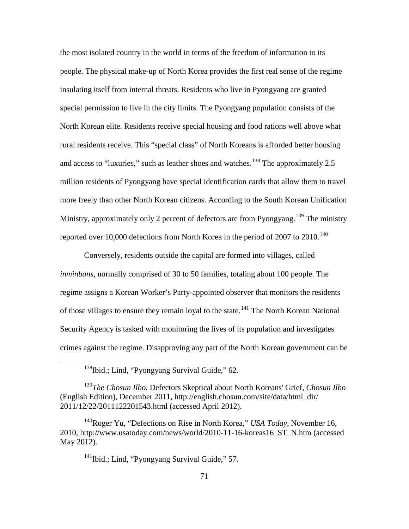the most isolated country in the world in terms of the freedom of information to its people. The physical make-up of North Korea provides the first real sense of the regime insulating itself from internal threats. Residents who live in Pyongyang are granted special permission to live in the city limits. The Pyongyang population consists of the North Korean elite. Residents receive special housing and food rations well above what rural residents receive. This "special class" of North Koreans is afforded better housing and access to "luxuries," such as leather shoes and watches.<sup>[138](#page-78-0)</sup> The approximately  $2.5$ million residents of Pyongyang have special identification cards that allow them to travel more freely than other North Korean citizens. According to the South Korean Unification Ministry, approximately only 2 percent of defectors are from Pyongyang.<sup>[139](#page-78-1)</sup> The ministry reported over 10,000 defections from North Korea in the period of 2007 to 2010.<sup>[140](#page-78-2)</sup>

Conversely, residents outside the capital are formed into villages, called *inminbans*, normally comprised of 30 to 50 families, totaling about 100 people. The regime assigns a Korean Worker's Party-appointed observer that monitors the residents of those villages to ensure they remain loyal to the state.<sup>[141](#page-78-3)</sup> The North Korean National Security Agency is tasked with monitoring the lives of its population and investigates crimes against the regime. Disapproving any part of the North Korean government can be

<sup>141</sup>Ibid.; Lind, "Pyongyang Survival Guide," 57.

<sup>&</sup>lt;sup>138</sup>Ibid.; Lind, "Pyongyang Survival Guide," 62.

<span id="page-78-1"></span><span id="page-78-0"></span><sup>139</sup>*The Chosun Ilbo,* Defectors Skeptical about North Koreans' Grief, *Chosun Ilbo* (English Edition), December 2011, http://english.chosun.com/site/data/html\_dir/ 2011/12/22/2011122201543.html (accessed April 2012).

<span id="page-78-3"></span><span id="page-78-2"></span><sup>140</sup>Roger Yu, "Defections on Rise in North Korea," *USA Today*, November 16, 2010, http://www.usatoday.com/news/world/2010-11-16-koreas16\_ST\_N.htm (accessed May 2012).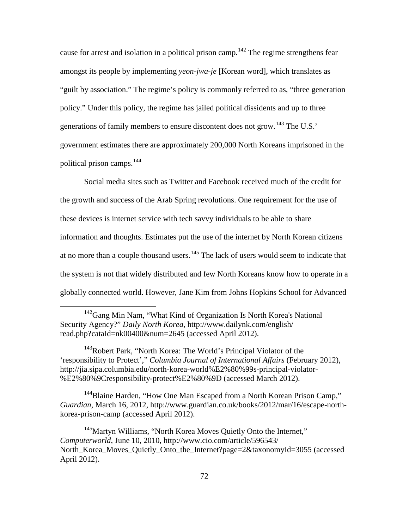cause for arrest and isolation in a political prison camp.<sup>[142](#page-79-0)</sup> The regime strengthens fear amongst its people by implementing *yeon*-*jwa*-*je* [Korean word], which translates as "guilt by association." The regime's policy is commonly referred to as, "three generation policy." Under this policy, the regime has jailed political dissidents and up to three generations of family members to ensure discontent does not grow.<sup>[143](#page-79-1)</sup> The U.S.' government estimates there are approximately 200,000 North Koreans imprisoned in the political prison camps.[144](#page-79-2)

Social media sites such as Twitter and Facebook received much of the credit for the growth and success of the Arab Spring revolutions. One requirement for the use of these devices is internet service with tech savvy individuals to be able to share information and thoughts. Estimates put the use of the internet by North Korean citizens at no more than a couple thousand users.<sup>[145](#page-79-3)</sup> The lack of users would seem to indicate that the system is not that widely distributed and few North Koreans know how to operate in a globally connected world. However, Jane Kim from Johns Hopkins School for Advanced

<span id="page-79-1"></span><sup>143</sup>Robert Park, "North Korea: The World's Principal Violator of the 'responsibility to Protect'," *Columbia Journal of International Affairs* (February 2012), http://jia.sipa.columbia.edu/north-korea-world%E2%80%99s-principal-violator- %E2%80%9Cresponsibility-protect%E2%80%9D (accessed March 2012).

<span id="page-79-2"></span><sup>144</sup>Blaine Harden, "How One Man Escaped from a North Korean Prison Camp," *Guardian*, March 16, 2012, http://www.guardian.co.uk/books/2012/mar/16/escape-northkorea-prison-camp (accessed April 2012).

<span id="page-79-3"></span><sup>145</sup>Martyn Williams, "North Korea Moves Quietly Onto the Internet," *Computerworld*, June 10, 2010, http://www.cio.com/article/596543/ North Korea Moves Quietly Onto the Internet?page=2&taxonomyId=3055 (accessed April 2012).

<span id="page-79-0"></span> $142$ Gang Min Nam, "What Kind of Organization Is North Korea's National Security Agency?" *Daily North Korea*, http://www.dailynk.com/english/ read.php?cataId=nk00400&num=2645 (accessed April 2012).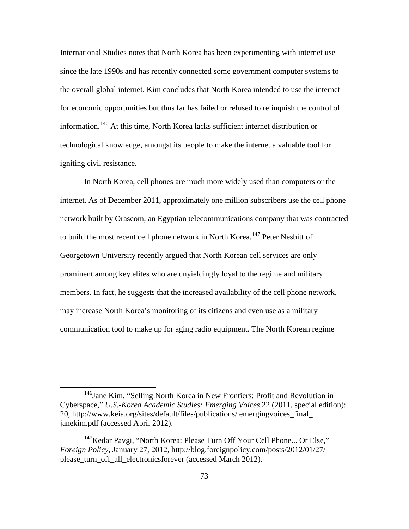International Studies notes that North Korea has been experimenting with internet use since the late 1990s and has recently connected some government computer systems to the overall global internet. Kim concludes that North Korea intended to use the internet for economic opportunities but thus far has failed or refused to relinquish the control of information.[146](#page-80-0) At this time, North Korea lacks sufficient internet distribution or technological knowledge, amongst its people to make the internet a valuable tool for igniting civil resistance.

In North Korea, cell phones are much more widely used than computers or the internet. As of December 2011, approximately one million subscribers use the cell phone network built by Orascom, an Egyptian telecommunications company that was contracted to build the most recent cell phone network in North Korea.<sup>[147](#page-80-1)</sup> Peter Nesbitt of Georgetown University recently argued that North Korean cell services are only prominent among key elites who are unyieldingly loyal to the regime and military members. In fact, he suggests that the increased availability of the cell phone network, may increase North Korea's monitoring of its citizens and even use as a military communication tool to make up for aging radio equipment. The North Korean regime

<span id="page-80-0"></span><sup>&</sup>lt;sup>146</sup>Jane Kim, "Selling North Korea in New Frontiers: Profit and Revolution in Cyberspace," *U.S.-Korea Academic Studies: Emerging Voices* 22 (2011, special edition): 20, http://www.keia.org/sites/default/files/publications/ emergingvoices\_final\_ janekim.pdf (accessed April 2012).

<span id="page-80-1"></span><sup>&</sup>lt;sup>147</sup>Kedar Pavgi, "North Korea: Please Turn Off Your Cell Phone... Or Else," *Foreign Policy*, January 27, 2012, http://blog.foreignpolicy.com/posts/2012/01/27/ please\_turn\_off\_all\_electronicsforever (accessed March 2012).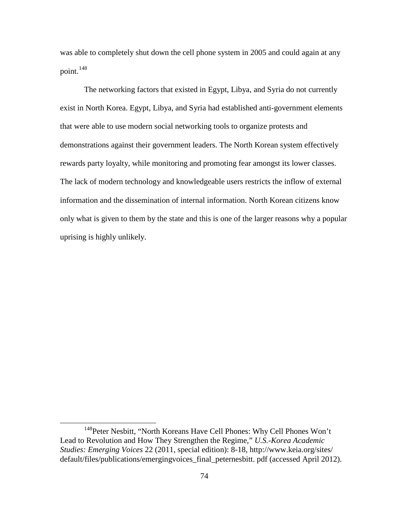was able to completely shut down the cell phone system in 2005 and could again at any point.<sup>[148](#page-81-0)</sup>

The networking factors that existed in Egypt, Libya, and Syria do not currently exist in North Korea. Egypt, Libya, and Syria had established anti-government elements that were able to use modern social networking tools to organize protests and demonstrations against their government leaders. The North Korean system effectively rewards party loyalty, while monitoring and promoting fear amongst its lower classes. The lack of modern technology and knowledgeable users restricts the inflow of external information and the dissemination of internal information. North Korean citizens know only what is given to them by the state and this is one of the larger reasons why a popular uprising is highly unlikely.

<span id="page-81-0"></span><sup>&</sup>lt;sup>148</sup>Peter Nesbitt, "North Koreans Have Cell Phones: Why Cell Phones Won't Lead to Revolution and How They Strengthen the Regime," *U.S.-Korea Academic Studies: Emerging Voices* 22 (2011, special edition): 8-18, http://www.keia.org/sites/ default/files/publications/emergingvoices\_final\_peternesbitt. pdf (accessed April 2012).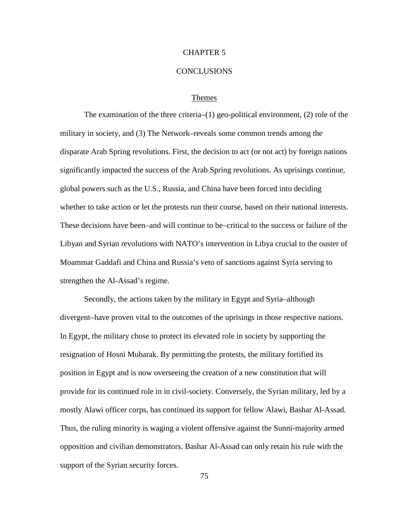# CHAPTER 5

#### CONCLUSIONS

#### Themes

The examination of the three criteria–(1) geo-political environment, (2) role of the military in society, and (3) The Network–reveals some common trends among the disparate Arab Spring revolutions. First, the decision to act (or not act) by foreign nations significantly impacted the success of the Arab Spring revolutions. As uprisings continue, global powers such as the U.S., Russia, and China have been forced into deciding whether to take action or let the protests run their course, based on their national interests. These decisions have been–and will continue to be–critical to the success or failure of the Libyan and Syrian revolutions with NATO's intervention in Libya crucial to the ouster of Moammar Gaddafi and China and Russia's veto of sanctions against Syria serving to strengthen the Al-Assad's regime.

Secondly, the actions taken by the military in Egypt and Syria–although divergent–have proven vital to the outcomes of the uprisings in those respective nations. In Egypt, the military chose to protect its elevated role in society by supporting the resignation of Hosni Mubarak. By permitting the protests, the military fortified its position in Egypt and is now overseeing the creation of a new constitution that will provide for its continued role in in civil-society. Conversely, the Syrian military, led by a mostly Alawi officer corps, has continued its support for fellow Alawi, Bashar Al-Assad. Thus, the ruling minority is waging a violent offensive against the Sunni-majority armed opposition and civilian demonstrators. Bashar Al-Assad can only retain his rule with the support of the Syrian security forces.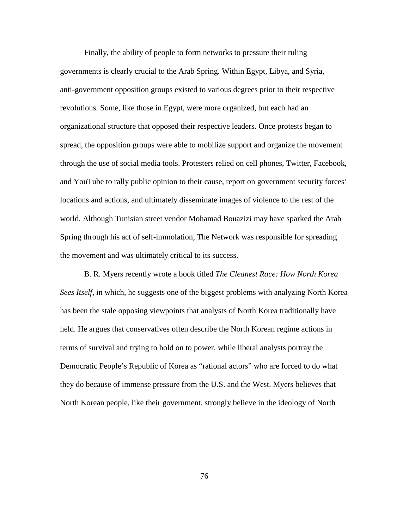Finally, the ability of people to form networks to pressure their ruling governments is clearly crucial to the Arab Spring. Within Egypt, Libya, and Syria, anti-government opposition groups existed to various degrees prior to their respective revolutions. Some, like those in Egypt, were more organized, but each had an organizational structure that opposed their respective leaders. Once protests began to spread, the opposition groups were able to mobilize support and organize the movement through the use of social media tools. Protesters relied on cell phones, Twitter, Facebook, and YouTube to rally public opinion to their cause, report on government security forces' locations and actions, and ultimately disseminate images of violence to the rest of the world. Although Tunisian street vendor Mohamad Bouazizi may have sparked the Arab Spring through his act of self-immolation, The Network was responsible for spreading the movement and was ultimately critical to its success.

B. R. Myers recently wrote a book titled *The Cleanest Race: How North Korea Sees Itself,* in which, he suggests one of the biggest problems with analyzing North Korea has been the stale opposing viewpoints that analysts of North Korea traditionally have held. He argues that conservatives often describe the North Korean regime actions in terms of survival and trying to hold on to power, while liberal analysts portray the Democratic People's Republic of Korea as "rational actors" who are forced to do what they do because of immense pressure from the U.S. and the West. Myers believes that North Korean people, like their government, strongly believe in the ideology of North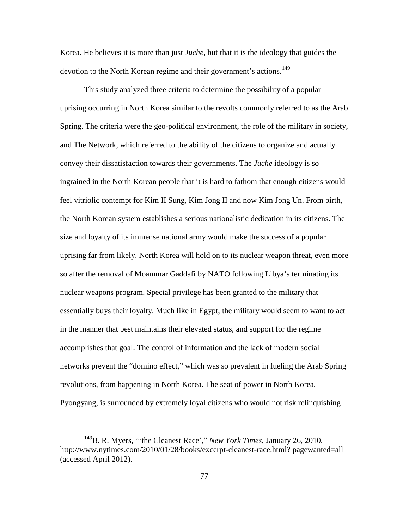Korea. He believes it is more than just *Juche*, but that it is the ideology that guides the devotion to the North Korean regime and their government's actions.<sup>[149](#page-84-0)</sup>

This study analyzed three criteria to determine the possibility of a popular uprising occurring in North Korea similar to the revolts commonly referred to as the Arab Spring. The criteria were the geo-political environment, the role of the military in society, and The Network, which referred to the ability of the citizens to organize and actually convey their dissatisfaction towards their governments. The *Juche* ideology is so ingrained in the North Korean people that it is hard to fathom that enough citizens would feel vitriolic contempt for Kim II Sung, Kim Jong II and now Kim Jong Un. From birth, the North Korean system establishes a serious nationalistic dedication in its citizens. The size and loyalty of its immense national army would make the success of a popular uprising far from likely. North Korea will hold on to its nuclear weapon threat, even more so after the removal of Moammar Gaddafi by NATO following Libya's terminating its nuclear weapons program. Special privilege has been granted to the military that essentially buys their loyalty. Much like in Egypt, the military would seem to want to act in the manner that best maintains their elevated status, and support for the regime accomplishes that goal. The control of information and the lack of modern social networks prevent the "domino effect," which was so prevalent in fueling the Arab Spring revolutions, from happening in North Korea. The seat of power in North Korea, Pyongyang, is surrounded by extremely loyal citizens who would not risk relinquishing

<span id="page-84-0"></span> <sup>149</sup>B. R. Myers, "'the Cleanest Race'," *New York Times*, January 26, 2010, http://www.nytimes.com/2010/01/28/books/excerpt-cleanest-race.html? pagewanted=all (accessed April 2012).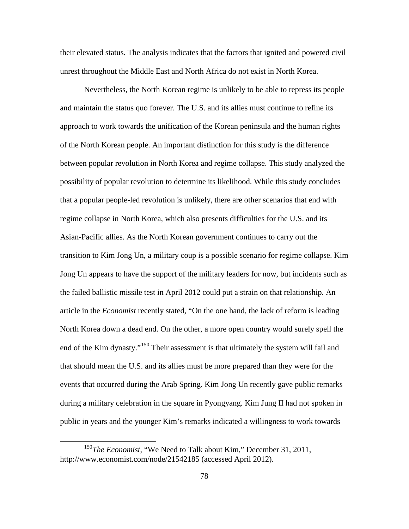their elevated status. The analysis indicates that the factors that ignited and powered civil unrest throughout the Middle East and North Africa do not exist in North Korea.

Nevertheless, the North Korean regime is unlikely to be able to repress its people and maintain the status quo forever. The U.S. and its allies must continue to refine its approach to work towards the unification of the Korean peninsula and the human rights of the North Korean people. An important distinction for this study is the difference between popular revolution in North Korea and regime collapse. This study analyzed the possibility of popular revolution to determine its likelihood. While this study concludes that a popular people-led revolution is unlikely, there are other scenarios that end with regime collapse in North Korea, which also presents difficulties for the U.S. and its Asian-Pacific allies. As the North Korean government continues to carry out the transition to Kim Jong Un, a military coup is a possible scenario for regime collapse. Kim Jong Un appears to have the support of the military leaders for now, but incidents such as the failed ballistic missile test in April 2012 could put a strain on that relationship. An article in the *Economist* recently stated, "On the one hand, the lack of reform is leading North Korea down a dead end. On the other, a more open country would surely spell the end of the Kim dynasty."<sup>[150](#page-85-0)</sup> Their assessment is that ultimately the system will fail and that should mean the U.S. and its allies must be more prepared than they were for the events that occurred during the Arab Spring. Kim Jong Un recently gave public remarks during a military celebration in the square in Pyongyang. Kim Jung II had not spoken in public in years and the younger Kim's remarks indicated a willingness to work towards

<span id="page-85-0"></span> <sup>150</sup>*The Economist*, "We Need to Talk about Kim," December 31, 2011, http://www.economist.com/node/21542185 (accessed April 2012).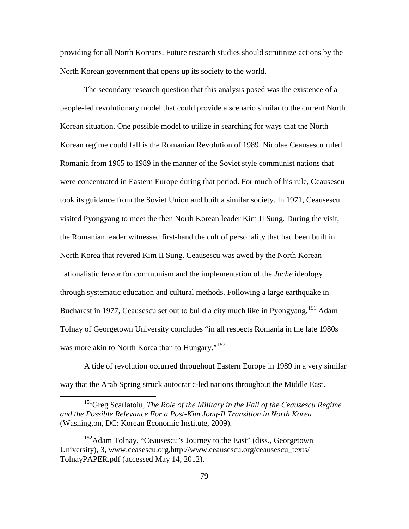providing for all North Koreans. Future research studies should scrutinize actions by the North Korean government that opens up its society to the world.

The secondary research question that this analysis posed was the existence of a people-led revolutionary model that could provide a scenario similar to the current North Korean situation. One possible model to utilize in searching for ways that the North Korean regime could fall is the Romanian Revolution of 1989. Nicolae Ceausescu ruled Romania from 1965 to 1989 in the manner of the Soviet style communist nations that were concentrated in Eastern Europe during that period. For much of his rule, Ceausescu took its guidance from the Soviet Union and built a similar society. In 1971, Ceausescu visited Pyongyang to meet the then North Korean leader Kim II Sung. During the visit, the Romanian leader witnessed first-hand the cult of personality that had been built in North Korea that revered Kim II Sung. Ceausescu was awed by the North Korean nationalistic fervor for communism and the implementation of the *Juche* ideology through systematic education and cultural methods. Following a large earthquake in Bucharest in 1977, Ceausescu set out to build a city much like in Pyongyang.<sup>[151](#page-86-0)</sup> Adam Tolnay of Georgetown University concludes "in all respects Romania in the late 1980s was more akin to North Korea than to Hungary."<sup>[152](#page-86-1)</sup>

A tide of revolution occurred throughout Eastern Europe in 1989 in a very similar way that the Arab Spring struck autocratic-led nations throughout the Middle East.

<span id="page-86-0"></span> 151Greg Scarlatoiu, *The Role of the Military in the Fall of the Ceausescu Regime and the Possible Relevance For a Post-Kim Jong-Il Transition in North Korea* (Washington, DC: Korean Economic Institute, 2009).

<span id="page-86-1"></span><sup>&</sup>lt;sup>152</sup>Adam Tolnay, "Ceausescu's Journey to the East" (diss., Georgetown University), 3, www.ceasescu.org,http://www.ceausescu.org/ceausescu\_texts/ TolnayPAPER.pdf (accessed May 14, 2012).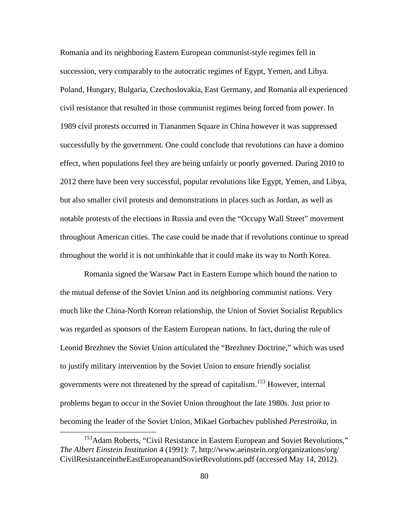Romania and its neighboring Eastern European communist-style regimes fell in succession, very comparably to the autocratic regimes of Egypt, Yemen, and Libya. Poland, Hungary, Bulgaria, Czechoslovakia, East Germany, and Romania all experienced civil resistance that resulted in those communist regimes being forced from power. In 1989 civil protests occurred in Tiananmen Square in China however it was suppressed successfully by the government. One could conclude that revolutions can have a domino effect, when populations feel they are being unfairly or poorly governed. During 2010 to 2012 there have been very successful, popular revolutions like Egypt, Yemen, and Libya, but also smaller civil protests and demonstrations in places such as Jordan, as well as notable protests of the elections in Russia and even the "Occupy Wall Street" movement throughout American cities. The case could be made that if revolutions continue to spread throughout the world it is not unthinkable that it could make its way to North Korea.

Romania signed the Warsaw Pact in Eastern Europe which bound the nation to the mutual defense of the Soviet Union and its neighboring communist nations. Very much like the China-North Korean relationship, the Union of Soviet Socialist Republics was regarded as sponsors of the Eastern European nations. In fact, during the rule of Leonid Brezhnev the Soviet Union articulated the "Brezhnev Doctrine," which was used to justify military intervention by the Soviet Union to ensure friendly socialist governments were not threatened by the spread of capitalism.[153](#page-87-0) However, internal problems began to occur in the Soviet Union throughout the late 1980s. Just prior to becoming the leader of the Soviet Union, Mikael Gorbachev published *Perestroika*, in

<span id="page-87-0"></span><sup>&</sup>lt;sup>153</sup>Adam Roberts, "Civil Resistance in Eastern European and Soviet Revolutions," *The Albert Einstein Institution* 4 (1991): 7, http://www.aeinstein.org/organizations/org/ CivilResistanceintheEastEuropeanandSovietRevolutions.pdf (accessed May 14, 2012).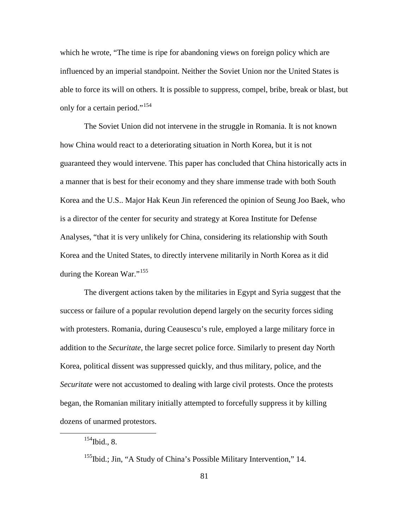which he wrote, "The time is ripe for abandoning views on foreign policy which are influenced by an imperial standpoint. Neither the Soviet Union nor the United States is able to force its will on others. It is possible to suppress, compel, bribe, break or blast, but only for a certain period."<sup>[154](#page-88-0)</sup>

The Soviet Union did not intervene in the struggle in Romania. It is not known how China would react to a deteriorating situation in North Korea, but it is not guaranteed they would intervene. This paper has concluded that China historically acts in a manner that is best for their economy and they share immense trade with both South Korea and the U.S.. Major Hak Keun Jin referenced the opinion of Seung Joo Baek, who is a director of the center for security and strategy at Korea Institute for Defense Analyses, "that it is very unlikely for China, considering its relationship with South Korea and the United States, to directly intervene militarily in North Korea as it did during the Korean War."<sup>[155](#page-88-1)</sup>

The divergent actions taken by the militaries in Egypt and Syria suggest that the success or failure of a popular revolution depend largely on the security forces siding with protesters. Romania, during Ceausescu's rule, employed a large military force in addition to the *Securitate*, the large secret police force. Similarly to present day North Korea, political dissent was suppressed quickly, and thus military, police, and the *Securitate* were not accustomed to dealing with large civil protests. Once the protests began, the Romanian military initially attempted to forcefully suppress it by killing dozens of unarmed protestors.

<span id="page-88-0"></span> $154$ Ibid., 8.

<span id="page-88-1"></span><sup>&</sup>lt;sup>155</sup>Ibid.; Jin, "A Study of China's Possible Military Intervention," 14.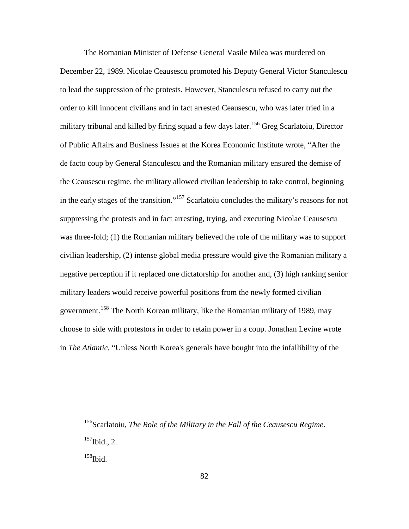The Romanian Minister of Defense General Vasile Milea was murdered on December 22, 1989. Nicolae Ceausescu promoted his Deputy General Victor Stanculescu to lead the suppression of the protests. However, Stanculescu refused to carry out the order to kill innocent civilians and in fact arrested Ceausescu, who was later tried in a military tribunal and killed by firing squad a few days later.<sup>[156](#page-89-0)</sup> Greg Scarlatoiu, Director of Public Affairs and Business Issues at the Korea Economic Institute wrote, "After the de facto coup by General Stanculescu and the Romanian military ensured the demise of the Ceausescu regime, the military allowed civilian leadership to take control, beginning in the early stages of the transition."[157](#page-89-1) Scarlatoiu concludes the military's reasons for not suppressing the protests and in fact arresting, trying, and executing Nicolae Ceausescu was three-fold; (1) the Romanian military believed the role of the military was to support civilian leadership, (2) intense global media pressure would give the Romanian military a negative perception if it replaced one dictatorship for another and, (3) high ranking senior military leaders would receive powerful positions from the newly formed civilian government.<sup>[158](#page-89-2)</sup> The North Korean military, like the Romanian military of 1989, may choose to side with protestors in order to retain power in a coup. Jonathan Levine wrote in *The Atlantic*, "Unless North Korea's generals have bought into the infallibility of the

<span id="page-89-0"></span> <sup>156</sup>Scarlatoiu, *The Role of the Military in the Fall of the Ceausescu Regime*.  $157$ Ibid., 2.

<span id="page-89-2"></span><span id="page-89-1"></span> $158$ Ibid.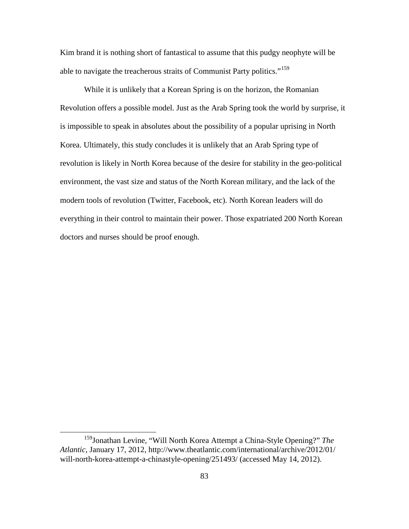Kim brand it is nothing short of fantastical to assume that this pudgy neophyte will be able to navigate the treacherous straits of Communist Party politics."<sup>[159](#page-90-0)</sup>

While it is unlikely that a Korean Spring is on the horizon, the Romanian Revolution offers a possible model. Just as the Arab Spring took the world by surprise, it is impossible to speak in absolutes about the possibility of a popular uprising in North Korea. Ultimately, this study concludes it is unlikely that an Arab Spring type of revolution is likely in North Korea because of the desire for stability in the geo-political environment, the vast size and status of the North Korean military, and the lack of the modern tools of revolution (Twitter, Facebook, etc). North Korean leaders will do everything in their control to maintain their power. Those expatriated 200 North Korean doctors and nurses should be proof enough.

<span id="page-90-0"></span> <sup>159</sup>Jonathan Levine, "Will North Korea Attempt <sup>a</sup> China-Style Opening?" *The Atlantic*, January 17, 2012, http://www.theatlantic.com/international/archive/2012/01/ will-north-korea-attempt-a-chinastyle-opening/251493/ (accessed May 14, 2012).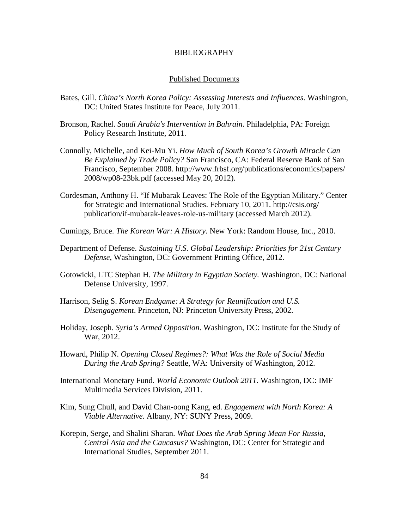## BIBLIOGRAPHY

#### Published Documents

- Bates, Gill. *China's North Korea Policy: Assessing Interests and Influences*. Washington, DC: United States Institute for Peace, July 2011.
- Bronson, Rachel. *Saudi Arabia's Intervention in Bahrain*. Philadelphia, PA: Foreign Policy Research Institute, 2011.
- Connolly, Michelle, and Kei-Mu Yi. *How Much of South Korea's Growth Miracle Can Be Explained by Trade Policy?* San Francisco, CA: Federal Reserve Bank of San Francisco, September 2008. http://www.frbsf.org/publications/economics/papers/ 2008/wp08-23bk.pdf (accessed May 20, 2012).
- Cordesman, Anthony H. "If Mubarak Leaves: The Role of the Egyptian Military." Center for Strategic and International Studies. February 10, 2011. http://csis.org/ publication/if-mubarak-leaves-role-us-military (accessed March 2012).
- Cumings, Bruce. *The Korean War: A History*. New York: Random House, Inc., 2010.
- Department of Defense. *Sustaining U.S. Global Leadership: Priorities for 21st Century Defense*, Washington, DC: Government Printing Office, 2012.
- Gotowicki, LTC Stephan H. *The Military in Egyptian Society.* Washington, DC: National Defense University, 1997.
- Harrison, Selig S. *Korean Endgame: A Strategy for Reunification and U.S. Disengagement*. Princeton, NJ: Princeton University Press, 2002.
- Holiday, Joseph. *Syria's Armed Opposition*. Washington, DC: Institute for the Study of War, 2012.
- Howard, Philip N. *Opening Closed Regimes?: What Was the Role of Social Media During the Arab Spring?* Seattle, WA: University of Washington, 2012.
- International Monetary Fund. *World Economic Outlook 2011*. Washington, DC: IMF Multimedia Services Division, 2011.
- Kim, Sung Chull, and David Chan-oong Kang, ed. *Engagement with North Korea: A Viable Alternative*. Albany, NY: SUNY Press, 2009.
- Korepin, Serge, and Shalini Sharan. *What Does the Arab Spring Mean For Russia, Central Asia and the Caucasus?* Washington, DC: Center for Strategic and International Studies, September 2011.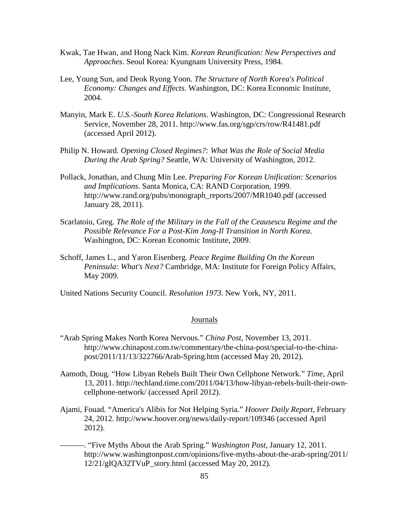- Kwak, Tae Hwan, and Hong Nack Kim. *Korean Reunification: New Perspectives and Approaches*. Seoul Korea: Kyungnam University Press, 1984.
- Lee, Young Sun, and Deok Ryong Yoon. *The Structure of North Korea's Political Economy: Changes and Effects*. Washington, DC: Korea Economic Institute, 2004.
- Manyin, Mark E. *U.S.-South Korea Relations*. Washington, DC: Congressional Research Service, November 28, 2011. http://www.fas.org/sgp/crs/row/R41481.pdf (accessed April 2012).
- Philip N. Howard. *Opening Closed Regimes?: What Was the Role of Social Media During the Arab Spring?* Seattle, WA: University of Washington, 2012.
- Pollack, Jonathan, and Chung Min Lee. *Preparing For Korean Unification: Scenarios and Implications*. Santa Monica, CA: RAND Corporation, 1999. http://www.rand.org/pubs/monograph\_reports/2007/MR1040.pdf (accessed January 28, 2011).
- Scarlatoiu, Greg. *The Role of the Military in the Fall of the Ceausescu Regime and the Possible Relevance For a Post-Kim Jong-Il Transition in North Korea*. Washington, DC: Korean Economic Institute, 2009.
- Schoff, James L., and Yaron Eisenberg. *Peace Regime Building On the Korean Peninsula: What's Next?* Cambridge, MA: Institute for Foreign Policy Affairs, May 2009.

United Nations Security Council. *Resolution 1973*. New York, NY, 2011.

## Journals

- "Arab Spring Makes North Korea Nervous." *China Post*, November 13, 2011. http://www.chinapost.com.tw/commentary/the-china-post/special-to-the-chinapost/2011/11/13/322766/Arab-Spring.htm (accessed May 20, 2012).
- Aamoth, Doug. "How Libyan Rebels Built Their Own Cellphone Network." *Time*, April 13, 2011. http://techland.time.com/2011/04/13/how-libyan-rebels-built-their-owncellphone-network/ (accessed April 2012).
- Ajami, Fouad. "America's Alibis for Not Helping Syria." *Hoover Daily Report*, February 24, 2012. http://www.hoover.org/news/daily-report/109346 (accessed April 2012).
- ———. "Five Myths About the Arab Spring." *Washington Post*, January 12, 2011. http://www.washingtonpost.com/opinions/five-myths-about-the-arab-spring/2011/  $12/21/gIOA32TVuP$  story.html (accessed May 20, 2012).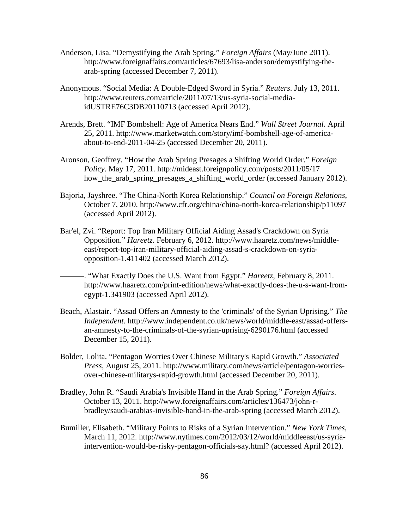- Anderson, Lisa. "Demystifying the Arab Spring." *Foreign Affairs* (May/June 2011). http://www.foreignaffairs.com/articles/67693/lisa-anderson/demystifying-thearab-spring (accessed December 7, 2011).
- Anonymous. "Social Media: A Double-Edged Sword in Syria." *Reuters*. July 13, 2011. http://www.reuters.com/article/2011/07/13/us-syria-social-mediaidUSTRE76C3DB20110713 (accessed April 2012).
- Arends, Brett. "IMF Bombshell: Age of America Nears End." *Wall Street Journal*. April 25, 2011. http://www.marketwatch.com/story/imf-bombshell-age-of-americaabout-to-end-2011-04-25 (accessed December 20, 2011).
- Aronson, Geoffrey. "How the Arab Spring Presages a Shifting World Order." *Foreign Policy*. May 17, 2011. http://mideast.foreignpolicy.com/posts/2011/05/17 how the arab spring presages a shifting world order (accessed January 2012).
- Bajoria, Jayshree. "The China-North Korea Relationship." *Council on Foreign Relations*, October 7, 2010. http://www.cfr.org/china/china-north-korea-relationship/p11097 (accessed April 2012).
- Bar'el, Zvi. "Report: Top Iran Military Official Aiding Assad's Crackdown on Syria Opposition." *Hareetz*. February 6, 2012. http://www.haaretz.com/news/middleeast/report-top-iran-military-official-aiding-assad-s-crackdown-on-syriaopposition-1.411402 (accessed March 2012).
- ———. "What Exactly Does the U.S. Want from Egypt." *Hareetz*, February 8, 2011. http://www.haaretz.com/print-edition/news/what-exactly-does-the-u-s-want-fromegypt-1.341903 (accessed April 2012).
- Beach, Alastair. "Assad Offers an Amnesty to the 'criminals' of the Syrian Uprising." *The Independent*. http://www.independent.co.uk/news/world/middle-east/assad-offersan-amnesty-to-the-criminals-of-the-syrian-uprising-6290176.html (accessed December 15, 2011).
- Bolder, Lolita. "Pentagon Worries Over Chinese Military's Rapid Growth." *Associated Press*, August 25, 2011. http://www.military.com/news/article/pentagon-worriesover-chinese-militarys-rapid-growth.html (accessed December 20, 2011).
- Bradley, John R. "Saudi Arabia's Invisible Hand in the Arab Spring." *Foreign Affairs*. October 13, 2011. http://www.foreignaffairs.com/articles/136473/john-rbradley/saudi-arabias-invisible-hand-in-the-arab-spring (accessed March 2012).
- Bumiller, Elisabeth. "Military Points to Risks of a Syrian Intervention." *New York Times*, March 11, 2012. http://www.nytimes.com/2012/03/12/world/middleeast/us-syriaintervention-would-be-risky-pentagon-officials-say.html? (accessed April 2012).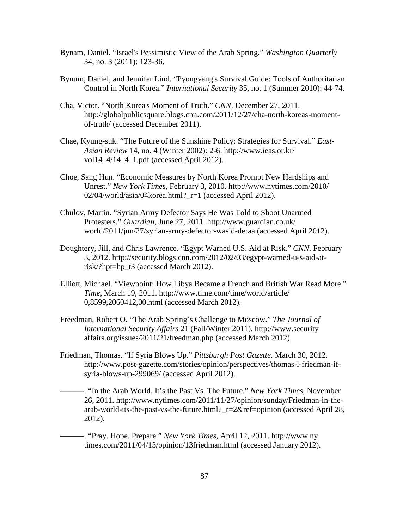- Bynam, Daniel. "Israel's Pessimistic View of the Arab Spring." *Washington Quarterly* 34, no. 3 (2011): 123-36.
- Bynum, Daniel, and Jennifer Lind. "Pyongyang's Survival Guide: Tools of Authoritarian Control in North Korea." *International Security* 35, no. 1 (Summer 2010): 44-74.
- Cha, Victor. "North Korea's Moment of Truth." *CNN*, December 27, 2011. http://globalpublicsquare.blogs.cnn.com/2011/12/27/cha-north-koreas-momentof-truth/ (accessed December 2011).
- Chae, Kyung-suk. "The Future of the Sunshine Policy: Strategies for Survival." *East-Asian Review* 14, no. 4 (Winter 2002): 2-6. http://www.ieas.or.kr/ vol $14\,4/14\,4\,1$ .pdf (accessed April 2012).
- Choe, Sang Hun. "Economic Measures by North Korea Prompt New Hardships and Unrest." *New York Times*, February 3, 2010. http://www.nytimes.com/2010/ 02/04/world/asia/04korea.html? $r=1$  (accessed April 2012).
- Chulov, Martin. "Syrian Army Defector Says He Was Told to Shoot Unarmed Protesters." *Guardian*, June 27, 2011. http://www.guardian.co.uk/ world/2011/jun/27/syrian-army-defector-wasid-deraa (accessed April 2012).
- Doughtery, Jill, and Chris Lawrence. "Egypt Warned U.S. Aid at Risk." *CNN*. February 3, 2012. http://security.blogs.cnn.com/2012/02/03/egypt-warned-u-s-aid-atrisk/?hpt=hp\_t3 (accessed March 2012).
- Elliott, Michael. "Viewpoint: How Libya Became a French and British War Read More." *Time*, March 19, 2011. http://www.time.com/time/world/article/ 0,8599,2060412,00.html (accessed March 2012).
- Freedman, Robert O. "The Arab Spring's Challenge to Moscow." *The Journal of International Security Affairs* 21 (Fall/Winter 2011). http://www.security affairs.org/issues/2011/21/freedman.php (accessed March 2012).
- Friedman, Thomas. "If Syria Blows Up." *Pittsburgh Post Gazette*. March 30, 2012. http://www.post-gazette.com/stories/opinion/perspectives/thomas-l-friedman-ifsyria-blows-up-299069/ (accessed April 2012).
- ———. "In the Arab World, It's the Past Vs. The Future." *New York Times*, November 26, 2011. http://www.nytimes.com/2011/11/27/opinion/sunday/Friedman-in-thearab-world-its-the-past-vs-the-future.html?\_r=2&ref=opinion (accessed April 28, 2012).

———. "Pray. Hope. Prepare." *New York Times*, April 12, 2011. http://www.ny times.com/2011/04/13/opinion/13friedman.html (accessed January 2012).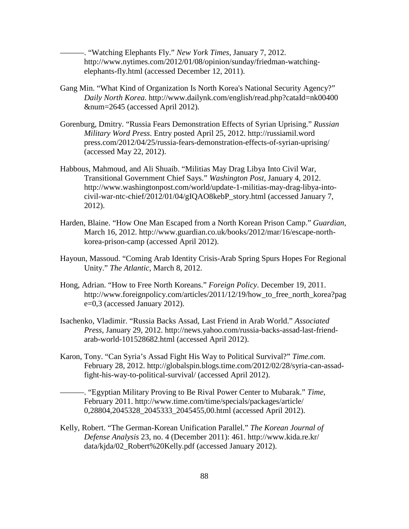———. "Watching Elephants Fly." *New York Times*, January 7, 2012. http://www.nytimes.com/2012/01/08/opinion/sunday/friedman-watchingelephants-fly.html (accessed December 12, 2011).

- Gang Min. "What Kind of Organization Is North Korea's National Security Agency?" *Daily North Korea*. http://www.dailynk.com/english/read.php?cataId=nk00400 &num=2645 (accessed April 2012).
- Gorenburg, Dmitry. "Russia Fears Demonstration Effects of Syrian Uprising." *Russian Military Word Press*. Entry posted April 25, 2012. http://russiamil.word press.com/2012/04/25/russia-fears-demonstration-effects-of-syrian-uprising/ (accessed May 22, 2012).
- Habbous, Mahmoud, and Ali Shuaib. "Militias May Drag Libya Into Civil War, Transitional Government Chief Says." *Washington Post*, January 4, 2012. http://www.washingtonpost.com/world/update-1-militias-may-drag-libya-intocivil-war-ntc-chief/2012/01/04/gIQAO8kebP\_story.html (accessed January 7, 2012).
- Harden, Blaine. "How One Man Escaped from a North Korean Prison Camp." *Guardian*, March 16, 2012. http://www.guardian.co.uk/books/2012/mar/16/escape-northkorea-prison-camp (accessed April 2012).
- Hayoun, Massoud. "Coming Arab Identity Crisis-Arab Spring Spurs Hopes For Regional Unity." *The Atlantic*, March 8, 2012.
- Hong, Adrian. "How to Free North Koreans." *Foreign Policy*. December 19, 2011. http://www.foreignpolicy.com/articles/2011/12/19/how to free north korea?pag e=0,3 (accessed January 2012).
- Isachenko, Vladimir. "Russia Backs Assad, Last Friend in Arab World." *Associated Press*, January 29, 2012. http://news.yahoo.com/russia-backs-assad-last-friendarab-world-101528682.html (accessed April 2012).
- Karon, Tony. "Can Syria's Assad Fight His Way to Political Survival?" *Time.com*. February 28, 2012. http://globalspin.blogs.time.com/2012/02/28/syria-can-assadfight-his-way-to-political-survival/ (accessed April 2012).
	- ———. "Egyptian Military Proving to Be Rival Power Center to Mubarak." *Time*, February 2011. http://www.time.com/time/specials/packages/article/ 0,28804,2045328\_2045333\_2045455,00.html (accessed April 2012).
- Kelly, Robert. "The German-Korean Unification Parallel." *The Korean Journal of Defense Analysis* 23, no. 4 (December 2011): 461. http://www.kida.re.kr/ data/kjda/02\_Robert%20Kelly.pdf (accessed January 2012).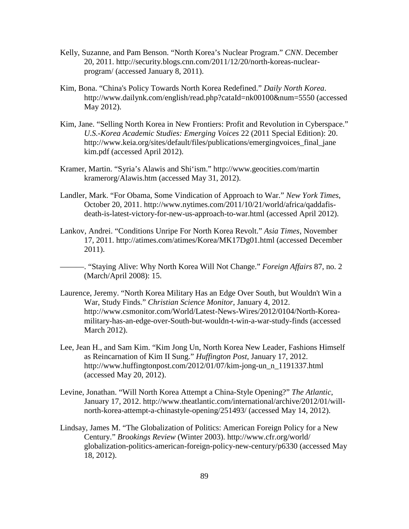- Kelly, Suzanne, and Pam Benson. "North Korea's Nuclear Program." *CNN*. December 20, 2011. http://security.blogs.cnn.com/2011/12/20/north-koreas-nuclearprogram/ (accessed January 8, 2011).
- Kim, Bona. "China's Policy Towards North Korea Redefined." *Daily North Korea*. http://www.dailynk.com/english/read.php?cataId=nk00100&num=5550 (accessed May 2012).
- Kim, Jane. "Selling North Korea in New Frontiers: Profit and Revolution in Cyberspace." *U.S.-Korea Academic Studies: Emerging Voices* 22 (2011 Special Edition): 20. http://www.keia.org/sites/default/files/publications/emergingvoices\_final\_jane kim.pdf (accessed April 2012).
- Kramer, Martin. "Syria's Alawis and Shi'ism." http://www.geocities.com/martin kramerorg/Alawis.htm (accessed May 31, 2012).
- Landler, Mark. "For Obama, Some Vindication of Approach to War." *New York Times*, October 20, 2011. http://www.nytimes.com/2011/10/21/world/africa/qaddafisdeath-is-latest-victory-for-new-us-approach-to-war.html (accessed April 2012).
- Lankov, Andrei. "Conditions Unripe For North Korea Revolt." *Asia Times*, November 17, 2011. http://atimes.com/atimes/Korea/MK17Dg01.html (accessed December 2011).
- ———. "Staying Alive: Why North Korea Will Not Change." *Foreign Affairs* 87, no. 2 (March/April 2008): 15.
- Laurence, Jeremy. "North Korea Military Has an Edge Over South, but Wouldn't Win a War, Study Finds." *Christian Science Monitor*, January 4, 2012. http://www.csmonitor.com/World/Latest-News-Wires/2012/0104/North-Koreamilitary-has-an-edge-over-South-but-wouldn-t-win-a-war-study-finds (accessed March 2012).
- Lee, Jean H., and Sam Kim. "Kim Jong Un, North Korea New Leader, Fashions Himself as Reincarnation of Kim II Sung." *Huffington Post*, January 17, 2012. http://www.huffingtonpost.com/2012/01/07/kim-jong-un\_n\_1191337.html (accessed May 20, 2012).
- Levine, Jonathan. "Will North Korea Attempt a China-Style Opening?" *The Atlantic*, January 17, 2012. http://www.theatlantic.com/international/archive/2012/01/willnorth-korea-attempt-a-chinastyle-opening/251493/ (accessed May 14, 2012).
- Lindsay, James M. "The Globalization of Politics: American Foreign Policy for a New Century." *Brookings Review* (Winter 2003). http://www.cfr.org/world/ globalization-politics-american-foreign-policy-new-century/p6330 (accessed May 18, 2012).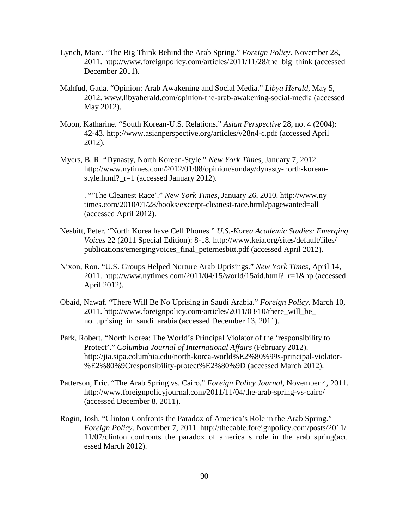- Lynch, Marc. "The Big Think Behind the Arab Spring." *Foreign Policy*. November 28, 2011. http://www.foreignpolicy.com/articles/2011/11/28/the\_big\_think (accessed December 2011).
- Mahfud, Gada. "Opinion: Arab Awakening and Social Media." *Libya Herald*, May 5, 2012. www.libyaherald.com/opinion-the-arab-awakening-social-media (accessed May 2012).
- Moon, Katharine. "South Korean-U.S. Relations." *Asian Perspective* 28, no. 4 (2004): 42-43. http://www.asianperspective.org/articles/v28n4-c.pdf (accessed April 2012).
- Myers, B. R. "Dynasty, North Korean-Style." *New York Times*, January 7, 2012. http://www.nytimes.com/2012/01/08/opinion/sunday/dynasty-north-koreanstyle.html?  $r=1$  (accessed January 2012).
	- ———. "'The Cleanest Race'." *New York Times*, January 26, 2010. http://www.ny times.com/2010/01/28/books/excerpt-cleanest-race.html?pagewanted=all (accessed April 2012).
- Nesbitt, Peter. "North Korea have Cell Phones." *U.S.-Korea Academic Studies: Emerging Voices* 22 (2011 Special Edition): 8-18. http://www.keia.org/sites/default/files/ publications/emergingvoices\_final\_peternesbitt.pdf (accessed April 2012).
- Nixon, Ron. "U.S. Groups Helped Nurture Arab Uprisings." *New York Times*, April 14, 2011. http://www.nytimes.com/2011/04/15/world/15aid.html? $r=1$ &hp (accessed April 2012).
- Obaid, Nawaf. "There Will Be No Uprising in Saudi Arabia." *Foreign Policy*. March 10, 2011. http://www.foreignpolicy.com/articles/2011/03/10/there\_will\_be\_ no\_uprising\_in\_saudi\_arabia (accessed December 13, 2011).
- Park, Robert. "North Korea: The World's Principal Violator of the 'responsibility to Protect'." *Columbia Journal of International Affairs* (February 2012). http://jia.sipa.columbia.edu/north-korea-world%E2%80%99s-principal-violator- %E2%80%9Cresponsibility-protect%E2%80%9D (accessed March 2012).
- Patterson, Eric. "The Arab Spring vs. Cairo." *Foreign Policy Journal,* November 4, 2011. http://www.foreignpolicyjournal.com/2011/11/04/the-arab-spring-vs-cairo/ (accessed December 8, 2011).
- Rogin, Josh. "Clinton Confronts the Paradox of America's Role in the Arab Spring." *Foreign Policy*. November 7, 2011. http://thecable.foreignpolicy.com/posts/2011/ 11/07/clinton\_confronts\_the\_paradox\_of\_america\_s\_role\_in\_the\_arab\_spring(acc essed March 2012).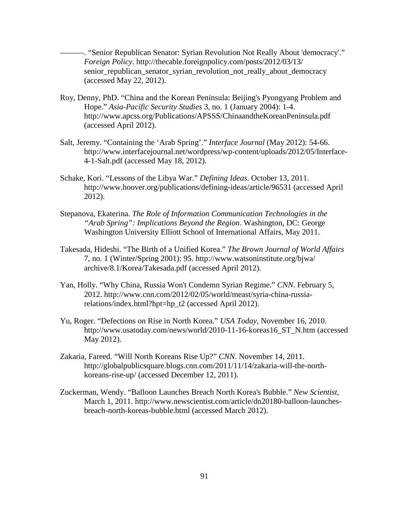———. "Senior Republican Senator: Syrian Revolution Not Really About 'democracy'." *Foreign Policy*. http://thecable.foreignpolicy.com/posts/2012/03/13/ senior\_republican\_senator\_syrian\_revolution\_not\_really\_about\_democracy (accessed May 22, 2012).

- Roy, Denny, PhD. "China and the Korean Peninsula: Beijing's Pyongyang Problem and Hope." *Asia-Pacific Security Studies* 3, no. 1 (January 2004): 1-4. http://www.apcss.org/Publications/APSSS/ChinaandtheKoreanPeninsula.pdf (accessed April 2012).
- Salt, Jeremy. "Containing the 'Arab Spring'." *Interface Journal* (May 2012): 54-66. http://www.interfacejournal.net/wordpress/wp-content/uploads/2012/05/Interface-4-1-Salt.pdf (accessed May 18, 2012).
- Schake, Kori. "Lessons of the Libya War." *Defining Ideas*. October 13, 2011. http://www.hoover.org/publications/defining-ideas/article/96531 (accessed April 2012).
- Stepanova, Ekaterina. *The Role of Information Communication Technologies in the "Arab Spring": Implications Beyond the Region*. Washington, DC: George Washington University Elliott School of International Affairs, May 2011.
- Takesada, Hideshi. "The Birth of a Unified Korea." *The Brown Journal of World Affairs* 7, no. 1 (Winter/Spring 2001): 95. http://www.watsoninstitute.org/bjwa/ archive/8.1/Korea/Takesada.pdf (accessed April 2012).
- Yan, Holly. "Why China, Russia Won't Condemn Syrian Regime." *CNN*. February 5, 2012. http://www.cnn.com/2012/02/05/world/meast/syria-china-russiarelations/index.html?hpt=hp\_t2 (accessed April 2012).
- Yu, Roger. "Defections on Rise in North Korea." *USA Today*, November 16, 2010. http://www.usatoday.com/news/world/2010-11-16-koreas16\_ST\_N.htm (accessed May 2012).
- Zakaria, Fareed. "Will North Koreans Rise Up?" *CNN*. November 14, 2011. http://globalpublicsquare.blogs.cnn.com/2011/11/14/zakaria-will-the-northkoreans-rise-up/ (accessed December 12, 2011).
- Zuckerman, Wendy. "Balloon Launches Breach North Korea's Bubble." *New Scientist*, March 1, 2011. http://www.newscientist.com/article/dn20180-balloon-launchesbreach-north-koreas-bubble.html (accessed March 2012).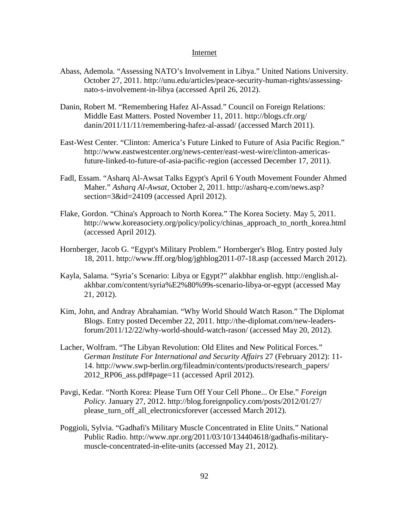#### Internet

- Abass, Ademola. "Assessing NATO's Involvement in Libya." United Nations University. October 27, 2011. http://unu.edu/articles/peace-security-human-rights/assessingnato-s-involvement-in-libya (accessed April 26, 2012).
- Danin, Robert M. "Remembering Hafez Al-Assad." Council on Foreign Relations: Middle East Matters. Posted November 11, 2011. http://blogs.cfr.org/ danin/2011/11/11/remembering-hafez-al-assad/ (accessed March 2011).
- East-West Center. "Clinton: America's Future Linked to Future of Asia Pacific Region." http://www.eastwestcenter.org/news-center/east-west-wire/clinton-americasfuture-linked-to-future-of-asia-pacific-region (accessed December 17, 2011).
- Fadl, Essam. "Asharq Al-Awsat Talks Egypt's April 6 Youth Movement Founder Ahmed Maher." *Asharq Al-Awsat*, October 2, 2011. http://asharq-e.com/news.asp? section=3&id=24109 (accessed April 2012).
- Flake, Gordon. "China's Approach to North Korea." The Korea Society. May 5, 2011. http://www.koreasociety.org/policy/policy/chinas\_approach\_to\_north\_korea.html (accessed April 2012).
- Hornberger, Jacob G. "Egypt's Military Problem." Hornberger's Blog. Entry posted July 18, 2011. http://www.fff.org/blog/jghblog2011-07-18.asp (accessed March 2012).
- Kayla, Salama. "Syria's Scenario: Libya or Egypt?" alakbhar english. http://english.alakhbar.com/content/syria%E2%80%99s-scenario-libya-or-egypt (accessed May 21, 2012).
- Kim, John, and Andray Abrahamian. "Why World Should Watch Rason." The Diplomat Blogs. Entry posted December 22, 2011. http://the-diplomat.com/new-leadersforum/2011/12/22/why-world-should-watch-rason/ (accessed May 20, 2012).
- Lacher, Wolfram. "The Libyan Revolution: Old Elites and New Political Forces." *German Institute For International and Security Affairs* 27 (February 2012): 11- 14. http://www.swp-berlin.org/fileadmin/contents/products/research\_papers/ 2012\_RP06\_ass.pdf#page=11 (accessed April 2012).
- Pavgi, Kedar. "North Korea: Please Turn Off Your Cell Phone... Or Else." *Foreign Policy*. January 27, 2012. http://blog.foreignpolicy.com/posts/2012/01/27/ please turn off all electronicsforever (accessed March 2012).
- Poggioli, Sylvia. "Gadhafi's Military Muscle Concentrated in Elite Units." National Public Radio. http://www.npr.org/2011/03/10/134404618/gadhafis-militarymuscle-concentrated-in-elite-units (accessed May 21, 2012).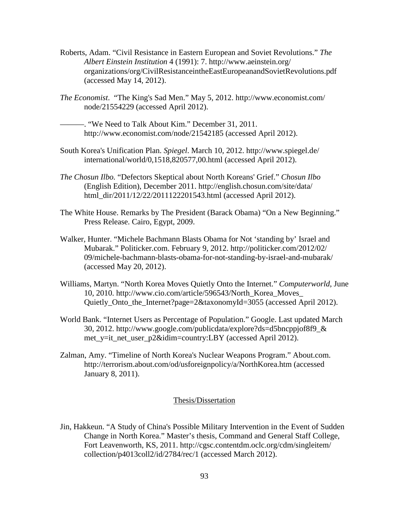- Roberts, Adam. "Civil Resistance in Eastern European and Soviet Revolutions." *The Albert Einstein Institution* 4 (1991): 7. http://www.aeinstein.org/ organizations/org/CivilResistanceintheEastEuropeanandSovietRevolutions.pdf (accessed May 14, 2012).
- *The Economist*. "The King's Sad Men." May 5, 2012. http://www.economist.com/ node/21554229 (accessed April 2012).
	- ———. "We Need to Talk About Kim." December 31, 2011. http://www.economist.com/node/21542185 (accessed April 2012).
- South Korea's Unification Plan. *Spiegel*. March 10, 2012. http://www.spiegel.de/ international/world/0,1518,820577,00.html (accessed April 2012).
- *The Chosun Ilbo.* "Defectors Skeptical about North Koreans' Grief." *Chosun Ilbo*  (English Edition), December 2011. http://english.chosun.com/site/data/ html dir/2011/12/22/2011122201543.html (accessed April 2012).
- The White House. Remarks by The President (Barack Obama) "On a New Beginning." Press Release. Cairo, Egypt, 2009.
- Walker, Hunter. "Michele Bachmann Blasts Obama for Not 'standing by' Israel and Mubarak." Politicker.com. February 9, 2012. http://politicker.com/2012/02/ 09/michele-bachmann-blasts-obama-for-not-standing-by-israel-and-mubarak/ (accessed May 20, 2012).
- Williams, Martyn. "North Korea Moves Quietly Onto the Internet." *Computerworld*, June 10, 2010. http://www.cio.com/article/596543/North\_Korea\_Moves\_ Quietly Onto the Internet?page=2&taxonomyId=3055 (accessed April 2012).
- World Bank. "Internet Users as Percentage of Population." Google. Last updated March 30, 2012. http://www.google.com/publicdata/explore?ds=d5bncppjof8f9\_& met\_y=it\_net\_user\_p2&idim=country:LBY (accessed April 2012).
- Zalman, Amy. "Timeline of North Korea's Nuclear Weapons Program." About.com. http://terrorism.about.com/od/usforeignpolicy/a/NorthKorea.htm (accessed January 8, 2011).

# Thesis/Dissertation

Jin, Hakkeun. "A Study of China's Possible Military Intervention in the Event of Sudden Change in North Korea." Master's thesis, Command and General Staff College, Fort Leavenworth, KS, 2011. http://cgsc.contentdm.oclc.org/cdm/singleitem/ collection/p4013coll2/id/2784/rec/1 (accessed March 2012).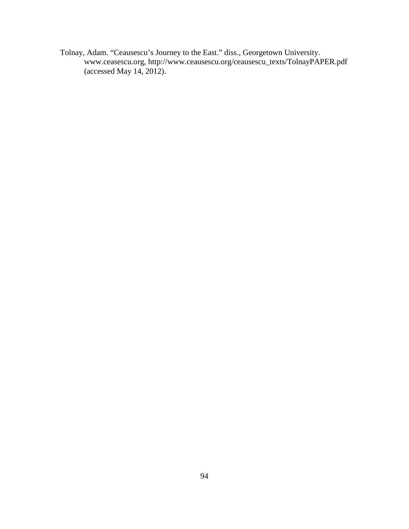Tolnay, Adam. "Ceausescu's Journey to the East." diss., Georgetown University. www.ceasescu.org, http://www.ceausescu.org/ceausescu\_texts/TolnayPAPER.pdf (accessed May 14, 2012).